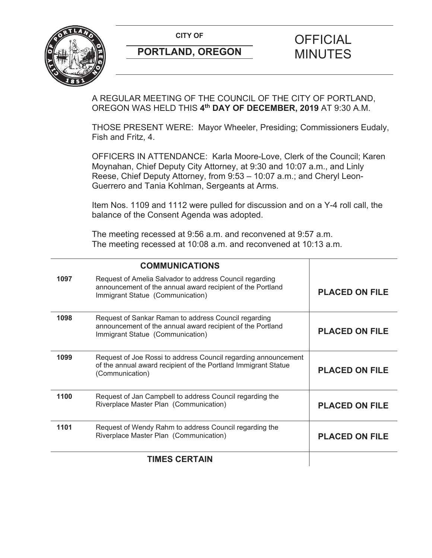**CITY OF CITY OF PICIAL** 



# **PORTLAND, OREGON MINUTES**

# A REGULAR MEETING OF THE COUNCIL OF THE CITY OF PORTLAND, OREGON WAS HELD THIS **4th DAY OF DECEMBER, 2019** AT 9:30 A.M.

THOSE PRESENT WERE: Mayor Wheeler, Presiding; Commissioners Eudaly, Fish and Fritz, 4.

OFFICERS IN ATTENDANCE: Karla Moore-Love, Clerk of the Council; Karen Moynahan, Chief Deputy City Attorney, at 9:30 and 10:07 a.m., and Linly Reese, Chief Deputy Attorney, from 9:53 – 10:07 a.m.; and Cheryl Leon-Guerrero and Tania Kohlman, Sergeants at Arms.

Item Nos. 1109 and 1112 were pulled for discussion and on a Y-4 roll call, the balance of the Consent Agenda was adopted.

The meeting recessed at 9:56 a.m. and reconvened at 9:57 a.m. The meeting recessed at 10:08 a.m. and reconvened at 10:13 a.m.

|      | <b>COMMUNICATIONS</b>                                                                                                                                     |                       |
|------|-----------------------------------------------------------------------------------------------------------------------------------------------------------|-----------------------|
| 1097 | Request of Amelia Salvador to address Council regarding<br>announcement of the annual award recipient of the Portland<br>Immigrant Statue (Communication) | <b>PLACED ON FILE</b> |
| 1098 | Request of Sankar Raman to address Council regarding<br>announcement of the annual award recipient of the Portland<br>Immigrant Statue (Communication)    | <b>PLACED ON FILE</b> |
| 1099 | Request of Joe Rossi to address Council regarding announcement<br>of the annual award recipient of the Portland Immigrant Statue<br>(Communication)       | <b>PLACED ON FILE</b> |
| 1100 | Request of Jan Campbell to address Council regarding the<br>Riverplace Master Plan (Communication)                                                        | <b>PLACED ON FILE</b> |
| 1101 | Request of Wendy Rahm to address Council regarding the<br>Riverplace Master Plan (Communication)                                                          | <b>PLACED ON FILE</b> |
|      | <b>TIMES CERTAIN</b>                                                                                                                                      |                       |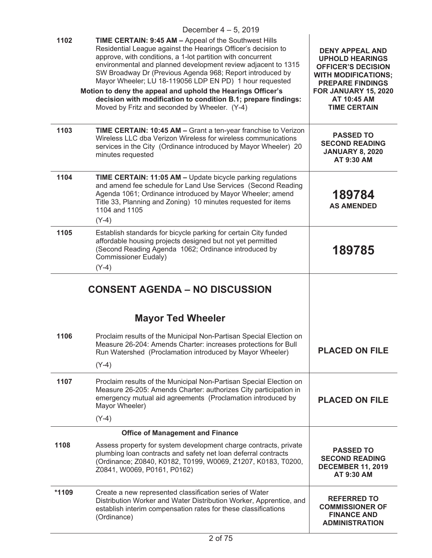|      | December $4-5$ , 2019                                                                                                                                                                                                                                                                                                                                                                                                                                                                                                                                            |                                                                                                                                                                                                      |
|------|------------------------------------------------------------------------------------------------------------------------------------------------------------------------------------------------------------------------------------------------------------------------------------------------------------------------------------------------------------------------------------------------------------------------------------------------------------------------------------------------------------------------------------------------------------------|------------------------------------------------------------------------------------------------------------------------------------------------------------------------------------------------------|
| 1102 | TIME CERTAIN: 9:45 AM - Appeal of the Southwest Hills<br>Residential League against the Hearings Officer's decision to<br>approve, with conditions, a 1-lot partition with concurrent<br>environmental and planned development review adjacent to 1315<br>SW Broadway Dr (Previous Agenda 968; Report introduced by<br>Mayor Wheeler; LU 18-119056 LDP EN PD) 1 hour requested<br>Motion to deny the appeal and uphold the Hearings Officer's<br>decision with modification to condition B.1; prepare findings:<br>Moved by Fritz and seconded by Wheeler. (Y-4) | <b>DENY APPEAL AND</b><br><b>UPHOLD HEARINGS</b><br><b>OFFICER'S DECISION</b><br><b>WITH MODIFICATIONS;</b><br><b>PREPARE FINDINGS</b><br>FOR JANUARY 15, 2020<br>AT 10:45 AM<br><b>TIME CERTAIN</b> |
| 1103 | TIME CERTAIN: 10:45 AM - Grant a ten-year franchise to Verizon<br>Wireless LLC dba Verizon Wireless for wireless communications<br>services in the City (Ordinance introduced by Mayor Wheeler) 20<br>minutes requested                                                                                                                                                                                                                                                                                                                                          | <b>PASSED TO</b><br><b>SECOND READING</b><br><b>JANUARY 8, 2020</b><br>AT 9:30 AM                                                                                                                    |
| 1104 | TIME CERTAIN: 11:05 AM - Update bicycle parking regulations<br>and amend fee schedule for Land Use Services (Second Reading<br>Agenda 1061; Ordinance introduced by Mayor Wheeler; amend<br>Title 33, Planning and Zoning) 10 minutes requested for items<br>1104 and 1105<br>$(Y-4)$                                                                                                                                                                                                                                                                            | 189784<br><b>AS AMENDED</b>                                                                                                                                                                          |
| 1105 | Establish standards for bicycle parking for certain City funded<br>affordable housing projects designed but not yet permitted<br>(Second Reading Agenda 1062; Ordinance introduced by<br><b>Commissioner Eudaly)</b><br>$(Y-4)$                                                                                                                                                                                                                                                                                                                                  | 189785                                                                                                                                                                                               |
|      | <b>CONSENT AGENDA - NO DISCUSSION</b>                                                                                                                                                                                                                                                                                                                                                                                                                                                                                                                            |                                                                                                                                                                                                      |
|      |                                                                                                                                                                                                                                                                                                                                                                                                                                                                                                                                                                  |                                                                                                                                                                                                      |
| 1106 | <b>Mayor Ted Wheeler</b><br>Proclaim results of the Municipal Non-Partisan Special Election on<br>Measure 26-204: Amends Charter: increases protections for Bull<br>Run Watershed (Proclamation introduced by Mayor Wheeler)<br>$(Y-4)$                                                                                                                                                                                                                                                                                                                          | <b>PLACED ON FILE</b>                                                                                                                                                                                |
| 1107 | Proclaim results of the Municipal Non-Partisan Special Election on<br>Measure 26-205: Amends Charter: authorizes City participation in<br>emergency mutual aid agreements (Proclamation introduced by<br>Mayor Wheeler)                                                                                                                                                                                                                                                                                                                                          | <b>PLACED ON FILE</b>                                                                                                                                                                                |
|      | $(Y-4)$                                                                                                                                                                                                                                                                                                                                                                                                                                                                                                                                                          |                                                                                                                                                                                                      |
| 1108 | <b>Office of Management and Finance</b><br>Assess property for system development charge contracts, private<br>plumbing loan contracts and safety net loan deferral contracts<br>(Ordinance; Z0840, K0182, T0199, W0069, Z1207, K0183, T0200,<br>Z0841, W0069, P0161, P0162)                                                                                                                                                                                                                                                                                     | <b>PASSED TO</b><br><b>SECOND READING</b><br><b>DECEMBER 11, 2019</b><br>AT 9:30 AM                                                                                                                  |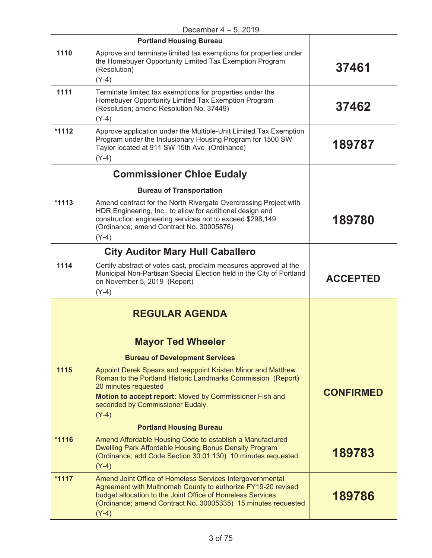|         | December $4-5$ , 2019                                                                                                                                                                                                                                               |                  |
|---------|---------------------------------------------------------------------------------------------------------------------------------------------------------------------------------------------------------------------------------------------------------------------|------------------|
|         | <b>Portland Housing Bureau</b>                                                                                                                                                                                                                                      |                  |
| 1110    | Approve and terminate limited tax exemptions for properties under<br>the Homebuyer Opportunity Limited Tax Exemption Program<br>(Resolution)<br>$(Y-4)$                                                                                                             | 37461            |
| 1111    | Terminate limited tax exemptions for properties under the<br>Homebuyer Opportunity Limited Tax Exemption Program<br>(Resolution; amend Resolution No. 37449)<br>$(Y-4)$                                                                                             | 37462            |
| $*1112$ | Approve application under the Multiple-Unit Limited Tax Exemption<br>Program under the Inclusionary Housing Program for 1500 SW<br>Taylor located at 911 SW 15th Ave (Ordinance)<br>$(Y-4)$                                                                         | 189787           |
|         | <b>Commissioner Chloe Eudaly</b>                                                                                                                                                                                                                                    |                  |
|         | <b>Bureau of Transportation</b>                                                                                                                                                                                                                                     |                  |
| $*1113$ | Amend contract for the North Rivergate Overcrossing Project with<br>HDR Engineering, Inc., to allow for additional design and<br>construction engineering services not to exceed \$298,149<br>(Ordinance; amend Contract No. 30005876)<br>$(Y-4)$                   | 189780           |
|         | <b>City Auditor Mary Hull Caballero</b>                                                                                                                                                                                                                             |                  |
| 1114    | Certify abstract of votes cast, proclaim measures approved at the<br>Municipal Non-Partisan Special Election held in the City of Portland<br>on November 5, 2019 (Report)<br>$(Y-4)$                                                                                | <b>ACCEPTED</b>  |
|         | <b>REGULAR AGENDA</b>                                                                                                                                                                                                                                               |                  |
|         | <b>Mayor Ted Wheeler</b>                                                                                                                                                                                                                                            |                  |
|         | <b>Bureau of Development Services</b>                                                                                                                                                                                                                               |                  |
| 1115    | Appoint Derek Spears and reappoint Kristen Minor and Matthew<br>Roman to the Portland Historic Landmarks Commission (Report)<br>20 minutes requested                                                                                                                | <b>CONFIRMED</b> |
|         | Motion to accept report: Moved by Commissioner Fish and<br>seconded by Commissioner Eudaly.<br>$(Y-4)$                                                                                                                                                              |                  |
|         | <b>Portland Housing Bureau</b>                                                                                                                                                                                                                                      |                  |
| $*1116$ | Amend Affordable Housing Code to establish a Manufactured<br>Dwelling Park Affordable Housing Bonus Density Program<br>(Ordinance; add Code Section 30.01.130) 10 minutes requested<br>$(Y-4)$                                                                      | 189783           |
| $*1117$ | Amend Joint Office of Homeless Services Intergovernmental<br>Agreement with Multnomah County to authorize FY19-20 revised<br>budget allocation to the Joint Office of Homeless Services<br>(Ordinance; amend Contract No. 30005335) 15 minutes requested<br>$(Y-4)$ | 189786           |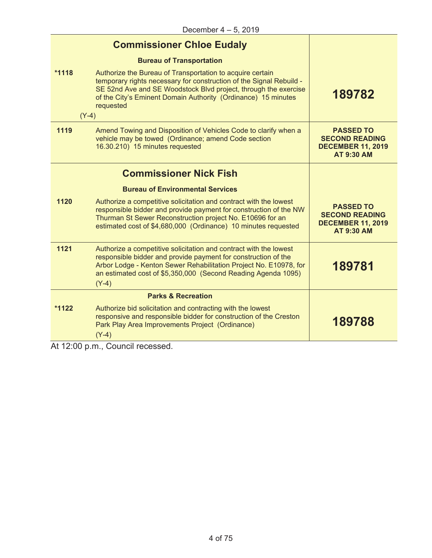|         | <b>Commissioner Chloe Eudaly</b>                                                                                                                                                                                                                                                             |                                                                                            |
|---------|----------------------------------------------------------------------------------------------------------------------------------------------------------------------------------------------------------------------------------------------------------------------------------------------|--------------------------------------------------------------------------------------------|
|         | <b>Bureau of Transportation</b>                                                                                                                                                                                                                                                              |                                                                                            |
| $*1118$ | Authorize the Bureau of Transportation to acquire certain<br>temporary rights necessary for construction of the Signal Rebuild -<br>SE 52nd Ave and SE Woodstock Blvd project, through the exercise<br>of the City's Eminent Domain Authority (Ordinance) 15 minutes<br>requested<br>$(Y-4)$ | 189782                                                                                     |
| 1119    | Amend Towing and Disposition of Vehicles Code to clarify when a<br>vehicle may be towed (Ordinance; amend Code section<br>16.30.210) 15 minutes requested                                                                                                                                    | <b>PASSED TO</b><br><b>SECOND READING</b><br><b>DECEMBER 11, 2019</b><br><b>AT 9:30 AM</b> |
|         | <b>Commissioner Nick Fish</b>                                                                                                                                                                                                                                                                |                                                                                            |
|         | <b>Bureau of Environmental Services</b>                                                                                                                                                                                                                                                      |                                                                                            |
| 1120    | Authorize a competitive solicitation and contract with the lowest<br>responsible bidder and provide payment for construction of the NW<br>Thurman St Sewer Reconstruction project No. E10696 for an<br>estimated cost of \$4,680,000 (Ordinance) 10 minutes requested                        | <b>PASSED TO</b><br><b>SECOND READING</b><br><b>DECEMBER 11, 2019</b><br><b>AT 9:30 AM</b> |
| 1121    | Authorize a competitive solicitation and contract with the lowest<br>responsible bidder and provide payment for construction of the<br>Arbor Lodge - Kenton Sewer Rehabilitation Project No. E10978, for<br>an estimated cost of \$5,350,000 (Second Reading Agenda 1095)<br>$(Y-4)$         | 189781                                                                                     |
|         | <b>Parks &amp; Recreation</b>                                                                                                                                                                                                                                                                |                                                                                            |
| $*1122$ | Authorize bid solicitation and contracting with the lowest<br>responsive and responsible bidder for construction of the Creston<br>Park Play Area Improvements Project (Ordinance)<br>$(Y-4)$                                                                                                | 189788                                                                                     |

At 12:00 p.m., Council recessed.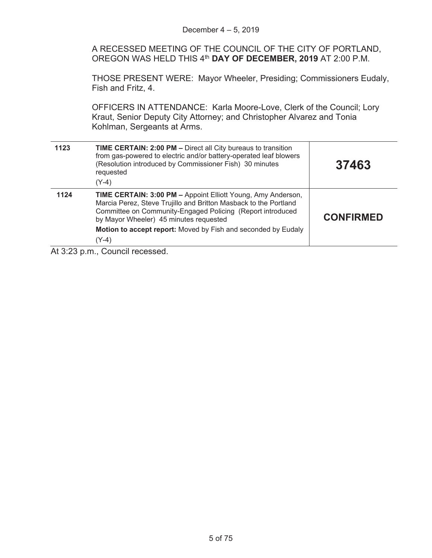|      | Motion to accept report: Moved by Fish and seconded by Eudaly<br>$(Y-4)$                                                                                                                                                                 |                  |
|------|------------------------------------------------------------------------------------------------------------------------------------------------------------------------------------------------------------------------------------------|------------------|
| 1124 | TIME CERTAIN: 3:00 PM - Appoint Elliott Young, Amy Anderson,<br>Marcia Perez, Steve Trujillo and Britton Masback to the Portland<br>Committee on Community-Engaged Policing (Report introduced<br>by Mayor Wheeler) 45 minutes requested | <b>CONFIRMED</b> |
| 1123 | <b>TIME CERTAIN: 2:00 PM - Direct all City bureaus to transition</b><br>from gas-powered to electric and/or battery-operated leaf blowers<br>(Resolution introduced by Commissioner Fish) 30 minutes<br>requested<br>$(Y-4)$             | 37463            |
|      | OFFICERS IN ATTENDANCE: Karla Moore-Love, Clerk of the Council; Lory<br>Kraut, Senior Deputy City Attorney; and Christopher Alvarez and Tonia<br>Kohlman, Sergeants at Arms.                                                             |                  |
|      | THOSE PRESENT WERE: Mayor Wheeler, Presiding; Commissioners Eudaly,<br>Fish and Fritz, 4.                                                                                                                                                |                  |
|      | A RECESSED MEETING OF THE COUNCIL OF THE CITY OF PORTLAND,<br>OREGON WAS HELD THIS 4 <sup>th</sup> DAY OF DECEMBER, 2019 AT 2:00 P.M.                                                                                                    |                  |
|      | December $4 - 5$ , 2019                                                                                                                                                                                                                  |                  |

At 3:23 p.m., Council recessed.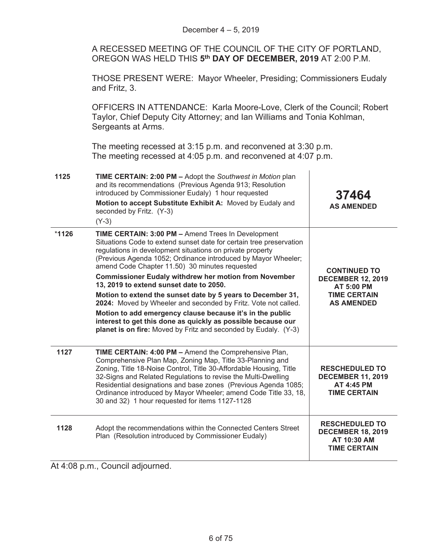A RECESSED MEETING OF THE COUNCIL OF THE CITY OF PORTLAND, OREGON WAS HELD THIS **5th DAY OF DECEMBER, 2019** AT 2:00 P.M.

THOSE PRESENT WERE: Mayor Wheeler, Presiding; Commissioners Eudaly and Fritz, 3.

OFFICERS IN ATTENDANCE: Karla Moore-Love, Clerk of the Council; Robert Taylor, Chief Deputy City Attorney; and Ian Williams and Tonia Kohlman, Sergeants at Arms.

The meeting recessed at 3:15 p.m. and reconvened at 3:30 p.m. The meeting recessed at 4:05 p.m. and reconvened at 4:07 p.m.

| 1125    | TIME CERTAIN: 2:00 PM - Adopt the Southwest in Motion plan<br>and its recommendations (Previous Agenda 913; Resolution<br>introduced by Commissioner Eudaly) 1 hour requested<br>Motion to accept Substitute Exhibit A: Moved by Eudaly and<br>seconded by Fritz. (Y-3)<br>$(Y-3)$                                                                                                                                                                                                                                                                                                                                                                                                                                                                    | 37464<br><b>AS AMENDED</b>                                                                                       |
|---------|-------------------------------------------------------------------------------------------------------------------------------------------------------------------------------------------------------------------------------------------------------------------------------------------------------------------------------------------------------------------------------------------------------------------------------------------------------------------------------------------------------------------------------------------------------------------------------------------------------------------------------------------------------------------------------------------------------------------------------------------------------|------------------------------------------------------------------------------------------------------------------|
| $*1126$ | TIME CERTAIN: 3:00 PM - Amend Trees In Development<br>Situations Code to extend sunset date for certain tree preservation<br>regulations in development situations on private property<br>(Previous Agenda 1052; Ordinance introduced by Mayor Wheeler;<br>amend Code Chapter 11.50) 30 minutes requested<br><b>Commissioner Eudaly withdrew her motion from November</b><br>13, 2019 to extend sunset date to 2050.<br>Motion to extend the sunset date by 5 years to December 31,<br>2024: Moved by Wheeler and seconded by Fritz. Vote not called.<br>Motion to add emergency clause because it's in the public<br>interest to get this done as quickly as possible because our<br>planet is on fire: Moved by Fritz and seconded by Eudaly. (Y-3) | <b>CONTINUED TO</b><br><b>DECEMBER 12, 2019</b><br><b>AT 5:00 PM</b><br><b>TIME CERTAIN</b><br><b>AS AMENDED</b> |
| 1127    | TIME CERTAIN: 4:00 PM - Amend the Comprehensive Plan,<br>Comprehensive Plan Map, Zoning Map, Title 33-Planning and<br>Zoning, Title 18-Noise Control, Title 30-Affordable Housing, Title<br>32-Signs and Related Regulations to revise the Multi-Dwelling<br>Residential designations and base zones (Previous Agenda 1085;<br>Ordinance introduced by Mayor Wheeler; amend Code Title 33, 18,<br>30 and 32) 1 hour requested for items 1127-1128                                                                                                                                                                                                                                                                                                     | <b>RESCHEDULED TO</b><br><b>DECEMBER 11, 2019</b><br><b>AT 4:45 PM</b><br><b>TIME CERTAIN</b>                    |
| 1128    | Adopt the recommendations within the Connected Centers Street<br>Plan (Resolution introduced by Commissioner Eudaly)                                                                                                                                                                                                                                                                                                                                                                                                                                                                                                                                                                                                                                  | <b>RESCHEDULED TO</b><br><b>DECEMBER 18, 2019</b><br>AT 10:30 AM<br><b>TIME CERTAIN</b>                          |

At 4:08 p.m., Council adjourned.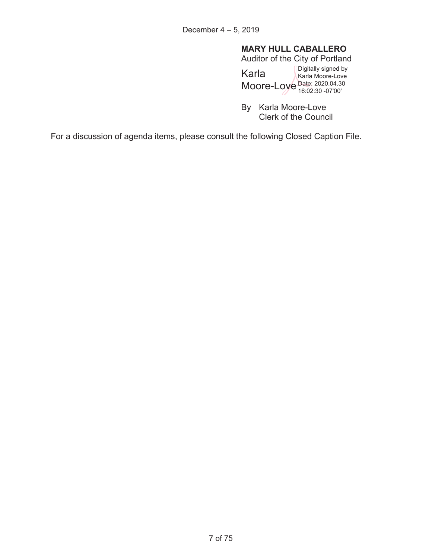# **MARY HULL CABALLERO**

Auditor of the City of Portland

Karla Moore-Love Date: 2020.04.30 Digitally signed by Karla Moore-Love 16:02:30 -07'00'

By Karla Moore-Love Clerk of the Council

For a discussion of agenda items, please consult the following Closed Caption File.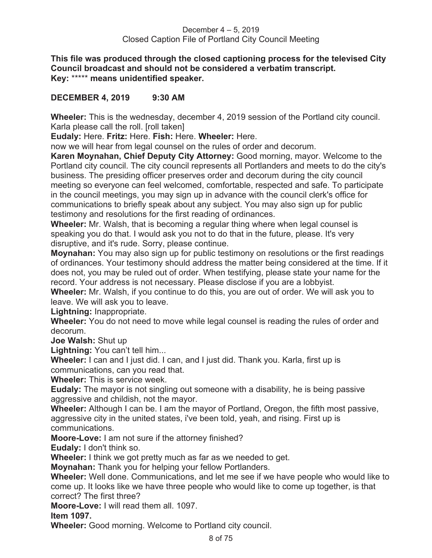**This file was produced through the closed captioning process for the televised City Council broadcast and should not be considered a verbatim transcript. Key:** \*\*\*\*\* **means unidentified speaker.** 

# **DECEMBER 4, 2019 9:30 AM**

**Wheeler:** This is the wednesday, december 4, 2019 session of the Portland city council. Karla please call the roll. [roll taken]

**Eudaly:** Here. **Fritz:** Here. **Fish:** Here. **Wheeler:** Here.

now we will hear from legal counsel on the rules of order and decorum.

**Karen Moynahan, Chief Deputy City Attorney:** Good morning, mayor. Welcome to the Portland city council. The city council represents all Portlanders and meets to do the city's business. The presiding officer preserves order and decorum during the city council meeting so everyone can feel welcomed, comfortable, respected and safe. To participate in the council meetings, you may sign up in advance with the council clerk's office for communications to briefly speak about any subject. You may also sign up for public testimony and resolutions for the first reading of ordinances.

**Wheeler:** Mr. Walsh, that is becoming a regular thing where when legal counsel is speaking you do that. I would ask you not to do that in the future, please. It's very disruptive, and it's rude. Sorry, please continue.

**Moynahan:** You may also sign up for public testimony on resolutions or the first readings of ordinances. Your testimony should address the matter being considered at the time. If it does not, you may be ruled out of order. When testifying, please state your name for the record. Your address is not necessary. Please disclose if you are a lobbyist.

**Wheeler:** Mr. Walsh, if you continue to do this, you are out of order. We will ask you to leave. We will ask you to leave.

**Lightning:** Inappropriate.

**Wheeler:** You do not need to move while legal counsel is reading the rules of order and decorum.

**Joe Walsh:** Shut up

**Lightning:** You can't tell him...

**Wheeler:** I can and I just did. I can, and I just did. Thank you. Karla, first up is communications, can you read that.

**Wheeler:** This is service week.

**Eudaly:** The mayor is not singling out someone with a disability, he is being passive aggressive and childish, not the mayor.

**Wheeler:** Although I can be. I am the mayor of Portland, Oregon, the fifth most passive, aggressive city in the united states, i've been told, yeah, and rising. First up is communications.

**Moore-Love:** I am not sure if the attorney finished?

**Eudaly:** I don't think so.

**Wheeler:** I think we got pretty much as far as we needed to get.

**Moynahan:** Thank you for helping your fellow Portlanders.

**Wheeler:** Well done. Communications, and let me see if we have people who would like to come up. It looks like we have three people who would like to come up together, is that correct? The first three?

**Moore-Love:** I will read them all. 1097.

**Item 1097.** 

**Wheeler:** Good morning. Welcome to Portland city council.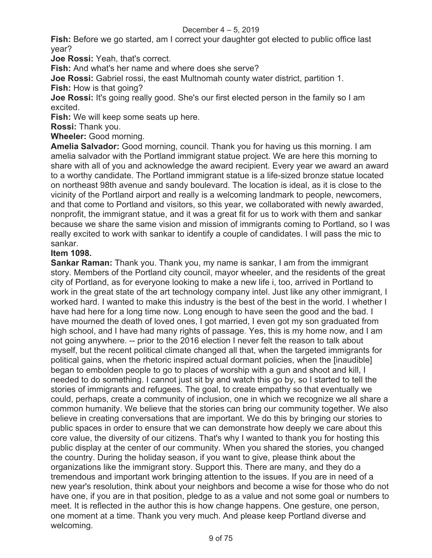**Fish:** Before we go started, am I correct your daughter got elected to public office last year?

**Joe Rossi:** Yeah, that's correct.

**Fish:** And what's her name and where does she serve?

**Joe Rossi:** Gabriel rossi, the east Multnomah county water district, partition 1.

**Fish:** How is that going?

**Joe Rossi:** It's going really good. She's our first elected person in the family so I am excited.

**Fish:** We will keep some seats up here.

**Rossi:** Thank you.

**Wheeler:** Good morning.

**Amelia Salvador:** Good morning, council. Thank you for having us this morning. I am amelia salvador with the Portland immigrant statue project. We are here this morning to share with all of you and acknowledge the award recipient. Every year we award an award to a worthy candidate. The Portland immigrant statue is a life-sized bronze statue located on northeast 98th avenue and sandy boulevard. The location is ideal, as it is close to the vicinity of the Portland airport and really is a welcoming landmark to people, newcomers, and that come to Portland and visitors, so this year, we collaborated with newly awarded, nonprofit, the immigrant statue, and it was a great fit for us to work with them and sankar because we share the same vision and mission of immigrants coming to Portland, so I was really excited to work with sankar to identify a couple of candidates. I will pass the mic to sankar.

# **Item 1098.**

**Sankar Raman:** Thank you. Thank you, my name is sankar, I am from the immigrant story. Members of the Portland city council, mayor wheeler, and the residents of the great city of Portland, as for everyone looking to make a new life i, too, arrived in Portland to work in the great state of the art technology company intel. Just like any other immigrant, I worked hard. I wanted to make this industry is the best of the best in the world. I whether I have had here for a long time now. Long enough to have seen the good and the bad. I have mourned the death of loved ones, I got married, I even got my son graduated from high school, and I have had many rights of passage. Yes, this is my home now, and I am not going anywhere. -- prior to the 2016 election I never felt the reason to talk about myself, but the recent political climate changed all that, when the targeted immigrants for political gains, when the rhetoric inspired actual dormant policies, when the [inaudible] began to embolden people to go to places of worship with a gun and shoot and kill, I needed to do something. I cannot just sit by and watch this go by, so I started to tell the stories of immigrants and refugees. The goal, to create empathy so that eventually we could, perhaps, create a community of inclusion, one in which we recognize we all share a common humanity. We believe that the stories can bring our community together. We also believe in creating conversations that are important. We do this by bringing our stories to public spaces in order to ensure that we can demonstrate how deeply we care about this core value, the diversity of our citizens. That's why I wanted to thank you for hosting this public display at the center of our community. When you shared the stories, you changed the country. During the holiday season, if you want to give, please think about the organizations like the immigrant story. Support this. There are many, and they do a tremendous and important work bringing attention to the issues. If you are in need of a new year's resolution, think about your neighbors and become a wise for those who do not have one, if you are in that position, pledge to as a value and not some goal or numbers to meet. It is reflected in the author this is how change happens. One gesture, one person, one moment at a time. Thank you very much. And please keep Portland diverse and welcoming.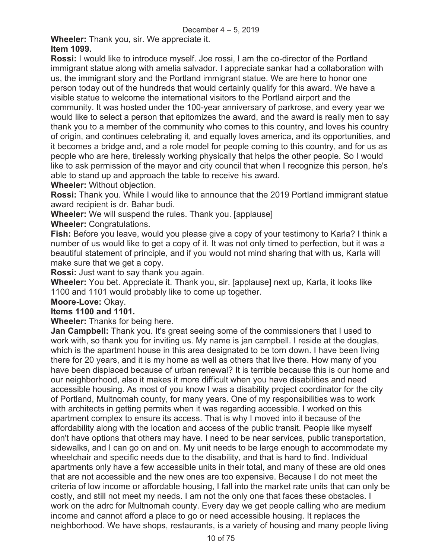**Wheeler:** Thank you, sir. We appreciate it. **Item 1099.** 

**Rossi:** I would like to introduce myself. Joe rossi, I am the co-director of the Portland immigrant statue along with amelia salvador. I appreciate sankar had a collaboration with us, the immigrant story and the Portland immigrant statue. We are here to honor one person today out of the hundreds that would certainly qualify for this award. We have a visible statue to welcome the international visitors to the Portland airport and the community. It was hosted under the 100-year anniversary of parkrose, and every year we would like to select a person that epitomizes the award, and the award is really men to say thank you to a member of the community who comes to this country, and loves his country of origin, and continues celebrating it, and equally loves america, and its opportunities, and it becomes a bridge and, and a role model for people coming to this country, and for us as people who are here, tirelessly working physically that helps the other people. So I would like to ask permission of the mayor and city council that when I recognize this person, he's able to stand up and approach the table to receive his award.

**Wheeler:** Without objection.

**Rossi:** Thank you. While I would like to announce that the 2019 Portland immigrant statue award recipient is dr. Bahar budi.

**Wheeler:** We will suspend the rules. Thank you. [applause]

**Wheeler:** Congratulations.

**Fish:** Before you leave, would you please give a copy of your testimony to Karla? I think a number of us would like to get a copy of it. It was not only timed to perfection, but it was a beautiful statement of principle, and if you would not mind sharing that with us, Karla will make sure that we get a copy.

**Rossi:** Just want to say thank you again.

**Wheeler:** You bet. Appreciate it. Thank you, sir. [applause] next up, Karla, it looks like 1100 and 1101 would probably like to come up together.

# **Moore-Love:** Okay.

# **Items 1100 and 1101.**

**Wheeler:** Thanks for being here.

**Jan Campbell:** Thank you. It's great seeing some of the commissioners that I used to work with, so thank you for inviting us. My name is jan campbell. I reside at the douglas, which is the apartment house in this area designated to be torn down. I have been living there for 20 years, and it is my home as well as others that live there. How many of you have been displaced because of urban renewal? It is terrible because this is our home and our neighborhood, also it makes it more difficult when you have disabilities and need accessible housing. As most of you know I was a disability project coordinator for the city of Portland, Multnomah county, for many years. One of my responsibilities was to work with architects in getting permits when it was regarding accessible. I worked on this apartment complex to ensure its access. That is why I moved into it because of the affordability along with the location and access of the public transit. People like myself don't have options that others may have. I need to be near services, public transportation, sidewalks, and I can go on and on. My unit needs to be large enough to accommodate my wheelchair and specific needs due to the disability, and that is hard to find. Individual apartments only have a few accessible units in their total, and many of these are old ones that are not accessible and the new ones are too expensive. Because I do not meet the criteria of low income or affordable housing, I fall into the market rate units that can only be costly, and still not meet my needs. I am not the only one that faces these obstacles. I work on the adrc for Multnomah county. Every day we get people calling who are medium income and cannot afford a place to go or need accessible housing. It replaces the neighborhood. We have shops, restaurants, is a variety of housing and many people living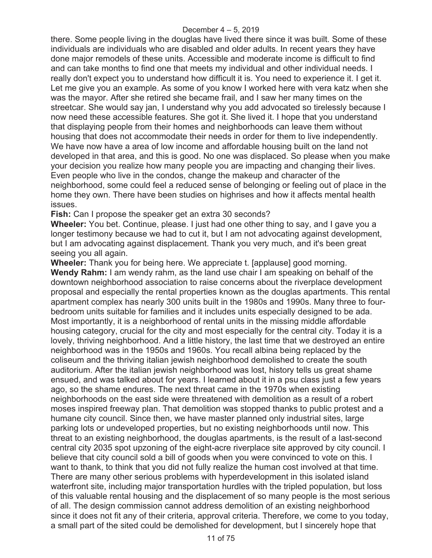there. Some people living in the douglas have lived there since it was built. Some of these individuals are individuals who are disabled and older adults. In recent years they have done major remodels of these units. Accessible and moderate income is difficult to find and can take months to find one that meets my individual and other individual needs. I really don't expect you to understand how difficult it is. You need to experience it. I get it. Let me give you an example. As some of you know I worked here with vera katz when she was the mayor. After she retired she became frail, and I saw her many times on the streetcar. She would say jan, I understand why you add advocated so tirelessly because I now need these accessible features. She got it. She lived it. I hope that you understand that displaying people from their homes and neighborhoods can leave them without housing that does not accommodate their needs in order for them to live independently. We have now have a area of low income and affordable housing built on the land not developed in that area, and this is good. No one was displaced. So please when you make your decision you realize how many people you are impacting and changing their lives. Even people who live in the condos, change the makeup and character of the neighborhood, some could feel a reduced sense of belonging or feeling out of place in the home they own. There have been studies on highrises and how it affects mental health issues.

**Fish:** Can I propose the speaker get an extra 30 seconds?

**Wheeler:** You bet. Continue, please. I just had one other thing to say, and I gave you a longer testimony because we had to cut it, but I am not advocating against development, but I am advocating against displacement. Thank you very much, and it's been great seeing you all again.

**Wheeler:** Thank you for being here. We appreciate t. [applause] good morning. **Wendy Rahm:** I am wendy rahm, as the land use chair I am speaking on behalf of the downtown neighborhood association to raise concerns about the riverplace development proposal and especially the rental properties known as the douglas apartments. This rental apartment complex has nearly 300 units built in the 1980s and 1990s. Many three to fourbedroom units suitable for families and it includes units especially designed to be ada. Most importantly, it is a neighborhood of rental units in the missing middle affordable housing category, crucial for the city and most especially for the central city. Today it is a lovely, thriving neighborhood. And a little history, the last time that we destroyed an entire neighborhood was in the 1950s and 1960s. You recall albina being replaced by the coliseum and the thriving italian jewish neighborhood demolished to create the south auditorium. After the italian jewish neighborhood was lost, history tells us great shame ensued, and was talked about for years. I learned about it in a psu class just a few years ago, so the shame endures. The next threat came in the 1970s when existing neighborhoods on the east side were threatened with demolition as a result of a robert moses inspired freeway plan. That demolition was stopped thanks to public protest and a humane city council. Since then, we have master planned only industrial sites, large parking lots or undeveloped properties, but no existing neighborhoods until now. This threat to an existing neighborhood, the douglas apartments, is the result of a last-second central city 2035 spot upzoning of the eight-acre riverplace site approved by city council. I believe that city council sold a bill of goods when you were convinced to vote on this. I want to thank, to think that you did not fully realize the human cost involved at that time. There are many other serious problems with hyperdevelopment in this isolated island waterfront site, including major transportation hurdles with the tripled population, but loss of this valuable rental housing and the displacement of so many people is the most serious of all. The design commission cannot address demolition of an existing neighborhood since it does not fit any of their criteria, approval criteria. Therefore, we come to you today, a small part of the sited could be demolished for development, but I sincerely hope that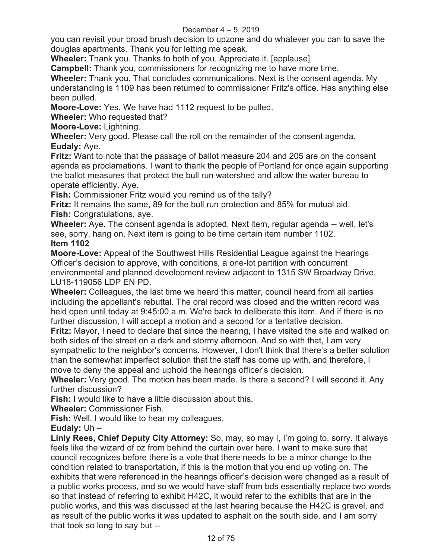you can revisit your broad brush decision to upzone and do whatever you can to save the douglas apartments. Thank you for letting me speak.

**Wheeler:** Thank you. Thanks to both of you. Appreciate it. [applause]

**Campbell:** Thank you, commissioners for recognizing me to have more time.

**Wheeler:** Thank you. That concludes communications. Next is the consent agenda. My understanding is 1109 has been returned to commissioner Fritz's office. Has anything else been pulled.

**Moore-Love:** Yes. We have had 1112 request to be pulled.

**Wheeler:** Who requested that?

**Moore-Love:** Lightning.

**Wheeler:** Very good. Please call the roll on the remainder of the consent agenda. **Eudaly:** Aye.

**Fritz:** Want to note that the passage of ballot measure 204 and 205 are on the consent agenda as proclamations. I want to thank the people of Portland for once again supporting the ballot measures that protect the bull run watershed and allow the water bureau to operate efficiently. Aye.

**Fish:** Commissioner Fritz would you remind us of the tally?

**Fritz:** It remains the same, 89 for the bull run protection and 85% for mutual aid. **Fish:** Congratulations, aye.

**Wheeler:** Aye. The consent agenda is adopted. Next item, regular agenda -- well, let's see, sorry, hang on. Next item is going to be time certain item number 1102. **Item 1102** 

**Moore-Love:** Appeal of the Southwest Hills Residential League against the Hearings Officer's decision to approve, with conditions, a one-lot partition with concurrent environmental and planned development review adjacent to 1315 SW Broadway Drive, LU18-119056 LDP EN PD.

**Wheeler:** Colleagues, the last time we heard this matter, council heard from all parties including the appellant's rebuttal. The oral record was closed and the written record was held open until today at 9:45:00 a.m. We're back to deliberate this item. And if there is no further discussion, I will accept a motion and a second for a tentative decision.

**Fritz:** Mayor, I need to declare that since the hearing, I have visited the site and walked on both sides of the street on a dark and stormy afternoon. And so with that, I am very sympathetic to the neighbor's concerns. However, I don't think that there's a better solution than the somewhat imperfect solution that the staff has come up with, and therefore, I move to deny the appeal and uphold the hearings officer's decision.

**Wheeler:** Very good. The motion has been made. Is there a second? I will second it. Any further discussion?

**Fish:** I would like to have a little discussion about this.

**Wheeler:** Commissioner Fish.

**Fish:** Well, I would like to hear my colleagues.

**Eudaly:** Uh –

**Linly Rees, Chief Deputy City Attorney:** So, may, so may I, I'm going to, sorry. It always feels like the wizard of oz from behind the curtain over here. I want to make sure that council recognizes before there is a vote that there needs to be a minor change to the condition related to transportation, if this is the motion that you end up voting on. The exhibits that were referenced in the hearings officer's decision were changed as a result of a public works process, and so we would have staff from bds essentially replace two words so that instead of referring to exhibit H42C, it would refer to the exhibits that are in the public works, and this was discussed at the last hearing because the H42C is gravel, and as result of the public works it was updated to asphalt on the south side, and I am sorry that took so long to say but --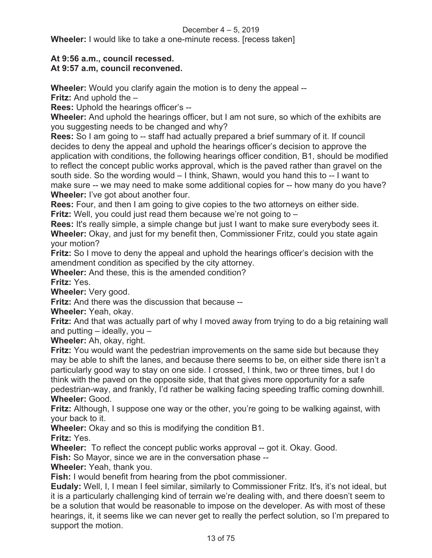**Wheeler:** I would like to take a one-minute recess. [recess taken]

# **At 9:56 a.m., council recessed.**

# **At 9:57 a.m, council reconvened.**

**Wheeler:** Would you clarify again the motion is to deny the appeal --

**Fritz:** And uphold the –

**Rees:** Uphold the hearings officer's --

**Wheeler:** And uphold the hearings officer, but I am not sure, so which of the exhibits are you suggesting needs to be changed and why?

**Rees:** So I am going to -- staff had actually prepared a brief summary of it. If council decides to deny the appeal and uphold the hearings officer's decision to approve the application with conditions, the following hearings officer condition, B1, should be modified to reflect the concept public works approval, which is the paved rather than gravel on the south side. So the wording would – I think, Shawn, would you hand this to -- I want to make sure -- we may need to make some additional copies for -- how many do you have? **Wheeler:** I've got about another four.

**Rees:** Four, and then I am going to give copies to the two attorneys on either side. **Fritz:** Well, you could just read them because we're not going to –

**Rees:** It's really simple, a simple change but just I want to make sure everybody sees it. **Wheeler:** Okay, and just for my benefit then, Commissioner Fritz, could you state again your motion?

**Fritz:** So I move to deny the appeal and uphold the hearings officer's decision with the amendment condition as specified by the city attorney.

**Wheeler:** And these, this is the amended condition?

**Fritz:** Yes.

**Wheeler:** Very good.

**Fritz:** And there was the discussion that because --

**Wheeler:** Yeah, okay.

**Fritz:** And that was actually part of why I moved away from trying to do a big retaining wall and putting  $-$  ideally, you  $-$ 

**Wheeler:** Ah, okay, right.

**Fritz:** You would want the pedestrian improvements on the same side but because they may be able to shift the lanes, and because there seems to be, on either side there isn't a particularly good way to stay on one side. I crossed, I think, two or three times, but I do think with the paved on the opposite side, that that gives more opportunity for a safe pedestrian-way, and frankly, I'd rather be walking facing speeding traffic coming downhill. **Wheeler:** Good.

**Fritz:** Although, I suppose one way or the other, you're going to be walking against, with your back to it.

**Wheeler:** Okay and so this is modifying the condition B1.

**Fritz:** Yes.

**Wheeler:** To reflect the concept public works approval -- got it. Okay. Good.

**Fish:** So Mayor, since we are in the conversation phase --

**Wheeler:** Yeah, thank you.

**Fish:** I would benefit from hearing from the pbot commissioner.

**Eudaly:** Well, I, I mean I feel similar, similarly to Commissioner Fritz. It's, it's not ideal, but it is a particularly challenging kind of terrain we're dealing with, and there doesn't seem to be a solution that would be reasonable to impose on the developer. As with most of these hearings, it, it seems like we can never get to really the perfect solution, so I'm prepared to support the motion.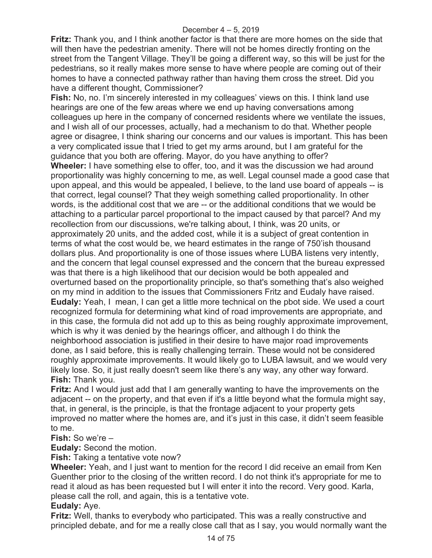**Fritz:** Thank you, and I think another factor is that there are more homes on the side that will then have the pedestrian amenity. There will not be homes directly fronting on the street from the Tangent Village. They'll be going a different way, so this will be just for the pedestrians, so it really makes more sense to have where people are coming out of their homes to have a connected pathway rather than having them cross the street. Did you have a different thought, Commissioner?

**Fish:** No, no. I'm sincerely interested in my colleagues' views on this. I think land use hearings are one of the few areas where we end up having conversations among colleagues up here in the company of concerned residents where we ventilate the issues, and I wish all of our processes, actually, had a mechanism to do that. Whether people agree or disagree, I think sharing our concerns and our values is important. This has been a very complicated issue that I tried to get my arms around, but I am grateful for the guidance that you both are offering. Mayor, do you have anything to offer?

**Wheeler:** I have something else to offer, too, and it was the discussion we had around proportionality was highly concerning to me, as well. Legal counsel made a good case that upon appeal, and this would be appealed, I believe, to the land use board of appeals -- is that correct, legal counsel? That they weigh something called proportionality. In other words, is the additional cost that we are -- or the additional conditions that we would be attaching to a particular parcel proportional to the impact caused by that parcel? And my recollection from our discussions, we're talking about, I think, was 20 units, or approximately 20 units, and the added cost, while it is a subject of great contention in terms of what the cost would be, we heard estimates in the range of 750'ish thousand dollars plus. And proportionality is one of those issues where LUBA listens very intently, and the concern that legal counsel expressed and the concern that the bureau expressed was that there is a high likelihood that our decision would be both appealed and overturned based on the proportionality principle, so that's something that's also weighed on my mind in addition to the issues that Commissioners Fritz and Eudaly have raised. **Eudaly:** Yeah, I mean, I can get a little more technical on the pbot side. We used a court recognized formula for determining what kind of road improvements are appropriate, and in this case, the formula did not add up to this as being roughly approximate improvement, which is why it was denied by the hearings officer, and although I do think the neighborhood association is justified in their desire to have major road improvements done, as I said before, this is really challenging terrain. These would not be considered roughly approximate improvements. It would likely go to LUBA lawsuit, and we would very likely lose. So, it just really doesn't seem like there's any way, any other way forward. **Fish:** Thank you.

**Fritz:** And I would just add that I am generally wanting to have the improvements on the adjacent -- on the property, and that even if it's a little beyond what the formula might say, that, in general, is the principle, is that the frontage adjacent to your property gets improved no matter where the homes are, and it's just in this case, it didn't seem feasible to me.

**Fish:** So we're –

**Eudaly:** Second the motion.

**Fish:** Taking a tentative vote now?

**Wheeler:** Yeah, and I just want to mention for the record I did receive an email from Ken Guenther prior to the closing of the written record. I do not think it's appropriate for me to read it aloud as has been requested but I will enter it into the record. Very good. Karla, please call the roll, and again, this is a tentative vote.

#### **Eudaly:** Aye.

**Fritz:** Well, thanks to everybody who participated. This was a really constructive and principled debate, and for me a really close call that as I say, you would normally want the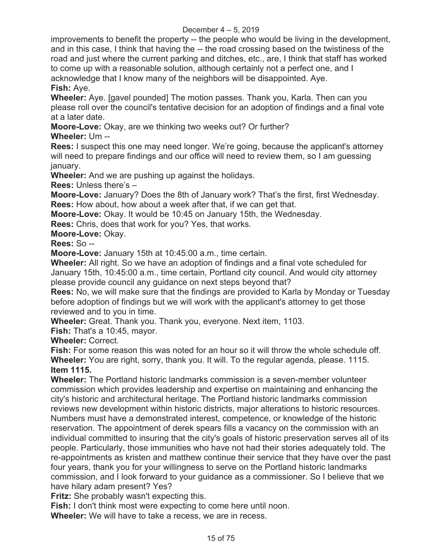improvements to benefit the property -- the people who would be living in the development, and in this case, I think that having the -- the road crossing based on the twistiness of the road and just where the current parking and ditches, etc., are, I think that staff has worked to come up with a reasonable solution, although certainly not a perfect one, and I acknowledge that I know many of the neighbors will be disappointed. Aye. **Fish:** Aye.

**Wheeler:** Aye. [gavel pounded] The motion passes. Thank you, Karla. Then can you please roll over the council's tentative decision for an adoption of findings and a final vote at a later date.

**Moore-Love:** Okay, are we thinking two weeks out? Or further? **Wheeler:** Um --

**Rees:** I suspect this one may need longer. We're going, because the applicant's attorney will need to prepare findings and our office will need to review them, so I am guessing january.

**Wheeler:** And we are pushing up against the holidays.

**Rees:** Unless there's –

**Moore-Love:** January? Does the 8th of January work? That's the first, first Wednesday. **Rees:** How about, how about a week after that, if we can get that.

**Moore-Love:** Okay. It would be 10:45 on January 15th, the Wednesday.

**Rees:** Chris, does that work for you? Yes, that works.

**Moore-Love:** Okay.

**Rees:** So --

**Moore-Love:** January 15th at 10:45:00 a.m., time certain.

**Wheeler:** All right. So we have an adoption of findings and a final vote scheduled for January 15th, 10:45:00 a.m., time certain, Portland city council. And would city attorney please provide council any guidance on next steps beyond that?

**Rees:** No, we will make sure that the findings are provided to Karla by Monday or Tuesday before adoption of findings but we will work with the applicant's attorney to get those reviewed and to you in time.

**Wheeler:** Great. Thank you. Thank you, everyone. Next item, 1103.

**Fish:** That's a 10:45, mayor.

**Wheeler:** Correct.

**Fish:** For some reason this was noted for an hour so it will throw the whole schedule off. **Wheeler:** You are right, sorry, thank you. It will. To the regular agenda, please. 1115. **Item 1115.** 

**Wheeler:** The Portland historic landmarks commission is a seven-member volunteer commission which provides leadership and expertise on maintaining and enhancing the city's historic and architectural heritage. The Portland historic landmarks commission reviews new development within historic districts, major alterations to historic resources. Numbers must have a demonstrated interest, competence, or knowledge of the historic reservation. The appointment of derek spears fills a vacancy on the commission with an individual committed to insuring that the city's goals of historic preservation serves all of its people. Particularly, those immunities who have not had their stories adequately told. The re-appointments as kristen and matthew continue their service that they have over the past four years, thank you for your willingness to serve on the Portland historic landmarks commission, and I look forward to your guidance as a commissioner. So I believe that we have hilary adam present? Yes?

**Fritz:** She probably wasn't expecting this.

**Fish:** I don't think most were expecting to come here until noon.

**Wheeler:** We will have to take a recess, we are in recess.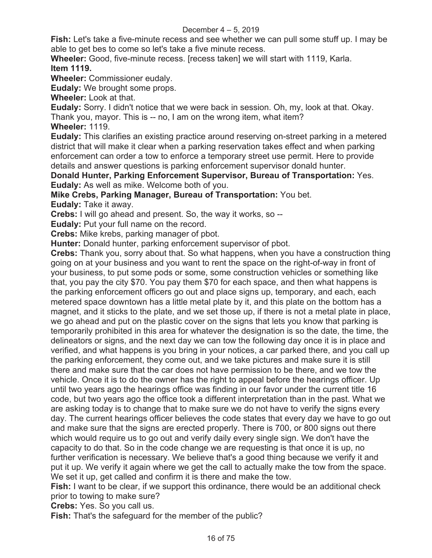**Fish:** Let's take a five-minute recess and see whether we can pull some stuff up. I may be able to get bes to come so let's take a five minute recess.

**Wheeler:** Good, five-minute recess. [recess taken] we will start with 1119, Karla. **Item 1119.** 

**Wheeler:** Commissioner eudaly.

**Eudaly:** We brought some props.

**Wheeler:** Look at that.

**Eudaly:** Sorry. I didn't notice that we were back in session. Oh, my, look at that. Okay. Thank you, mayor. This is -- no, I am on the wrong item, what item?

**Wheeler:** 1119.

**Eudaly:** This clarifies an existing practice around reserving on-street parking in a metered district that will make it clear when a parking reservation takes effect and when parking enforcement can order a tow to enforce a temporary street use permit. Here to provide details and answer questions is parking enforcement supervisor donald hunter.

**Donald Hunter, Parking Enforcement Supervisor, Bureau of Transportation:** Yes. **Eudaly:** As well as mike. Welcome both of you.

**Mike Crebs, Parking Manager, Bureau of Transportation:** You bet.

**Eudaly:** Take it away.

**Crebs:** I will go ahead and present. So, the way it works, so --

**Eudaly:** Put your full name on the record.

**Crebs:** Mike krebs, parking manager of pbot.

**Hunter:** Donald hunter, parking enforcement supervisor of pbot.

**Crebs:** Thank you, sorry about that. So what happens, when you have a construction thing going on at your business and you want to rent the space on the right-of-way in front of your business, to put some pods or some, some construction vehicles or something like that, you pay the city \$70. You pay them \$70 for each space, and then what happens is the parking enforcement officers go out and place signs up, temporary, and each, each metered space downtown has a little metal plate by it, and this plate on the bottom has a magnet, and it sticks to the plate, and we set those up, if there is not a metal plate in place, we go ahead and put on the plastic cover on the signs that lets you know that parking is temporarily prohibited in this area for whatever the designation is so the date, the time, the delineators or signs, and the next day we can tow the following day once it is in place and verified, and what happens is you bring in your notices, a car parked there, and you call up the parking enforcement, they come out, and we take pictures and make sure it is still there and make sure that the car does not have permission to be there, and we tow the vehicle. Once it is to do the owner has the right to appeal before the hearings officer. Up until two years ago the hearings office was finding in our favor under the current title 16 code, but two years ago the office took a different interpretation than in the past. What we are asking today is to change that to make sure we do not have to verify the signs every day. The current hearings officer believes the code states that every day we have to go out and make sure that the signs are erected properly. There is 700, or 800 signs out there which would require us to go out and verify daily every single sign. We don't have the capacity to do that. So in the code change we are requesting is that once it is up, no further verification is necessary. We believe that's a good thing because we verify it and put it up. We verify it again where we get the call to actually make the tow from the space. We set it up, get called and confirm it is there and make the tow.

**Fish:** I want to be clear, if we support this ordinance, there would be an additional check prior to towing to make sure?

**Crebs:** Yes. So you call us.

**Fish:** That's the safeguard for the member of the public?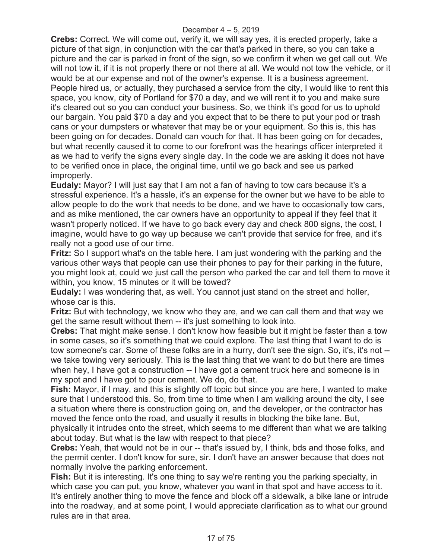**Crebs:** Correct. We will come out, verify it, we will say yes, it is erected properly, take a picture of that sign, in conjunction with the car that's parked in there, so you can take a picture and the car is parked in front of the sign, so we confirm it when we get call out. We will not tow it, if it is not properly there or not there at all. We would not tow the vehicle, or it would be at our expense and not of the owner's expense. It is a business agreement. People hired us, or actually, they purchased a service from the city, I would like to rent this space, you know, city of Portland for \$70 a day, and we will rent it to you and make sure it's cleared out so you can conduct your business. So, we think it's good for us to uphold our bargain. You paid \$70 a day and you expect that to be there to put your pod or trash cans or your dumpsters or whatever that may be or your equipment. So this is, this has been going on for decades. Donald can vouch for that. It has been going on for decades, but what recently caused it to come to our forefront was the hearings officer interpreted it as we had to verify the signs every single day. In the code we are asking it does not have to be verified once in place, the original time, until we go back and see us parked improperly.

**Eudaly:** Mayor? I will just say that I am not a fan of having to tow cars because it's a stressful experience. It's a hassle, it's an expense for the owner but we have to be able to allow people to do the work that needs to be done, and we have to occasionally tow cars, and as mike mentioned, the car owners have an opportunity to appeal if they feel that it wasn't properly noticed. If we have to go back every day and check 800 signs, the cost, I imagine, would have to go way up because we can't provide that service for free, and it's really not a good use of our time.

**Fritz:** So I support what's on the table here. I am just wondering with the parking and the various other ways that people can use their phones to pay for their parking in the future, you might look at, could we just call the person who parked the car and tell them to move it within, you know, 15 minutes or it will be towed?

**Eudaly:** I was wondering that, as well. You cannot just stand on the street and holler, whose car is this.

**Fritz:** But with technology, we know who they are, and we can call them and that way we get the same result without them -- it's just something to look into.

**Crebs:** That might make sense. I don't know how feasible but it might be faster than a tow in some cases, so it's something that we could explore. The last thing that I want to do is tow someone's car. Some of these folks are in a hurry, don't see the sign. So, it's, it's not - we take towing very seriously. This is the last thing that we want to do but there are times when hey, I have got a construction -- I have got a cement truck here and someone is in my spot and I have got to pour cement. We do, do that.

**Fish:** Mayor, if I may, and this is slightly off topic but since you are here, I wanted to make sure that I understood this. So, from time to time when I am walking around the city, I see a situation where there is construction going on, and the developer, or the contractor has moved the fence onto the road, and usually it results in blocking the bike lane. But,

physically it intrudes onto the street, which seems to me different than what we are talking about today. But what is the law with respect to that piece?

**Crebs:** Yeah, that would not be in our -- that's issued by, I think, bds and those folks, and the permit center. I don't know for sure, sir. I don't have an answer because that does not normally involve the parking enforcement.

**Fish:** But it is interesting. It's one thing to say we're renting you the parking specialty, in which case you can put, you know, whatever you want in that spot and have access to it. It's entirely another thing to move the fence and block off a sidewalk, a bike lane or intrude into the roadway, and at some point, I would appreciate clarification as to what our ground rules are in that area.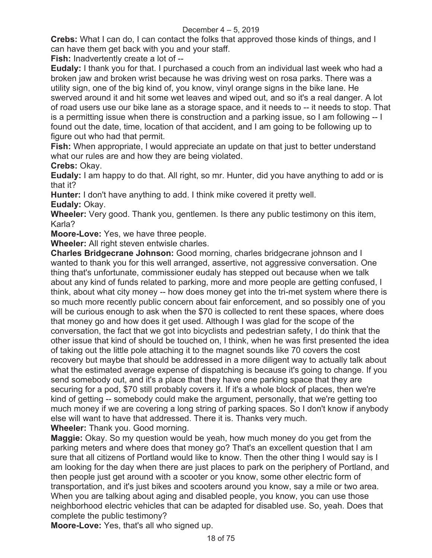**Crebs:** What I can do, I can contact the folks that approved those kinds of things, and I can have them get back with you and your staff.

**Fish:** Inadvertently create a lot of --

**Eudaly:** I thank you for that. I purchased a couch from an individual last week who had a broken jaw and broken wrist because he was driving west on rosa parks. There was a utility sign, one of the big kind of, you know, vinyl orange signs in the bike lane. He swerved around it and hit some wet leaves and wiped out, and so it's a real danger. A lot of road users use our bike lane as a storage space, and it needs to -- it needs to stop. That is a permitting issue when there is construction and a parking issue, so I am following -- I found out the date, time, location of that accident, and I am going to be following up to figure out who had that permit.

**Fish:** When appropriate, I would appreciate an update on that just to better understand what our rules are and how they are being violated.

**Crebs:** Okay.

**Eudaly:** I am happy to do that. All right, so mr. Hunter, did you have anything to add or is that it?

**Hunter:** I don't have anything to add. I think mike covered it pretty well. **Eudaly:** Okay.

**Wheeler:** Very good. Thank you, gentlemen. Is there any public testimony on this item, Karla?

**Moore-Love:** Yes, we have three people.

**Wheeler:** All right steven entwisle charles.

**Charles Bridgecrane Johnson:** Good morning, charles bridgecrane johnson and I wanted to thank you for this well arranged, assertive, not aggressive conversation. One thing that's unfortunate, commissioner eudaly has stepped out because when we talk about any kind of funds related to parking, more and more people are getting confused, I think, about what city money -- how does money get into the tri-met system where there is so much more recently public concern about fair enforcement, and so possibly one of you will be curious enough to ask when the \$70 is collected to rent these spaces, where does that money go and how does it get used. Although I was glad for the scope of the conversation, the fact that we got into bicyclists and pedestrian safety, I do think that the other issue that kind of should be touched on, I think, when he was first presented the idea of taking out the little pole attaching it to the magnet sounds like 70 covers the cost recovery but maybe that should be addressed in a more diligent way to actually talk about what the estimated average expense of dispatching is because it's going to change. If you send somebody out, and it's a place that they have one parking space that they are securing for a pod, \$70 still probably covers it. If it's a whole block of places, then we're kind of getting -- somebody could make the argument, personally, that we're getting too much money if we are covering a long string of parking spaces. So I don't know if anybody else will want to have that addressed. There it is. Thanks very much. **Wheeler:** Thank you. Good morning.

**Maggie:** Okay. So my question would be yeah, how much money do you get from the parking meters and where does that money go? That's an excellent question that I am sure that all citizens of Portland would like to know. Then the other thing I would say is I am looking for the day when there are just places to park on the periphery of Portland, and then people just get around with a scooter or you know, some other electric form of transportation, and it's just bikes and scooters around you know, say a mile or two area. When you are talking about aging and disabled people, you know, you can use those neighborhood electric vehicles that can be adapted for disabled use. So, yeah. Does that complete the public testimony?

**Moore-Love:** Yes, that's all who signed up.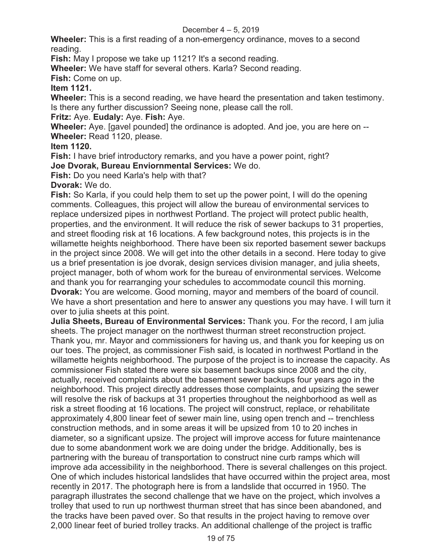**Wheeler:** This is a first reading of a non-emergency ordinance, moves to a second reading.

**Fish:** May I propose we take up 1121? It's a second reading.

**Wheeler:** We have staff for several others. Karla? Second reading.

**Fish:** Come on up.

**Item 1121.** 

**Wheeler:** This is a second reading, we have heard the presentation and taken testimony. Is there any further discussion? Seeing none, please call the roll.

**Fritz:** Aye. **Eudaly:** Aye. **Fish:** Aye.

**Wheeler:** Aye. [gavel pounded] the ordinance is adopted. And joe, you are here on -- **Wheeler:** Read 1120, please.

**Item 1120.** 

**Fish:** I have brief introductory remarks, and you have a power point, right?

**Joe Dvorak, Bureau Enviornmental Services:** We do.

**Fish:** Do you need Karla's help with that?

**Dvorak:** We do.

**Fish:** So Karla, if you could help them to set up the power point, I will do the opening comments. Colleagues, this project will allow the bureau of environmental services to replace undersized pipes in northwest Portland. The project will protect public health, properties, and the environment. It will reduce the risk of sewer backups to 31 properties, and street flooding risk at 16 locations. A few background notes, this projects is in the willamette heights neighborhood. There have been six reported basement sewer backups in the project since 2008. We will get into the other details in a second. Here today to give us a brief presentation is joe dvorak, design services division manager, and julia sheets, project manager, both of whom work for the bureau of environmental services. Welcome and thank you for rearranging your schedules to accommodate council this morning. **Dvorak:** You are welcome. Good morning, mayor and members of the board of council. We have a short presentation and here to answer any questions you may have. I will turn it over to julia sheets at this point.

**Julia Sheets, Bureau of Environmental Services:** Thank you. For the record, I am julia sheets. The project manager on the northwest thurman street reconstruction project. Thank you, mr. Mayor and commissioners for having us, and thank you for keeping us on our toes. The project, as commissioner Fish said, is located in northwest Portland in the willamette heights neighborhood. The purpose of the project is to increase the capacity. As commissioner Fish stated there were six basement backups since 2008 and the city, actually, received complaints about the basement sewer backups four years ago in the neighborhood. This project directly addresses those complaints, and upsizing the sewer will resolve the risk of backups at 31 properties throughout the neighborhood as well as risk a street flooding at 16 locations. The project will construct, replace, or rehabilitate approximately 4,800 linear feet of sewer main line, using open trench and -- trenchless construction methods, and in some areas it will be upsized from 10 to 20 inches in diameter, so a significant upsize. The project will improve access for future maintenance due to some abandonment work we are doing under the bridge. Additionally, bes is partnering with the bureau of transportation to construct nine curb ramps which will improve ada accessibility in the neighborhood. There is several challenges on this project. One of which includes historical landslides that have occurred within the project area, most recently in 2017. The photograph here is from a landslide that occurred in 1950. The paragraph illustrates the second challenge that we have on the project, which involves a trolley that used to run up northwest thurman street that has since been abandoned, and the tracks have been paved over. So that results in the project having to remove over 2,000 linear feet of buried trolley tracks. An additional challenge of the project is traffic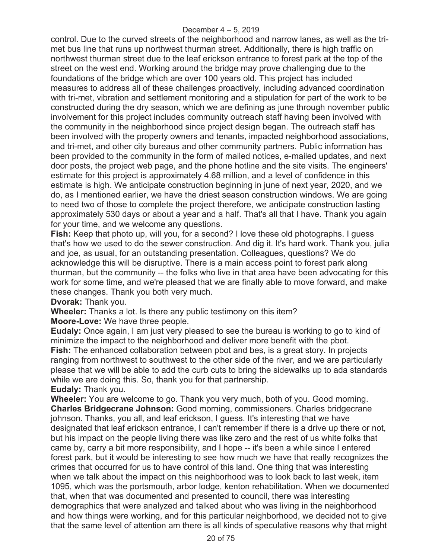control. Due to the curved streets of the neighborhood and narrow lanes, as well as the trimet bus line that runs up northwest thurman street. Additionally, there is high traffic on northwest thurman street due to the leaf erickson entrance to forest park at the top of the street on the west end. Working around the bridge may prove challenging due to the foundations of the bridge which are over 100 years old. This project has included measures to address all of these challenges proactively, including advanced coordination with tri-met, vibration and settlement monitoring and a stipulation for part of the work to be constructed during the dry season, which we are defining as june through november public involvement for this project includes community outreach staff having been involved with the community in the neighborhood since project design began. The outreach staff has been involved with the property owners and tenants, impacted neighborhood associations, and tri-met, and other city bureaus and other community partners. Public information has been provided to the community in the form of mailed notices, e-mailed updates, and next door posts, the project web page, and the phone hotline and the site visits. The engineers' estimate for this project is approximately 4.68 million, and a level of confidence in this estimate is high. We anticipate construction beginning in june of next year, 2020, and we do, as I mentioned earlier, we have the driest season construction windows. We are going to need two of those to complete the project therefore, we anticipate construction lasting approximately 530 days or about a year and a half. That's all that I have. Thank you again for your time, and we welcome any questions.

**Fish:** Keep that photo up, will you, for a second? I love these old photographs. I guess that's how we used to do the sewer construction. And dig it. It's hard work. Thank you, julia and joe, as usual, for an outstanding presentation. Colleagues, questions? We do acknowledge this will be disruptive. There is a main access point to forest park along thurman, but the community -- the folks who live in that area have been advocating for this work for some time, and we're pleased that we are finally able to move forward, and make these changes. Thank you both very much.

**Dvorak:** Thank you.

**Wheeler:** Thanks a lot. Is there any public testimony on this item?

**Moore-Love:** We have three people.

**Eudaly:** Once again, I am just very pleased to see the bureau is working to go to kind of minimize the impact to the neighborhood and deliver more benefit with the pbot. **Fish:** The enhanced collaboration between pbot and bes, is a great story. In projects

ranging from northwest to southwest to the other side of the river, and we are particularly please that we will be able to add the curb cuts to bring the sidewalks up to ada standards while we are doing this. So, thank you for that partnership.

**Eudaly:** Thank you.

**Wheeler:** You are welcome to go. Thank you very much, both of you. Good morning. **Charles Bridgecrane Johnson:** Good morning, commissioners. Charles bridgecrane johnson. Thanks, you all, and leaf erickson, I guess. It's interesting that we have designated that leaf erickson entrance, I can't remember if there is a drive up there or not, but his impact on the people living there was like zero and the rest of us white folks that came by, carry a bit more responsibility, and I hope -- it's been a while since I entered forest park, but it would be interesting to see how much we have that really recognizes the crimes that occurred for us to have control of this land. One thing that was interesting when we talk about the impact on this neighborhood was to look back to last week, item 1095, which was the portsmouth, arbor lodge, kenton rehabilitation. When we documented that, when that was documented and presented to council, there was interesting demographics that were analyzed and talked about who was living in the neighborhood and how things were working, and for this particular neighborhood, we decided not to give that the same level of attention am there is all kinds of speculative reasons why that might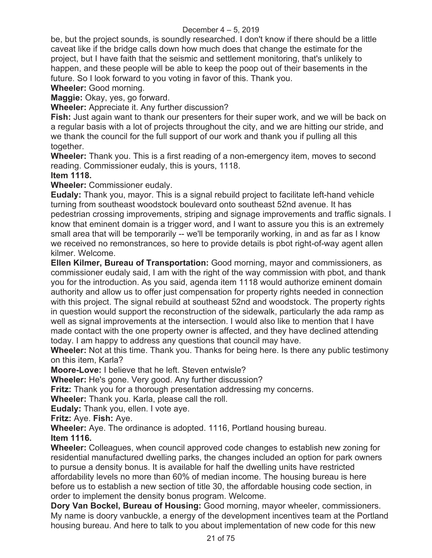be, but the project sounds, is soundly researched. I don't know if there should be a little caveat like if the bridge calls down how much does that change the estimate for the project, but I have faith that the seismic and settlement monitoring, that's unlikely to happen, and these people will be able to keep the poop out of their basements in the future. So I look forward to you voting in favor of this. Thank you.

**Wheeler:** Good morning.

**Maggie:** Okay, yes, go forward.

**Wheeler:** Appreciate it. Any further discussion?

**Fish:** Just again want to thank our presenters for their super work, and we will be back on a regular basis with a lot of projects throughout the city, and we are hitting our stride, and we thank the council for the full support of our work and thank you if pulling all this together.

**Wheeler:** Thank you. This is a first reading of a non-emergency item, moves to second reading. Commissioner eudaly, this is yours, 1118.

#### **Item 1118.**

**Wheeler:** Commissioner eudaly.

**Eudaly:** Thank you, mayor. This is a signal rebuild project to facilitate left-hand vehicle turning from southeast woodstock boulevard onto southeast 52nd avenue. It has pedestrian crossing improvements, striping and signage improvements and traffic signals. I know that eminent domain is a trigger word, and I want to assure you this is an extremely small area that will be temporarily -- we'll be temporarily working, in and as far as I know we received no remonstrances, so here to provide details is pbot right-of-way agent allen kilmer. Welcome.

**Ellen Kilmer, Bureau of Transportation:** Good morning, mayor and commissioners, as commissioner eudaly said, I am with the right of the way commission with pbot, and thank you for the introduction. As you said, agenda item 1118 would authorize eminent domain authority and allow us to offer just compensation for property rights needed in connection with this project. The signal rebuild at southeast 52nd and woodstock. The property rights in question would support the reconstruction of the sidewalk, particularly the ada ramp as well as signal improvements at the intersection. I would also like to mention that I have made contact with the one property owner is affected, and they have declined attending today. I am happy to address any questions that council may have.

**Wheeler:** Not at this time. Thank you. Thanks for being here. Is there any public testimony on this item, Karla?

**Moore-Love:** I believe that he left. Steven entwisle?

**Wheeler:** He's gone. Very good. Any further discussion?

**Fritz:** Thank you for a thorough presentation addressing my concerns.

**Wheeler:** Thank you. Karla, please call the roll.

**Eudaly:** Thank you, ellen. I vote aye.

**Fritz:** Aye. **Fish:** Aye.

**Wheeler:** Aye. The ordinance is adopted. 1116, Portland housing bureau.

**Item 1116.** 

**Wheeler:** Colleagues, when council approved code changes to establish new zoning for residential manufactured dwelling parks, the changes included an option for park owners to pursue a density bonus. It is available for half the dwelling units have restricted affordability levels no more than 60% of median income. The housing bureau is here before us to establish a new section of title 30, the affordable housing code section, in order to implement the density bonus program. Welcome.

**Dory Van Bockel, Bureau of Housing:** Good morning, mayor wheeler, commissioners. My name is doory vanbuckle, a energy of the development incentives team at the Portland housing bureau. And here to talk to you about implementation of new code for this new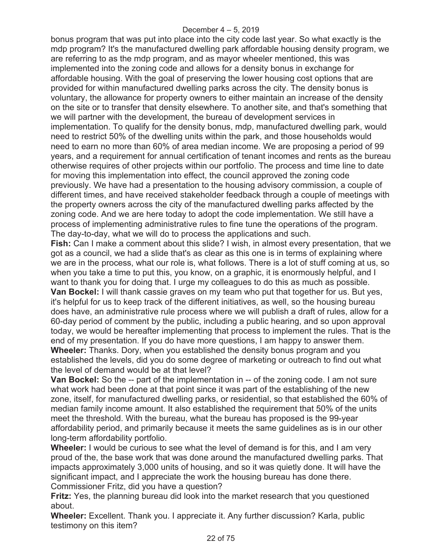bonus program that was put into place into the city code last year. So what exactly is the mdp program? It's the manufactured dwelling park affordable housing density program, we are referring to as the mdp program, and as mayor wheeler mentioned, this was implemented into the zoning code and allows for a density bonus in exchange for affordable housing. With the goal of preserving the lower housing cost options that are provided for within manufactured dwelling parks across the city. The density bonus is voluntary, the allowance for property owners to either maintain an increase of the density on the site or to transfer that density elsewhere. To another site, and that's something that we will partner with the development, the bureau of development services in implementation. To qualify for the density bonus, mdp, manufactured dwelling park, would need to restrict 50% of the dwelling units within the park, and those households would need to earn no more than 60% of area median income. We are proposing a period of 99 years, and a requirement for annual certification of tenant incomes and rents as the bureau otherwise requires of other projects within our portfolio. The process and time line to date for moving this implementation into effect, the council approved the zoning code previously. We have had a presentation to the housing advisory commission, a couple of different times, and have received stakeholder feedback through a couple of meetings with the property owners across the city of the manufactured dwelling parks affected by the zoning code. And we are here today to adopt the code implementation. We still have a process of implementing administrative rules to fine tune the operations of the program. The day-to-day, what we will do to process the applications and such.

**Fish:** Can I make a comment about this slide? I wish, in almost every presentation, that we got as a council, we had a slide that's as clear as this one is in terms of explaining where we are in the process, what our role is, what follows. There is a lot of stuff coming at us, so when you take a time to put this, you know, on a graphic, it is enormously helpful, and I want to thank you for doing that. I urge my colleagues to do this as much as possible. **Van Bockel:** I will thank cassie graves on my team who put that together for us. But yes, it's helpful for us to keep track of the different initiatives, as well, so the housing bureau does have, an administrative rule process where we will publish a draft of rules, allow for a 60-day period of comment by the public, including a public hearing, and so upon approval today, we would be hereafter implementing that process to implement the rules. That is the end of my presentation. If you do have more questions, I am happy to answer them. **Wheeler:** Thanks. Dory, when you established the density bonus program and you established the levels, did you do some degree of marketing or outreach to find out what the level of demand would be at that level?

**Van Bockel:** So the -- part of the implementation in -- of the zoning code. I am not sure what work had been done at that point since it was part of the establishing of the new zone, itself, for manufactured dwelling parks, or residential, so that established the 60% of median family income amount. It also established the requirement that 50% of the units meet the threshold. With the bureau, what the bureau has proposed is the 99-year affordability period, and primarily because it meets the same guidelines as is in our other long-term affordability portfolio.

**Wheeler:** I would be curious to see what the level of demand is for this, and I am very proud of the, the base work that was done around the manufactured dwelling parks. That impacts approximately 3,000 units of housing, and so it was quietly done. It will have the significant impact, and I appreciate the work the housing bureau has done there. Commissioner Fritz, did you have a question?

**Fritz:** Yes, the planning bureau did look into the market research that you questioned about.

**Wheeler:** Excellent. Thank you. I appreciate it. Any further discussion? Karla, public testimony on this item?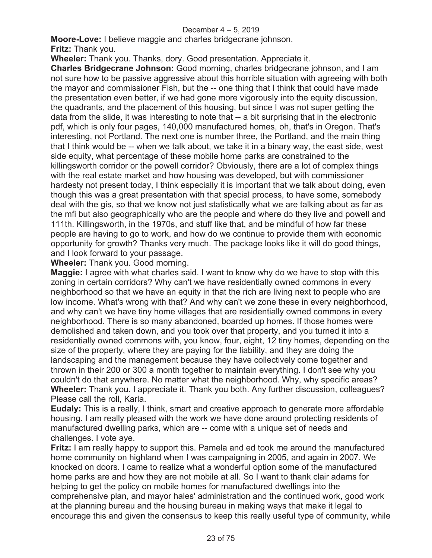**Moore-Love:** I believe maggie and charles bridgecrane johnson. **Fritz:** Thank you.

**Wheeler:** Thank you. Thanks, dory. Good presentation. Appreciate it.

**Charles Bridgecrane Johnson:** Good morning, charles bridgecrane johnson, and I am not sure how to be passive aggressive about this horrible situation with agreeing with both the mayor and commissioner Fish, but the -- one thing that I think that could have made the presentation even better, if we had gone more vigorously into the equity discussion, the quadrants, and the placement of this housing, but since I was not super getting the data from the slide, it was interesting to note that -- a bit surprising that in the electronic pdf, which is only four pages, 140,000 manufactured homes, oh, that's in Oregon. That's interesting, not Portland. The next one is number three, the Portland, and the main thing that I think would be -- when we talk about, we take it in a binary way, the east side, west side equity, what percentage of these mobile home parks are constrained to the killingsworth corridor or the powell corridor? Obviously, there are a lot of complex things with the real estate market and how housing was developed, but with commissioner hardesty not present today, I think especially it is important that we talk about doing, even though this was a great presentation with that special process, to have some, somebody deal with the gis, so that we know not just statistically what we are talking about as far as the mfi but also geographically who are the people and where do they live and powell and 111th. Killingsworth, in the 1970s, and stuff like that, and be mindful of how far these people are having to go to work, and how do we continue to provide them with economic opportunity for growth? Thanks very much. The package looks like it will do good things, and I look forward to your passage.

**Wheeler:** Thank you. Good morning.

**Maggie:** I agree with what charles said. I want to know why do we have to stop with this zoning in certain corridors? Why can't we have residentially owned commons in every neighborhood so that we have an equity in that the rich are living next to people who are low income. What's wrong with that? And why can't we zone these in every neighborhood, and why can't we have tiny home villages that are residentially owned commons in every neighborhood. There is so many abandoned, boarded up homes. If those homes were demolished and taken down, and you took over that property, and you turned it into a residentially owned commons with, you know, four, eight, 12 tiny homes, depending on the size of the property, where they are paying for the liability, and they are doing the landscaping and the management because they have collectively come together and thrown in their 200 or 300 a month together to maintain everything. I don't see why you couldn't do that anywhere. No matter what the neighborhood. Why, why specific areas? **Wheeler:** Thank you. I appreciate it. Thank you both. Any further discussion, colleagues? Please call the roll, Karla.

**Eudaly:** This is a really, I think, smart and creative approach to generate more affordable housing. I am really pleased with the work we have done around protecting residents of manufactured dwelling parks, which are -- come with a unique set of needs and challenges. I vote aye.

**Fritz:** I am really happy to support this. Pamela and ed took me around the manufactured home community on highland when I was campaigning in 2005, and again in 2007. We knocked on doors. I came to realize what a wonderful option some of the manufactured home parks are and how they are not mobile at all. So I want to thank clair adams for helping to get the policy on mobile homes for manufactured dwellings into the comprehensive plan, and mayor hales' administration and the continued work, good work at the planning bureau and the housing bureau in making ways that make it legal to encourage this and given the consensus to keep this really useful type of community, while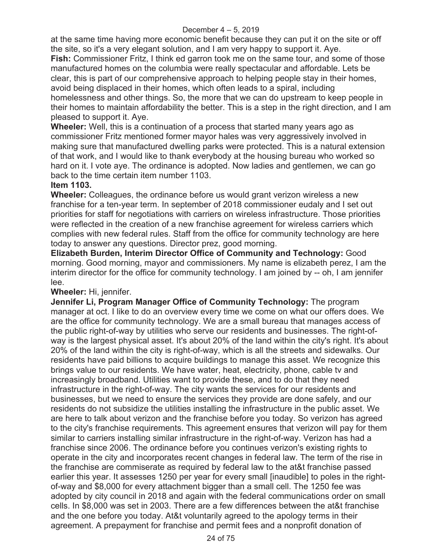at the same time having more economic benefit because they can put it on the site or off the site, so it's a very elegant solution, and I am very happy to support it. Aye.

**Fish:** Commissioner Fritz, I think ed garron took me on the same tour, and some of those manufactured homes on the columbia were really spectacular and affordable. Lets be clear, this is part of our comprehensive approach to helping people stay in their homes, avoid being displaced in their homes, which often leads to a spiral, including homelessness and other things. So, the more that we can do upstream to keep people in their homes to maintain affordability the better. This is a step in the right direction, and I am pleased to support it. Aye.

**Wheeler:** Well, this is a continuation of a process that started many years ago as commissioner Fritz mentioned former mayor hales was very aggressively involved in making sure that manufactured dwelling parks were protected. This is a natural extension of that work, and I would like to thank everybody at the housing bureau who worked so hard on it. I vote aye. The ordinance is adopted. Now ladies and gentlemen, we can go back to the time certain item number 1103.

# **Item 1103.**

**Wheeler:** Colleagues, the ordinance before us would grant verizon wireless a new franchise for a ten-year term. In september of 2018 commissioner eudaly and I set out priorities for staff for negotiations with carriers on wireless infrastructure. Those priorities were reflected in the creation of a new franchise agreement for wireless carriers which complies with new federal rules. Staff from the office for community technology are here today to answer any questions. Director prez, good morning.

**Elizabeth Burden, Interim Director Office of Community and Technology:** Good morning. Good morning, mayor and commissioners. My name is elizabeth perez, I am the interim director for the office for community technology. I am joined by -- oh, I am jennifer lee.

# **Wheeler:** Hi, jennifer.

**Jennifer Li, Program Manager Office of Community Technology:** The program manager at oct. I like to do an overview every time we come on what our offers does. We are the office for community technology. We are a small bureau that manages access of the public right-of-way by utilities who serve our residents and businesses. The right-ofway is the largest physical asset. It's about 20% of the land within the city's right. It's about 20% of the land within the city is right-of-way, which is all the streets and sidewalks. Our residents have paid billions to acquire buildings to manage this asset. We recognize this brings value to our residents. We have water, heat, electricity, phone, cable tv and increasingly broadband. Utilities want to provide these, and to do that they need infrastructure in the right-of-way. The city wants the services for our residents and businesses, but we need to ensure the services they provide are done safely, and our residents do not subsidize the utilities installing the infrastructure in the public asset. We are here to talk about verizon and the franchise before you today. So verizon has agreed to the city's franchise requirements. This agreement ensures that verizon will pay for them similar to carriers installing similar infrastructure in the right-of-way. Verizon has had a franchise since 2006. The ordinance before you continues verizon's existing rights to operate in the city and incorporates recent changes in federal law. The term of the rise in the franchise are commiserate as required by federal law to the at&t franchise passed earlier this year. It assesses 1250 per year for every small [inaudible] to poles in the rightof-way and \$8,000 for every attachment bigger than a small cell. The 1250 fee was adopted by city council in 2018 and again with the federal communications order on small cells. In \$8,000 was set in 2003. There are a few differences between the at&t franchise and the one before you today. At&t voluntarily agreed to the apology terms in their agreement. A prepayment for franchise and permit fees and a nonprofit donation of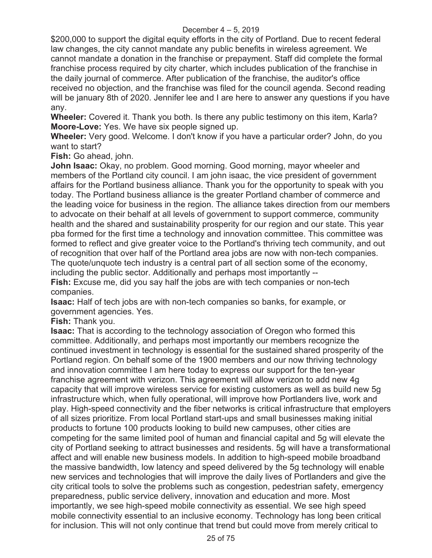\$200,000 to support the digital equity efforts in the city of Portland. Due to recent federal law changes, the city cannot mandate any public benefits in wireless agreement. We cannot mandate a donation in the franchise or prepayment. Staff did complete the formal franchise process required by city charter, which includes publication of the franchise in the daily journal of commerce. After publication of the franchise, the auditor's office received no objection, and the franchise was filed for the council agenda. Second reading will be january 8th of 2020. Jennifer lee and I are here to answer any questions if you have any.

**Wheeler:** Covered it. Thank you both. Is there any public testimony on this item, Karla? **Moore-Love:** Yes. We have six people signed up.

**Wheeler:** Very good. Welcome. I don't know if you have a particular order? John, do you want to start?

**Fish:** Go ahead, john.

**John Isaac:** Okay, no problem. Good morning. Good morning, mayor wheeler and members of the Portland city council. I am john isaac, the vice president of government affairs for the Portland business alliance. Thank you for the opportunity to speak with you today. The Portland business alliance is the greater Portland chamber of commerce and the leading voice for business in the region. The alliance takes direction from our members to advocate on their behalf at all levels of government to support commerce, community health and the shared and sustainability prosperity for our region and our state. This year pba formed for the first time a technology and innovation committee. This committee was formed to reflect and give greater voice to the Portland's thriving tech community, and out of recognition that over half of the Portland area jobs are now with non-tech companies. The quote/unquote tech industry is a central part of all section some of the economy, including the public sector. Additionally and perhaps most importantly --

**Fish:** Excuse me, did you say half the jobs are with tech companies or non-tech companies.

**Isaac:** Half of tech jobs are with non-tech companies so banks, for example, or government agencies. Yes.

**Fish:** Thank you.

**Isaac:** That is according to the technology association of Oregon who formed this committee. Additionally, and perhaps most importantly our members recognize the continued investment in technology is essential for the sustained shared prosperity of the Portland region. On behalf some of the 1900 members and our now thriving technology and innovation committee I am here today to express our support for the ten-year franchise agreement with verizon. This agreement will allow verizon to add new 4g capacity that will improve wireless service for existing customers as well as build new 5g infrastructure which, when fully operational, will improve how Portlanders live, work and play. High-speed connectivity and the fiber networks is critical infrastructure that employers of all sizes prioritize. From local Portland start-ups and small businesses making initial products to fortune 100 products looking to build new campuses, other cities are competing for the same limited pool of human and financial capital and 5g will elevate the city of Portland seeking to attract businesses and residents. 5g will have a transformational affect and will enable new business models. In addition to high-speed mobile broadband the massive bandwidth, low latency and speed delivered by the 5g technology will enable new services and technologies that will improve the daily lives of Portlanders and give the city critical tools to solve the problems such as congestion, pedestrian safety, emergency preparedness, public service delivery, innovation and education and more. Most importantly, we see high-speed mobile connectivity as essential. We see high speed mobile connectivity essential to an inclusive economy. Technology has long been critical for inclusion. This will not only continue that trend but could move from merely critical to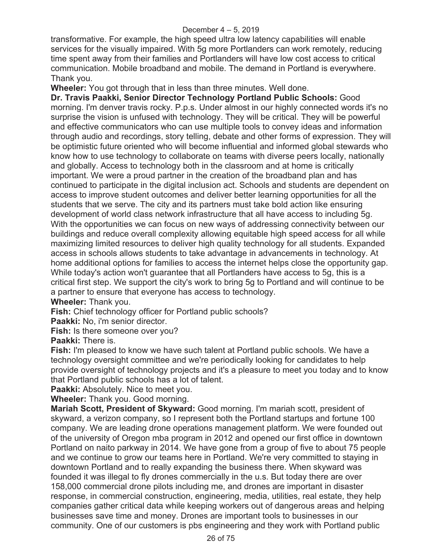transformative. For example, the high speed ultra low latency capabilities will enable services for the visually impaired. With 5g more Portlanders can work remotely, reducing time spent away from their families and Portlanders will have low cost access to critical communication. Mobile broadband and mobile. The demand in Portland is everywhere. Thank you.

**Wheeler:** You got through that in less than three minutes. Well done.

**Dr. Travis Paakki, Senior Director Technology Portland Public Schools:** Good morning. I'm denver travis rocky. P.p.s. Under almost in our highly connected words it's no surprise the vision is unfused with technology. They will be critical. They will be powerful and effective communicators who can use multiple tools to convey ideas and information through audio and recordings, story telling, debate and other forms of expression. They will be optimistic future oriented who will become influential and informed global stewards who know how to use technology to collaborate on teams with diverse peers locally, nationally and globally. Access to technology both in the classroom and at home is critically important. We were a proud partner in the creation of the broadband plan and has continued to participate in the digital inclusion act. Schools and students are dependent on access to improve student outcomes and deliver better learning opportunities for all the students that we serve. The city and its partners must take bold action like ensuring development of world class network infrastructure that all have access to including 5g. With the opportunities we can focus on new ways of addressing connectivity between our buildings and reduce overall complexity allowing equitable high speed access for all while maximizing limited resources to deliver high quality technology for all students. Expanded access in schools allows students to take advantage in advancements in technology. At home additional options for families to access the internet helps close the opportunity gap. While today's action won't guarantee that all Portlanders have access to 5g, this is a critical first step. We support the city's work to bring 5g to Portland and will continue to be a partner to ensure that everyone has access to technology.

**Wheeler:** Thank you.

**Fish:** Chief technology officer for Portland public schools?

**Paakki:** No, i'm senior director.

**Fish:** Is there someone over you?

**Paakki:** There is.

**Fish:** I'm pleased to know we have such talent at Portland public schools. We have a technology oversight committee and we're periodically looking for candidates to help provide oversight of technology projects and it's a pleasure to meet you today and to know that Portland public schools has a lot of talent.

**Paakki:** Absolutely. Nice to meet you.

**Wheeler:** Thank you. Good morning.

**Mariah Scott, President of Skyward:** Good morning. I'm mariah scott, president of skyward, a verizon company, so I represent both the Portland startups and fortune 100 company. We are leading drone operations management platform. We were founded out of the university of Oregon mba program in 2012 and opened our first office in downtown Portland on naito parkway in 2014. We have gone from a group of five to about 75 people and we continue to grow our teams here in Portland. We're very committed to staying in downtown Portland and to really expanding the business there. When skyward was founded it was illegal to fly drones commercially in the u.s. But today there are over 158,000 commercial drone pilots including me, and drones are important in disaster response, in commercial construction, engineering, media, utilities, real estate, they help companies gather critical data while keeping workers out of dangerous areas and helping businesses save time and money. Drones are important tools to businesses in our community. One of our customers is pbs engineering and they work with Portland public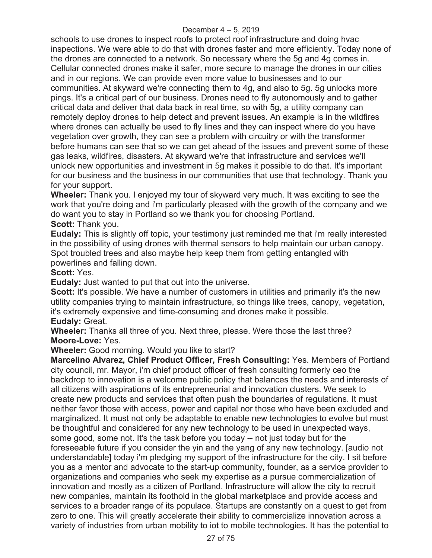schools to use drones to inspect roofs to protect roof infrastructure and doing hvac inspections. We were able to do that with drones faster and more efficiently. Today none of the drones are connected to a network. So necessary where the 5g and 4g comes in. Cellular connected drones make it safer, more secure to manage the drones in our cities and in our regions. We can provide even more value to businesses and to our communities. At skyward we're connecting them to 4g, and also to 5g. 5g unlocks more pings. It's a critical part of our business. Drones need to fly autonomously and to gather critical data and deliver that data back in real time, so with 5g, a utility company can remotely deploy drones to help detect and prevent issues. An example is in the wildfires where drones can actually be used to fly lines and they can inspect where do you have vegetation over growth, they can see a problem with circuitry or with the transformer before humans can see that so we can get ahead of the issues and prevent some of these gas leaks, wildfires, disasters. At skyward we're that infrastructure and services we'll unlock new opportunities and investment in 5g makes it possible to do that. It's important for our business and the business in our communities that use that technology. Thank you for your support.

**Wheeler:** Thank you. I enjoyed my tour of skyward very much. It was exciting to see the work that you're doing and i'm particularly pleased with the growth of the company and we do want you to stay in Portland so we thank you for choosing Portland. **Scott:** Thank you.

**Eudaly:** This is slightly off topic, your testimony just reminded me that i'm really interested in the possibility of using drones with thermal sensors to help maintain our urban canopy. Spot troubled trees and also maybe help keep them from getting entangled with powerlines and falling down.

**Scott:** Yes.

**Eudaly:** Just wanted to put that out into the universe.

**Scott:** It's possible. We have a number of customers in utilities and primarily it's the new utility companies trying to maintain infrastructure, so things like trees, canopy, vegetation, it's extremely expensive and time-consuming and drones make it possible. **Eudaly:** Great.

**Wheeler:** Thanks all three of you. Next three, please. Were those the last three? **Moore-Love:** Yes.

**Wheeler:** Good morning. Would you like to start?

**Marcelino Alvarez, Chief Product Officer, Fresh Consulting:** Yes. Members of Portland city council, mr. Mayor, i'm chief product officer of fresh consulting formerly ceo the backdrop to innovation is a welcome public policy that balances the needs and interests of all citizens with aspirations of its entrepreneurial and innovation clusters. We seek to create new products and services that often push the boundaries of regulations. It must neither favor those with access, power and capital nor those who have been excluded and marginalized. It must not only be adaptable to enable new technologies to evolve but must be thoughtful and considered for any new technology to be used in unexpected ways, some good, some not. It's the task before you today -- not just today but for the foreseeable future if you consider the yin and the yang of any new technology. [audio not understandable] today i'm pledging my support of the infrastructure for the city. I sit before you as a mentor and advocate to the start-up community, founder, as a service provider to organizations and companies who seek my expertise as a pursue commercialization of innovation and mostly as a citizen of Portland. Infrastructure will allow the city to recruit new companies, maintain its foothold in the global marketplace and provide access and services to a broader range of its populace. Startups are constantly on a quest to get from zero to one. This will greatly accelerate their ability to commercialize innovation across a variety of industries from urban mobility to iot to mobile technologies. It has the potential to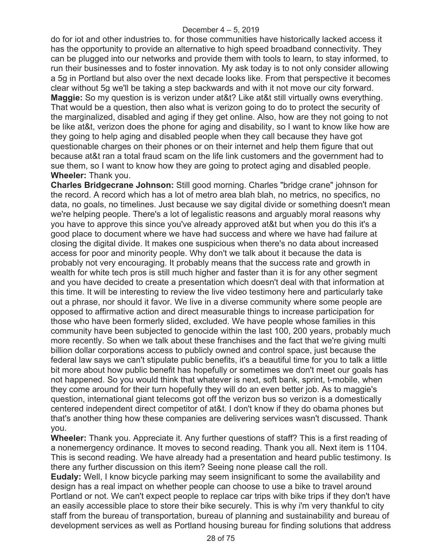do for iot and other industries to. for those communities have historically lacked access it has the opportunity to provide an alternative to high speed broadband connectivity. They can be plugged into our networks and provide them with tools to learn, to stay informed, to run their businesses and to foster innovation. My ask today is to not only consider allowing a 5g in Portland but also over the next decade looks like. From that perspective it becomes clear without 5g we'll be taking a step backwards and with it not move our city forward. **Maggie:** So my question is is verizon under at&t? Like at&t still virtually owns everything. That would be a question, then also what is verizon going to do to protect the security of the marginalized, disabled and aging if they get online. Also, how are they not going to not be like at&t, verizon does the phone for aging and disability, so I want to know like how are they going to help aging and disabled people when they call because they have got questionable charges on their phones or on their internet and help them figure that out because at&t ran a total fraud scam on the life link customers and the government had to sue them, so I want to know how they are going to protect aging and disabled people. **Wheeler:** Thank you.

**Charles Bridgecrane Johnson:** Still good morning. Charles "bridge crane" johnson for the record. A record which has a lot of metro area blah blah, no metrics, no specifics, no data, no goals, no timelines. Just because we say digital divide or something doesn't mean we're helping people. There's a lot of legalistic reasons and arguably moral reasons why you have to approve this since you've already approved at&t but when you do this it's a good place to document where we have had success and where we have had failure at closing the digital divide. It makes one suspicious when there's no data about increased access for poor and minority people. Why don't we talk about it because the data is probably not very encouraging. It probably means that the success rate and growth in wealth for white tech pros is still much higher and faster than it is for any other segment and you have decided to create a presentation which doesn't deal with that information at this time. It will be interesting to review the live video testimony here and particularly take out a phrase, nor should it favor. We live in a diverse community where some people are opposed to affirmative action and direct measurable things to increase participation for those who have been formerly slided, excluded. We have people whose families in this community have been subjected to genocide within the last 100, 200 years, probably much more recently. So when we talk about these franchises and the fact that we're giving multi billion dollar corporations access to publicly owned and control space, just because the federal law says we can't stipulate public benefits, it's a beautiful time for you to talk a little bit more about how public benefit has hopefully or sometimes we don't meet our goals has not happened. So you would think that whatever is next, soft bank, sprint, t-mobile, when they come around for their turn hopefully they will do an even better job. As to maggie's question, international giant telecoms got off the verizon bus so verizon is a domestically centered independent direct competitor of at&t. I don't know if they do obama phones but that's another thing how these companies are delivering services wasn't discussed. Thank you.

**Wheeler:** Thank you. Appreciate it. Any further questions of staff? This is a first reading of a nonemergency ordinance. It moves to second reading. Thank you all. Next item is 1104. This is second reading. We have already had a presentation and heard public testimony. Is there any further discussion on this item? Seeing none please call the roll.

**Eudaly:** Well, I know bicycle parking may seem insignificant to some the availability and design has a real impact on whether people can choose to use a bike to travel around Portland or not. We can't expect people to replace car trips with bike trips if they don't have an easily accessible place to store their bike securely. This is why i'm very thankful to city staff from the bureau of transportation, bureau of planning and sustainability and bureau of development services as well as Portland housing bureau for finding solutions that address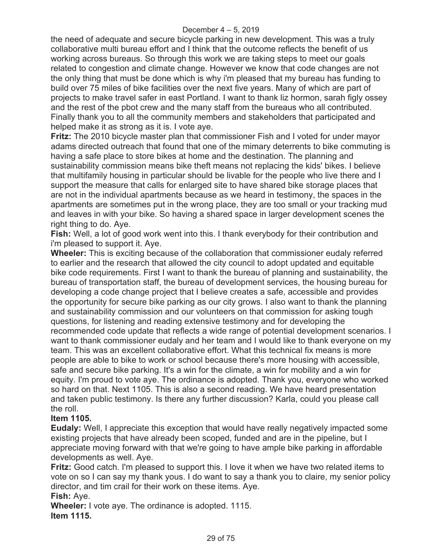the need of adequate and secure bicycle parking in new development. This was a truly collaborative multi bureau effort and I think that the outcome reflects the benefit of us working across bureaus. So through this work we are taking steps to meet our goals related to congestion and climate change. However we know that code changes are not the only thing that must be done which is why i'm pleased that my bureau has funding to build over 75 miles of bike facilities over the next five years. Many of which are part of projects to make travel safer in east Portland. I want to thank liz hormon, sarah figly ossey and the rest of the pbot crew and the many staff from the bureaus who all contributed. Finally thank you to all the community members and stakeholders that participated and helped make it as strong as it is. I vote aye.

**Fritz:** The 2010 bicycle master plan that commissioner Fish and I voted for under mayor adams directed outreach that found that one of the mimary deterrents to bike commuting is having a safe place to store bikes at home and the destination. The planning and sustainability commission means bike theft means not replacing the kids' bikes. I believe that multifamily housing in particular should be livable for the people who live there and I support the measure that calls for enlarged site to have shared bike storage places that are not in the individual apartments because as we heard in testimony, the spaces in the apartments are sometimes put in the wrong place, they are too small or your tracking mud and leaves in with your bike. So having a shared space in larger development scenes the right thing to do. Aye.

**Fish:** Well, a lot of good work went into this. I thank everybody for their contribution and i'm pleased to support it. Aye.

**Wheeler:** This is exciting because of the collaboration that commissioner eudaly referred to earlier and the research that allowed the city council to adopt updated and equitable bike code requirements. First I want to thank the bureau of planning and sustainability, the bureau of transportation staff, the bureau of development services, the housing bureau for developing a code change project that I believe creates a safe, accessible and provides the opportunity for secure bike parking as our city grows. I also want to thank the planning and sustainability commission and our volunteers on that commission for asking tough questions, for listening and reading extensive testimony and for developing the recommended code update that reflects a wide range of potential development scenarios. I want to thank commissioner eudaly and her team and I would like to thank everyone on my team. This was an excellent collaborative effort. What this technical fix means is more people are able to bike to work or school because there's more housing with accessible, safe and secure bike parking. It's a win for the climate, a win for mobility and a win for equity. I'm proud to vote aye. The ordinance is adopted. Thank you, everyone who worked so hard on that. Next 1105. This is also a second reading. We have heard presentation and taken public testimony. Is there any further discussion? Karla, could you please call the roll.

# **Item 1105.**

**Eudaly:** Well, I appreciate this exception that would have really negatively impacted some existing projects that have already been scoped, funded and are in the pipeline, but I appreciate moving forward with that we're going to have ample bike parking in affordable developments as well. Aye.

**Fritz:** Good catch. I'm pleased to support this. I love it when we have two related items to vote on so I can say my thank yous. I do want to say a thank you to claire, my senior policy director, and tim crail for their work on these items. Aye.

## **Fish:** Aye.

**Wheeler:** I vote aye. The ordinance is adopted. 1115. **Item 1115.**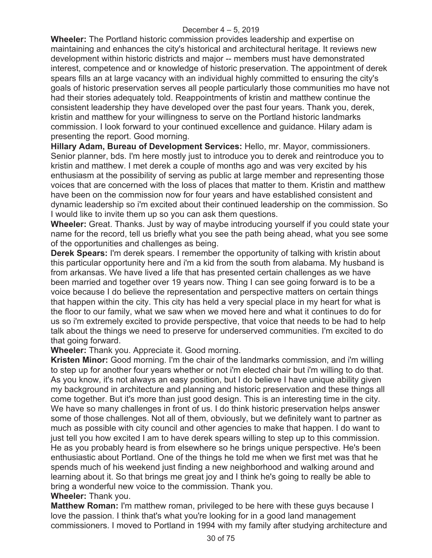**Wheeler:** The Portland historic commission provides leadership and expertise on maintaining and enhances the city's historical and architectural heritage. It reviews new development within historic districts and major -- members must have demonstrated interest, competence and or knowledge of historic preservation. The appointment of derek spears fills an at large vacancy with an individual highly committed to ensuring the city's goals of historic preservation serves all people particularly those communities mo have not had their stories adequately told. Reappointments of kristin and matthew continue the consistent leadership they have developed over the past four years. Thank you, derek, kristin and matthew for your willingness to serve on the Portland historic landmarks commission. I look forward to your continued excellence and guidance. Hilary adam is presenting the report. Good morning.

**Hillary Adam, Bureau of Development Services:** Hello, mr. Mayor, commissioners. Senior planner, bds. I'm here mostly just to introduce you to derek and reintroduce you to kristin and matthew. I met derek a couple of months ago and was very excited by his enthusiasm at the possibility of serving as public at large member and representing those voices that are concerned with the loss of places that matter to them. Kristin and matthew have been on the commission now for four years and have established consistent and dynamic leadership so i'm excited about their continued leadership on the commission. So I would like to invite them up so you can ask them questions.

**Wheeler:** Great. Thanks. Just by way of maybe introducing yourself if you could state your name for the record, tell us briefly what you see the path being ahead, what you see some of the opportunities and challenges as being.

**Derek Spears:** I'm derek spears. I remember the opportunity of talking with kristin about this particular opportunity here and i'm a kid from the south from alabama. My husband is from arkansas. We have lived a life that has presented certain challenges as we have been married and together over 19 years now. Thing I can see going forward is to be a voice because I do believe the representation and perspective matters on certain things that happen within the city. This city has held a very special place in my heart for what is the floor to our family, what we saw when we moved here and what it continues to do for us so i'm extremely excited to provide perspective, that voice that needs to be had to help talk about the things we need to preserve for underserved communities. I'm excited to do that going forward.

**Wheeler:** Thank you. Appreciate it. Good morning.

**Kristen Minor:** Good morning. I'm the chair of the landmarks commission, and i'm willing to step up for another four years whether or not i'm elected chair but i'm willing to do that. As you know, it's not always an easy position, but I do believe I have unique ability given my background in architecture and planning and historic preservation and these things all come together. But it's more than just good design. This is an interesting time in the city. We have so many challenges in front of us. I do think historic preservation helps answer some of those challenges. Not all of them, obviously, but we definitely want to partner as much as possible with city council and other agencies to make that happen. I do want to just tell you how excited I am to have derek spears willing to step up to this commission. He as you probably heard is from elsewhere so he brings unique perspective. He's been enthusiastic about Portland. One of the things he told me when we first met was that he spends much of his weekend just finding a new neighborhood and walking around and learning about it. So that brings me great joy and I think he's going to really be able to bring a wonderful new voice to the commission. Thank you. **Wheeler:** Thank you.

**Matthew Roman:** I'm matthew roman, privileged to be here with these guys because I love the passion. I think that's what you're looking for in a good land management commissioners. I moved to Portland in 1994 with my family after studying architecture and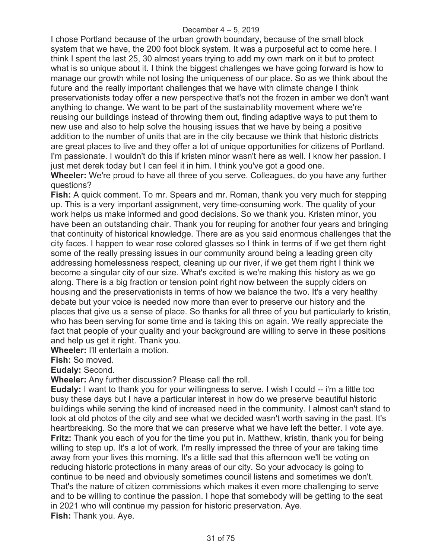I chose Portland because of the urban growth boundary, because of the small block system that we have, the 200 foot block system. It was a purposeful act to come here. I think I spent the last 25, 30 almost years trying to add my own mark on it but to protect what is so unique about it. I think the biggest challenges we have going forward is how to manage our growth while not losing the uniqueness of our place. So as we think about the future and the really important challenges that we have with climate change I think preservationists today offer a new perspective that's not the frozen in amber we don't want anything to change. We want to be part of the sustainability movement where we're reusing our buildings instead of throwing them out, finding adaptive ways to put them to new use and also to help solve the housing issues that we have by being a positive addition to the number of units that are in the city because we think that historic districts are great places to live and they offer a lot of unique opportunities for citizens of Portland. I'm passionate. I wouldn't do this if kristen minor wasn't here as well. I know her passion. I just met derek today but I can feel it in him. I think you've got a good one.

**Wheeler:** We're proud to have all three of you serve. Colleagues, do you have any further questions?

**Fish:** A quick comment. To mr. Spears and mr. Roman, thank you very much for stepping up. This is a very important assignment, very time-consuming work. The quality of your work helps us make informed and good decisions. So we thank you. Kristen minor, you have been an outstanding chair. Thank you for reuping for another four years and bringing that continuity of historical knowledge. There are as you said enormous challenges that the city faces. I happen to wear rose colored glasses so I think in terms of if we get them right some of the really pressing issues in our community around being a leading green city addressing homelessness respect, cleaning up our river, if we get them right I think we become a singular city of our size. What's excited is we're making this history as we go along. There is a big fraction or tension point right now between the supply ciders on housing and the preservationists in terms of how we balance the two. It's a very healthy debate but your voice is needed now more than ever to preserve our history and the places that give us a sense of place. So thanks for all three of you but particularly to kristin, who has been serving for some time and is taking this on again. We really appreciate the fact that people of your quality and your background are willing to serve in these positions and help us get it right. Thank you.

**Wheeler:** I'll entertain a motion.

**Fish:** So moved.

**Eudaly:** Second.

**Wheeler:** Any further discussion? Please call the roll.

**Eudaly:** I want to thank you for your willingness to serve. I wish I could -- i'm a little too busy these days but I have a particular interest in how do we preserve beautiful historic buildings while serving the kind of increased need in the community. I almost can't stand to look at old photos of the city and see what we decided wasn't worth saving in the past. It's heartbreaking. So the more that we can preserve what we have left the better. I vote aye. **Fritz:** Thank you each of you for the time you put in. Matthew, kristin, thank you for being willing to step up. It's a lot of work. I'm really impressed the three of your are taking time away from your lives this morning. It's a little sad that this afternoon we'll be voting on reducing historic protections in many areas of our city. So your advocacy is going to continue to be need and obviously sometimes council listens and sometimes we don't. That's the nature of citizen commissions which makes it even more challenging to serve and to be willing to continue the passion. I hope that somebody will be getting to the seat in 2021 who will continue my passion for historic preservation. Aye. **Fish:** Thank you. Aye.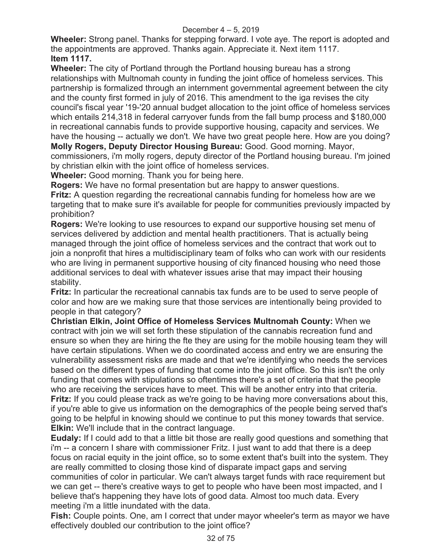**Wheeler:** Strong panel. Thanks for stepping forward. I vote aye. The report is adopted and the appointments are approved. Thanks again. Appreciate it. Next item 1117. **Item 1117.** 

**Wheeler:** The city of Portland through the Portland housing bureau has a strong relationships with Multnomah county in funding the joint office of homeless services. This partnership is formalized through an internment governmental agreement between the city and the county first formed in july of 2016. This amendment to the iga revises the city council's fiscal year '19-'20 annual budget allocation to the joint office of homeless services which entails 214,318 in federal carryover funds from the fall bump process and \$180,000 in recreational cannabis funds to provide supportive housing, capacity and services. We have the housing -- actually we don't. We have two great people here. How are you doing? **Molly Rogers, Deputy Director Housing Bureau:** Good. Good morning. Mayor,

commissioners, i'm molly rogers, deputy director of the Portland housing bureau. I'm joined by christian elkin with the joint office of homeless services.

**Wheeler:** Good morning. Thank you for being here.

**Rogers:** We have no formal presentation but are happy to answer questions. **Fritz:** A question regarding the recreational cannabis funding for homeless how are we targeting that to make sure it's available for people for communities previously impacted by prohibition?

**Rogers:** We're looking to use resources to expand our supportive housing set menu of services delivered by addiction and mental health practitioners. That is actually being managed through the joint office of homeless services and the contract that work out to join a nonprofit that hires a multidisciplinary team of folks who can work with our residents who are living in permanent supportive housing of city financed housing who need those additional services to deal with whatever issues arise that may impact their housing stability.

**Fritz:** In particular the recreational cannabis tax funds are to be used to serve people of color and how are we making sure that those services are intentionally being provided to people in that category?

**Christian Elkin, Joint Office of Homeless Services Multnomah County:** When we contract with join we will set forth these stipulation of the cannabis recreation fund and ensure so when they are hiring the fte they are using for the mobile housing team they will have certain stipulations. When we do coordinated access and entry we are ensuring the vulnerability assessment risks are made and that we're identifying who needs the services based on the different types of funding that come into the joint office. So this isn't the only funding that comes with stipulations so oftentimes there's a set of criteria that the people who are receiving the services have to meet. This will be another entry into that criteria. **Fritz:** If you could please track as we're going to be having more conversations about this, if you're able to give us information on the demographics of the people being served that's going to be helpful in knowing should we continue to put this money towards that service. **Elkin:** We'll include that in the contract language.

**Eudaly:** If I could add to that a little bit those are really good questions and something that i'm -- a concern I share with commissioner Fritz. I just want to add that there is a deep focus on racial equity in the joint office, so to some extent that's built into the system. They are really committed to closing those kind of disparate impact gaps and serving communities of color in particular. We can't always target funds with race requirement but we can get -- there's creative ways to get to people who have been most impacted, and I believe that's happening they have lots of good data. Almost too much data. Every meeting i'm a little inundated with the data.

**Fish:** Couple points. One, am I correct that under mayor wheeler's term as mayor we have effectively doubled our contribution to the joint office?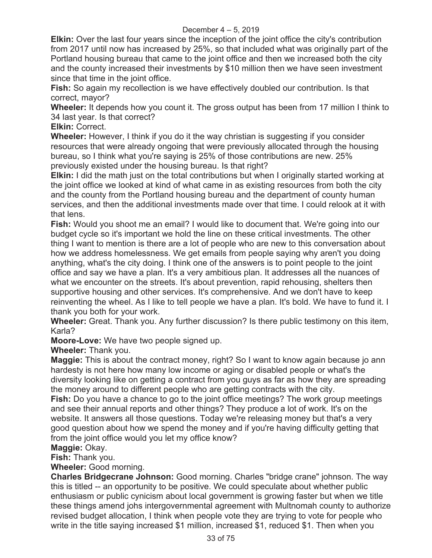**Elkin:** Over the last four years since the inception of the joint office the city's contribution from 2017 until now has increased by 25%, so that included what was originally part of the Portland housing bureau that came to the joint office and then we increased both the city and the county increased their investments by \$10 million then we have seen investment since that time in the joint office.

**Fish:** So again my recollection is we have effectively doubled our contribution. Is that correct, mayor?

**Wheeler:** It depends how you count it. The gross output has been from 17 million I think to 34 last year. Is that correct?

**Elkin:** Correct.

**Wheeler:** However, I think if you do it the way christian is suggesting if you consider resources that were already ongoing that were previously allocated through the housing bureau, so I think what you're saying is 25% of those contributions are new. 25% previously existed under the housing bureau. Is that right?

**Elkin:** I did the math just on the total contributions but when I originally started working at the joint office we looked at kind of what came in as existing resources from both the city and the county from the Portland housing bureau and the department of county human services, and then the additional investments made over that time. I could relook at it with that lens.

**Fish:** Would you shoot me an email? I would like to document that. We're going into our budget cycle so it's important we hold the line on these critical investments. The other thing I want to mention is there are a lot of people who are new to this conversation about how we address homelessness. We get emails from people saying why aren't you doing anything, what's the city doing. I think one of the answers is to point people to the joint office and say we have a plan. It's a very ambitious plan. It addresses all the nuances of what we encounter on the streets. It's about prevention, rapid rehousing, shelters then supportive housing and other services. It's comprehensive. And we don't have to keep reinventing the wheel. As I like to tell people we have a plan. It's bold. We have to fund it. I thank you both for your work.

**Wheeler:** Great. Thank you. Any further discussion? Is there public testimony on this item, Karla?

**Moore-Love:** We have two people signed up.

**Wheeler:** Thank you.

**Maggie:** This is about the contract money, right? So I want to know again because jo ann hardesty is not here how many low income or aging or disabled people or what's the diversity looking like on getting a contract from you guys as far as how they are spreading the money around to different people who are getting contracts with the city.

**Fish:** Do you have a chance to go to the joint office meetings? The work group meetings and see their annual reports and other things? They produce a lot of work. It's on the website. It answers all those questions. Today we're releasing money but that's a very good question about how we spend the money and if you're having difficulty getting that from the joint office would you let my office know?

# **Maggie:** Okay.

**Fish:** Thank you.

**Wheeler:** Good morning.

**Charles Bridgecrane Johnson:** Good morning. Charles "bridge crane" johnson. The way this is titled -- an opportunity to be positive. We could speculate about whether public enthusiasm or public cynicism about local government is growing faster but when we title these things amend johs intergovernmental agreement with Multnomah county to authorize revised budget allocation, I think when people vote they are trying to vote for people who write in the title saying increased \$1 million, increased \$1, reduced \$1. Then when you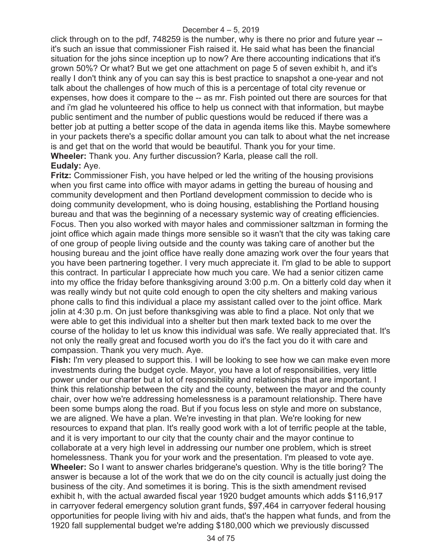click through on to the pdf, 748259 is the number, why is there no prior and future year - it's such an issue that commissioner Fish raised it. He said what has been the financial situation for the johs since inception up to now? Are there accounting indications that it's grown 50%? Or what? But we get one attachment on page 5 of seven exhibit h, and it's really I don't think any of you can say this is best practice to snapshot a one-year and not talk about the challenges of how much of this is a percentage of total city revenue or expenses, how does it compare to the -- as mr. Fish pointed out there are sources for that and i'm glad he volunteered his office to help us connect with that information, but maybe public sentiment and the number of public questions would be reduced if there was a better job at putting a better scope of the data in agenda items like this. Maybe somewhere in your packets there's a specific dollar amount you can talk to about what the net increase is and get that on the world that would be beautiful. Thank you for your time. **Wheeler:** Thank you. Any further discussion? Karla, please call the roll. **Eudaly:** Aye.

**Fritz:** Commissioner Fish, you have helped or led the writing of the housing provisions when you first came into office with mayor adams in getting the bureau of housing and community development and then Portland development commission to decide who is doing community development, who is doing housing, establishing the Portland housing bureau and that was the beginning of a necessary systemic way of creating efficiencies. Focus. Then you also worked with mayor hales and commissioner saltzman in forming the joint office which again made things more sensible so it wasn't that the city was taking care of one group of people living outside and the county was taking care of another but the housing bureau and the joint office have really done amazing work over the four years that you have been partnering together. I very much appreciate it. I'm glad to be able to support this contract. In particular I appreciate how much you care. We had a senior citizen came into my office the friday before thanksgiving around 3:00 p.m. On a bitterly cold day when it was really windy but not quite cold enough to open the city shelters and making various phone calls to find this individual a place my assistant called over to the joint office. Mark jolin at 4:30 p.m. On just before thanksgiving was able to find a place. Not only that we were able to get this individual into a shelter but then mark texted back to me over the course of the holiday to let us know this individual was safe. We really appreciated that. It's not only the really great and focused worth you do it's the fact you do it with care and compassion. Thank you very much. Aye.

**Fish:** I'm very pleased to support this. I will be looking to see how we can make even more investments during the budget cycle. Mayor, you have a lot of responsibilities, very little power under our charter but a lot of responsibility and relationships that are important. I think this relationship between the city and the county, between the mayor and the county chair, over how we're addressing homelessness is a paramount relationship. There have been some bumps along the road. But if you focus less on style and more on substance, we are aligned. We have a plan. We're investing in that plan. We're looking for new resources to expand that plan. It's really good work with a lot of terrific people at the table, and it is very important to our city that the county chair and the mayor continue to collaborate at a very high level in addressing our number one problem, which is street homelessness. Thank you for your work and the presentation. I'm pleased to vote aye. **Wheeler:** So I want to answer charles bridgerane's question. Why is the title boring? The answer is because a lot of the work that we do on the city council is actually just doing the business of the city. And sometimes it is boring. This is the sixth amendment revised exhibit h, with the actual awarded fiscal year 1920 budget amounts which adds \$116,917 in carryover federal emergency solution grant funds, \$97,464 in carryover federal housing opportunities for people living with hiv and aids, that's the happen what funds, and from the 1920 fall supplemental budget we're adding \$180,000 which we previously discussed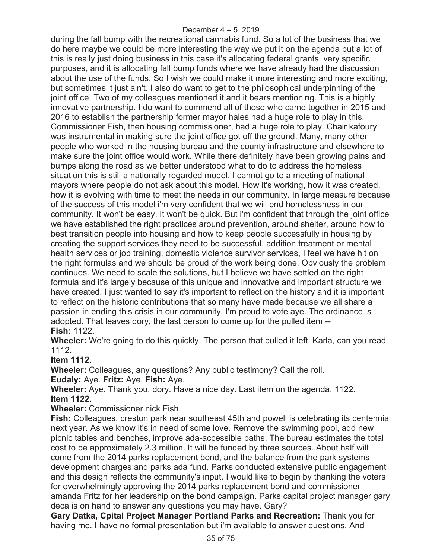during the fall bump with the recreational cannabis fund. So a lot of the business that we do here maybe we could be more interesting the way we put it on the agenda but a lot of this is really just doing business in this case it's allocating federal grants, very specific purposes, and it is allocating fall bump funds where we have already had the discussion about the use of the funds. So I wish we could make it more interesting and more exciting, but sometimes it just ain't. I also do want to get to the philosophical underpinning of the joint office. Two of my colleagues mentioned it and it bears mentioning. This is a highly innovative partnership. I do want to commend all of those who came together in 2015 and 2016 to establish the partnership former mayor hales had a huge role to play in this. Commissioner Fish, then housing commissioner, had a huge role to play. Chair kafoury was instrumental in making sure the joint office got off the ground. Many, many other people who worked in the housing bureau and the county infrastructure and elsewhere to make sure the joint office would work. While there definitely have been growing pains and bumps along the road as we better understood what to do to address the homeless situation this is still a nationally regarded model. I cannot go to a meeting of national mayors where people do not ask about this model. How it's working, how it was created, how it is evolving with time to meet the needs in our community. In large measure because of the success of this model i'm very confident that we will end homelessness in our community. It won't be easy. It won't be quick. But i'm confident that through the joint office we have established the right practices around prevention, around shelter, around how to best transition people into housing and how to keep people successfully in housing by creating the support services they need to be successful, addition treatment or mental health services or job training, domestic violence survivor services, I feel we have hit on the right formulas and we should be proud of the work being done. Obviously the problem continues. We need to scale the solutions, but I believe we have settled on the right formula and it's largely because of this unique and innovative and important structure we have created. I just wanted to say it's important to reflect on the history and it is important to reflect on the historic contributions that so many have made because we all share a passion in ending this crisis in our community. I'm proud to vote aye. The ordinance is adopted. That leaves dory, the last person to come up for the pulled item -- **Fish:** 1122.

**Wheeler:** We're going to do this quickly. The person that pulled it left. Karla, can you read 1112.

# **Item 1112.**

**Wheeler:** Colleagues, any questions? Any public testimony? Call the roll.

**Eudaly:** Aye. **Fritz:** Aye. **Fish:** Aye.

**Wheeler:** Aye. Thank you, dory. Have a nice day. Last item on the agenda, 1122. **Item 1122.** 

**Wheeler:** Commissioner nick Fish.

**Fish:** Colleagues, creston park near southeast 45th and powell is celebrating its centennial next year. As we know it's in need of some love. Remove the swimming pool, add new picnic tables and benches, improve ada-accessible paths. The bureau estimates the total cost to be approximately 2.3 million. It will be funded by three sources. About half will come from the 2014 parks replacement bond, and the balance from the park systems development charges and parks ada fund. Parks conducted extensive public engagement and this design reflects the community's input. I would like to begin by thanking the voters for overwhelmingly approving the 2014 parks replacement bond and commissioner amanda Fritz for her leadership on the bond campaign. Parks capital project manager gary deca is on hand to answer any questions you may have. Gary?

**Gary Datka, Cpital Project Manager Portland Parks and Recreation:** Thank you for having me. I have no formal presentation but i'm available to answer questions. And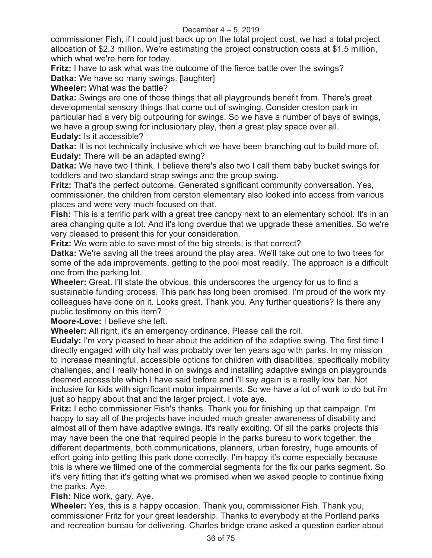commissioner Fish, if I could just back up on the total project cost, we had a total project allocation of \$2.3 million. We're estimating the project construction costs at \$1.5 million, which what we're here for today.

**Fritz:** I have to ask what was the outcome of the fierce battle over the swings?

**Datka:** We have so many swings. [laughter]

**Wheeler:** What was the battle?

**Datka:** Swings are one of those things that all playgrounds benefit from. There's great developmental sensory things that come out of swinging. Consider creston park in particular had a very big outpouring for swings. So we have a number of bays of swings, we have a group swing for inclusionary play, then a great play space over all. **Eudaly:** Is it accessible?

**Datka:** It is not technically inclusive which we have been branching out to build more of. **Eudaly:** There will be an adapted swing?

**Datka:** We have two I think. I believe there's also two I call them baby bucket swings for toddlers and two standard strap swings and the group swing.

**Fritz:** That's the perfect outcome. Generated significant community conversation. Yes, commissioner, the children from cerston elementary also looked into access from various places and were very much focused on that.

**Fish:** This is a terrific park with a great tree canopy next to an elementary school. It's in an area changing quite a lot. And it's long overdue that we upgrade these amenities. So we're very pleased to present this for your consideration.

**Fritz:** We were able to save most of the big streets; is that correct?

**Datka:** We're saving all the trees around the play area. We'll take out one to two trees for some of the ada improvements, getting to the pool most readily. The approach is a difficult one from the parking lot.

**Wheeler:** Great. I'll state the obvious, this underscores the urgency for us to find a sustainable funding process. This park has long been promised. I'm proud of the work my colleagues have done on it. Looks great. Thank you. Any further questions? Is there any public testimony on this item?

**Moore-Love:** I believe she left.

**Wheeler:** All right, it's an emergency ordinance. Please call the roll.

**Eudaly:** I'm very pleased to hear about the addition of the adaptive swing. The first time I directly engaged with city hall was probably over ten years ago with parks. In my mission to increase meaningful, accessible options for children with disabilities, specifically mobility challenges, and I really honed in on swings and installing adaptive swings on playgrounds deemed accessible which I have said before and i'll say again is a really low bar. Not inclusive for kids with significant motor impairments. So we have a lot of work to do but i'm just so happy about that and the larger project. I vote aye.

**Fritz:** I echo commissioner Fish's thanks. Thank you for finishing up that campaign. I'm happy to say all of the projects have included much greater awareness of disability and almost all of them have adaptive swings. It's really exciting. Of all the parks projects this may have been the one that required people in the parks bureau to work together, the different departments, both communications, planners, urban forestry, huge amounts of effort going into getting this park done correctly. I'm happy it's come especially because this is where we filmed one of the commercial segments for the fix our parks segment. So it's very fitting that it's getting what we promised when we asked people to continue fixing the parks. Aye.

**Fish:** Nice work, gary. Aye.

**Wheeler:** Yes, this is a happy occasion. Thank you, commissioner Fish. Thank you, commissioner Fritz for your great leadership. Thanks to everybody at the Portland parks and recreation bureau for delivering. Charles bridge crane asked a question earlier about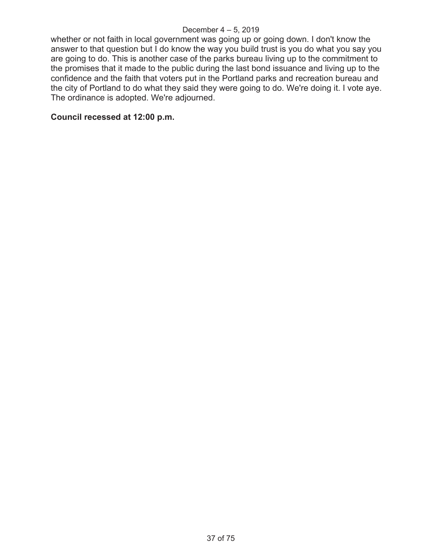whether or not faith in local government was going up or going down. I don't know the answer to that question but I do know the way you build trust is you do what you say you are going to do. This is another case of the parks bureau living up to the commitment to the promises that it made to the public during the last bond issuance and living up to the confidence and the faith that voters put in the Portland parks and recreation bureau and the city of Portland to do what they said they were going to do. We're doing it. I vote aye. The ordinance is adopted. We're adjourned.

# **Council recessed at 12:00 p.m.**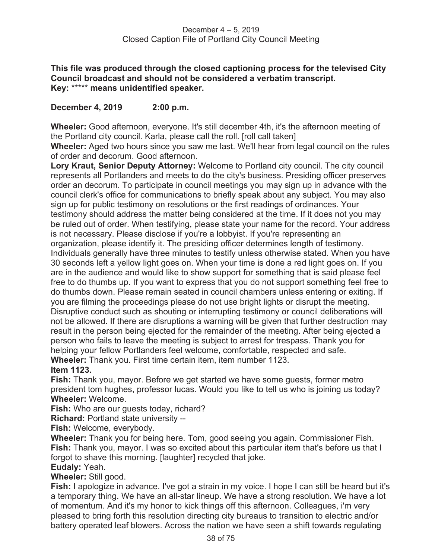**This file was produced through the closed captioning process for the televised City Council broadcast and should not be considered a verbatim transcript. Key:** \*\*\*\*\* **means unidentified speaker.** 

# **December 4, 2019 2:00 p.m.**

**Wheeler:** Good afternoon, everyone. It's still december 4th, it's the afternoon meeting of the Portland city council. Karla, please call the roll. [roll call taken]

**Wheeler:** Aged two hours since you saw me last. We'll hear from legal council on the rules of order and decorum. Good afternoon.

**Lory Kraut, Senior Deputy Attorney:** Welcome to Portland city council. The city council represents all Portlanders and meets to do the city's business. Presiding officer preserves order an decorum. To participate in council meetings you may sign up in advance with the council clerk's office for communications to briefly speak about any subject. You may also sign up for public testimony on resolutions or the first readings of ordinances. Your testimony should address the matter being considered at the time. If it does not you may be ruled out of order. When testifying, please state your name for the record. Your address is not necessary. Please disclose if you're a lobbyist. If you're representing an organization, please identify it. The presiding officer determines length of testimony. Individuals generally have three minutes to testify unless otherwise stated. When you have 30 seconds left a yellow light goes on. When your time is done a red light goes on. If you are in the audience and would like to show support for something that is said please feel free to do thumbs up. If you want to express that you do not support something feel free to do thumbs down. Please remain seated in council chambers unless entering or exiting. If you are filming the proceedings please do not use bright lights or disrupt the meeting. Disruptive conduct such as shouting or interrupting testimony or council deliberations will not be allowed. If there are disruptions a warning will be given that further destruction may result in the person being ejected for the remainder of the meeting. After being ejected a person who fails to leave the meeting is subject to arrest for trespass. Thank you for helping your fellow Portlanders feel welcome, comfortable, respected and safe.

**Wheeler:** Thank you. First time certain item, item number 1123.

## **Item 1123.**

**Fish:** Thank you, mayor. Before we get started we have some guests, former metro president tom hughes, professor lucas. Would you like to tell us who is joining us today? **Wheeler:** Welcome.

**Fish:** Who are our guests today, richard?

**Richard:** Portland state university --

**Fish:** Welcome, everybody.

**Wheeler:** Thank you for being here. Tom, good seeing you again. Commissioner Fish. **Fish:** Thank you, mayor. I was so excited about this particular item that's before us that I forgot to shave this morning. [laughter] recycled that joke.

## **Eudaly:** Yeah.

## **Wheeler:** Still good.

**Fish:** I apologize in advance. I've got a strain in my voice. I hope I can still be heard but it's a temporary thing. We have an all-star lineup. We have a strong resolution. We have a lot of momentum. And it's my honor to kick things off this afternoon. Colleagues, i'm very pleased to bring forth this resolution directing city bureaus to transition to electric and/or battery operated leaf blowers. Across the nation we have seen a shift towards regulating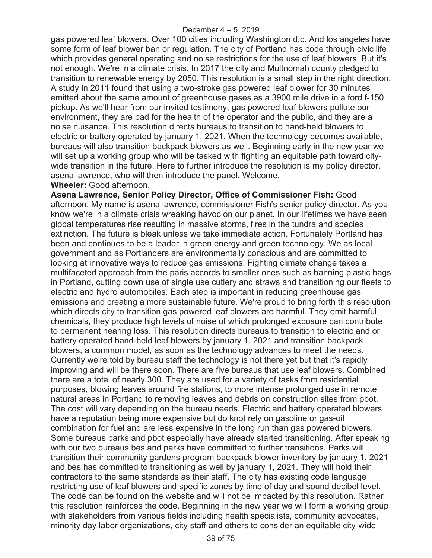gas powered leaf blowers. Over 100 cities including Washington d.c. And los angeles have some form of leaf blower ban or regulation. The city of Portland has code through civic life which provides general operating and noise restrictions for the use of leaf blowers. But it's not enough. We're in a climate crisis. In 2017 the city and Multnomah county pledged to transition to renewable energy by 2050. This resolution is a small step in the right direction. A study in 2011 found that using a two-stroke gas powered leaf blower for 30 minutes emitted about the same amount of greenhouse gases as a 3900 mile drive in a ford f-150 pickup. As we'll hear from our invited testimony, gas powered leaf blowers pollute our environment, they are bad for the health of the operator and the public, and they are a noise nuisance. This resolution directs bureaus to transition to hand-held blowers to electric or battery operated by january 1, 2021. When the technology becomes available, bureaus will also transition backpack blowers as well. Beginning early in the new year we will set up a working group who will be tasked with fighting an equitable path toward citywide transition in the future. Here to further introduce the resolution is my policy director, asena lawrence, who will then introduce the panel. Welcome.

#### **Wheeler:** Good afternoon.

**Asena Lawrence, Senior Policy Director, Office of Commissioner Fish:** Good afternoon. My name is asena lawrence, commissioner Fish's senior policy director. As you know we're in a climate crisis wreaking havoc on our planet. In our lifetimes we have seen global temperatures rise resulting in massive storms, fires in the tundra and species extinction. The future is bleak unless we take immediate action. Fortunately Portland has been and continues to be a leader in green energy and green technology. We as local government and as Portlanders are environmentally conscious and are committed to looking at innovative ways to reduce gas emissions. Fighting climate change takes a multifaceted approach from the paris accords to smaller ones such as banning plastic bags in Portland, cutting down use of single use cutlery and straws and transitioning our fleets to electric and hydro automobiles. Each step is important in reducing greenhouse gas emissions and creating a more sustainable future. We're proud to bring forth this resolution which directs city to transition gas powered leaf blowers are harmful. They emit harmful chemicals, they produce high levels of noise of which prolonged exposure can contribute to permanent hearing loss. This resolution directs bureaus to transition to electric and or battery operated hand-held leaf blowers by january 1, 2021 and transition backpack blowers, a common model, as soon as the technology advances to meet the needs. Currently we're told by bureau staff the technology is not there yet but that it's rapidly improving and will be there soon. There are five bureaus that use leaf blowers. Combined there are a total of nearly 300. They are used for a variety of tasks from residential purposes, blowing leaves around fire stations, to more intense prolonged use in remote natural areas in Portland to removing leaves and debris on construction sites from pbot. The cost will vary depending on the bureau needs. Electric and battery operated blowers have a reputation being more expensive but do knot rely on gasoline or gas-oil combination for fuel and are less expensive in the long run than gas powered blowers. Some bureaus parks and pbot especially have already started transitioning. After speaking with our two bureaus bes and parks have committed to further transitions. Parks will transition their community gardens program backpack blower inventory by january 1, 2021 and bes has committed to transitioning as well by january 1, 2021. They will hold their contractors to the same standards as their staff. The city has existing code language restricting use of leaf blowers and specific zones by time of day and sound decibel level. The code can be found on the website and will not be impacted by this resolution. Rather this resolution reinforces the code. Beginning in the new year we will form a working group with stakeholders from various fields including health specialists, community advocates, minority day labor organizations, city staff and others to consider an equitable city-wide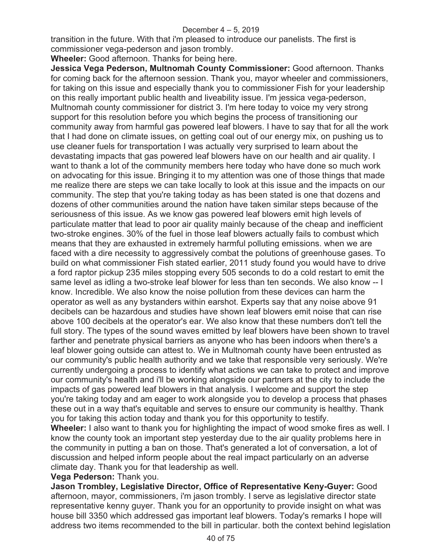transition in the future. With that i'm pleased to introduce our panelists. The first is commissioner vega-pederson and jason trombly.

**Wheeler:** Good afternoon. Thanks for being here.

**Jessica Vega Pederson, Multnomah County Commissioner:** Good afternoon. Thanks for coming back for the afternoon session. Thank you, mayor wheeler and commissioners, for taking on this issue and especially thank you to commissioner Fish for your leadership on this really important public health and liveability issue. I'm jessica vega-pederson, Multnomah county commissioner for district 3. I'm here today to voice my very strong support for this resolution before you which begins the process of transitioning our community away from harmful gas powered leaf blowers. I have to say that for all the work that I had done on climate issues, on getting coal out of our energy mix, on pushing us to use cleaner fuels for transportation I was actually very surprised to learn about the devastating impacts that gas powered leaf blowers have on our health and air quality. I want to thank a lot of the community members here today who have done so much work on advocating for this issue. Bringing it to my attention was one of those things that made me realize there are steps we can take locally to look at this issue and the impacts on our community. The step that you're taking today as has been stated is one that dozens and dozens of other communities around the nation have taken similar steps because of the seriousness of this issue. As we know gas powered leaf blowers emit high levels of particulate matter that lead to poor air quality mainly because of the cheap and inefficient two-stroke engines. 30% of the fuel in those leaf blowers actually fails to combust which means that they are exhausted in extremely harmful polluting emissions. when we are faced with a dire necessity to aggressively combat the polutions of greenhouse gases. To build on what commissioner Fish stated earlier, 2011 study found you would have to drive a ford raptor pickup 235 miles stopping every 505 seconds to do a cold restart to emit the same level as idling a two-stroke leaf blower for less than ten seconds. We also know -- I know. Incredible. We also know the noise pollution from these devices can harm the operator as well as any bystanders within earshot. Experts say that any noise above 91 decibels can be hazardous and studies have shown leaf blowers emit noise that can rise above 100 decibels at the operator's ear. We also know that these numbers don't tell the full story. The types of the sound waves emitted by leaf blowers have been shown to travel farther and penetrate physical barriers as anyone who has been indoors when there's a leaf blower going outside can attest to. We in Multnomah county have been entrusted as our community's public health authority and we take that responsible very seriously. We're currently undergoing a process to identify what actions we can take to protect and improve our community's health and i'll be working alongside our partners at the city to include the impacts of gas powered leaf blowers in that analysis. I welcome and support the step you're taking today and am eager to work alongside you to develop a process that phases these out in a way that's equitable and serves to ensure our community is healthy. Thank you for taking this action today and thank you for this opportunity to testify.

**Wheeler:** I also want to thank you for highlighting the impact of wood smoke fires as well. I know the county took an important step yesterday due to the air quality problems here in the community in putting a ban on those. That's generated a lot of conversation, a lot of discussion and helped inform people about the real impact particularly on an adverse climate day. Thank you for that leadership as well.

### **Vega Pederson:** Thank you.

**Jason Trombley, Legislative Director, Office of Representative Keny-Guyer:** Good afternoon, mayor, commissioners, i'm jason trombly. I serve as legislative director state representative kenny guyer. Thank you for an opportunity to provide insight on what was house bill 3350 which addressed gas important leaf blowers. Today's remarks I hope will address two items recommended to the bill in particular. both the context behind legislation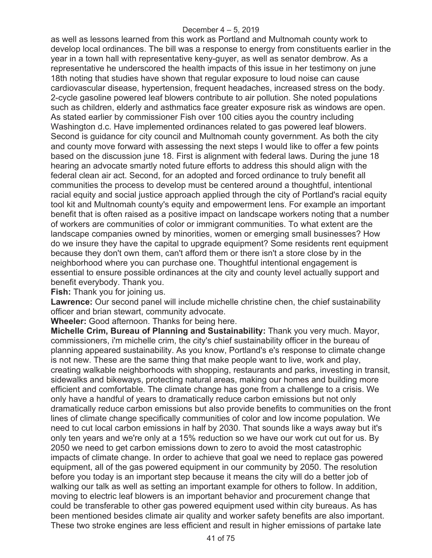as well as lessons learned from this work as Portland and Multnomah county work to develop local ordinances. The bill was a response to energy from constituents earlier in the year in a town hall with representative keny-guyer, as well as senator dembrow. As a representative he underscored the health impacts of this issue in her testimony on june 18th noting that studies have shown that regular exposure to loud noise can cause cardiovascular disease, hypertension, frequent headaches, increased stress on the body. 2-cycle gasoline powered leaf blowers contribute to air pollution. She noted populations such as children, elderly and asthmatics face greater exposure risk as windows are open. As stated earlier by commissioner Fish over 100 cities ayou the country including Washington d.c. Have implemented ordinances related to gas powered leaf blowers. Second is guidance for city council and Multnomah county government. As both the city and county move forward with assessing the next steps I would like to offer a few points based on the discussion june 18. First is alignment with federal laws. During the june 18 hearing an advocate smartly noted future efforts to address this should align with the federal clean air act. Second, for an adopted and forced ordinance to truly benefit all communities the process to develop must be centered around a thoughtful, intentional racial equity and social justice approach applied through the city of Portland's racial equity tool kit and Multnomah county's equity and empowerment lens. For example an important benefit that is often raised as a positive impact on landscape workers noting that a number of workers are communities of color or immigrant communities. To what extent are the landscape companies owned by minorities, women or emerging small businesses? How do we insure they have the capital to upgrade equipment? Some residents rent equipment because they don't own them, can't afford them or there isn't a store close by in the neighborhood where you can purchase one. Thoughtful intentional engagement is essential to ensure possible ordinances at the city and county level actually support and benefit everybody. Thank you.

**Fish:** Thank you for joining us.

Lawrence: Our second panel will include michelle christine chen, the chief sustainability officer and brian stewart, community advocate.

**Wheeler:** Good afternoon. Thanks for being here.

**Michelle Crim, Bureau of Planning and Sustainability:** Thank you very much. Mayor, commissioners, i'm michelle crim, the city's chief sustainability officer in the bureau of planning appeared sustainability. As you know, Portland's e's response to climate change is not new. These are the same thing that make people want to live, work and play, creating walkable neighborhoods with shopping, restaurants and parks, investing in transit, sidewalks and bikeways, protecting natural areas, making our homes and building more efficient and comfortable. The climate change has gone from a challenge to a crisis. We only have a handful of years to dramatically reduce carbon emissions but not only dramatically reduce carbon emissions but also provide benefits to communities on the front lines of climate change specifically communities of color and low income population. We need to cut local carbon emissions in half by 2030. That sounds like a ways away but it's only ten years and we're only at a 15% reduction so we have our work cut out for us. By 2050 we need to get carbon emissions down to zero to avoid the most catastrophic impacts of climate change. In order to achieve that goal we need to replace gas powered equipment, all of the gas powered equipment in our community by 2050. The resolution before you today is an important step because it means the city will do a better job of walking our talk as well as setting an important example for others to follow. In addition, moving to electric leaf blowers is an important behavior and procurement change that could be transferable to other gas powered equipment used within city bureaus. As has been mentioned besides climate air quality and worker safety benefits are also important. These two stroke engines are less efficient and result in higher emissions of partake late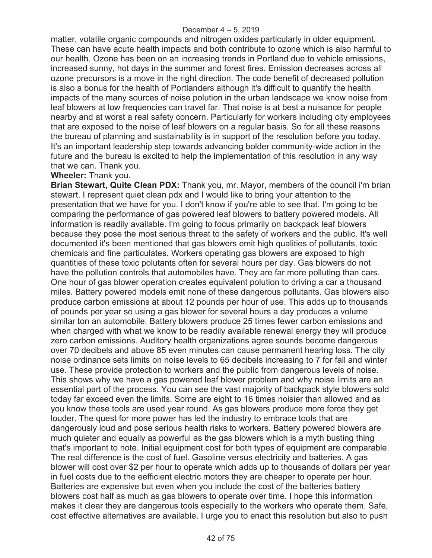matter, volatile organic compounds and nitrogen oxides particularly in older equipment. These can have acute health impacts and both contribute to ozone which is also harmful to our health. Ozone has been on an increasing trends in Portland due to vehicle emissions, increased sunny, hot days in the summer and forest fires. Emission decreases across all ozone precursors is a move in the right direction. The code benefit of decreased pollution is also a bonus for the health of Portlanders although it's difficult to quantify the health impacts of the many sources of noise polution in the urban landscape we know noise from leaf blowers at low frequencies can travel far. That noise is at best a nuisance for people nearby and at worst a real safety concern. Particularly for workers including city employees that are exposed to the noise of leaf blowers on a regular basis. So for all these reasons the bureau of planning and sustainability is in support of the resolution before you today. It's an important leadership step towards advancing bolder community-wide action in the future and the bureau is excited to help the implementation of this resolution in any way that we can. Thank you.

### **Wheeler:** Thank you.

**Brian Stewart, Quite Clean PDX:** Thank you, mr. Mayor, members of the council i'm brian stewart. I represent quiet clean pdx and I would like to bring your attention to the presentation that we have for you. I don't know if you're able to see that. I'm going to be comparing the performance of gas powered leaf blowers to battery powered models. All information is readily available. I'm going to focus primarily on backpack leaf blowers because they pose the most serious threat to the safety of workers and the public. It's well documented it's been mentioned that gas blowers emit high qualities of pollutants, toxic chemicals and fine particulates. Workers operating gas blowers are exposed to high quantities of these toxic polutants often for several hours per day. Gas blowers do not have the pollution controls that automobiles have. They are far more polluting than cars. One hour of gas blower operation creates equivalent polution to driving a car a thousand miles. Battery powered models emit none of these dangerous pollutants. Gas blowers also produce carbon emissions at about 12 pounds per hour of use. This adds up to thousands of pounds per year so using a gas blower for several hours a day produces a volume similar ton an automobile. Battery blowers produce 25 times fewer carbon emissions and when charged with what we know to be readily available renewal energy they will produce zero carbon emissions. Auditory health organizations agree sounds become dangerous over 70 decibels and above 85 even minutes can cause permanent hearing loss. The city noise ordinance sets limits on noise levels to 65 decibels increasing to 7 for fall and winter use. These provide protection to workers and the public from dangerous levels of noise. This shows why we have a gas powered leaf blower problem and why noise limits are an essential part of the process. You can see the vast majority of backpack style blowers sold today far exceed even the limits. Some are eight to 16 times noisier than allowed and as you know these tools are used year round. As gas blowers produce more force they get louder. The quest for more power has led the industry to embrace tools that are dangerously loud and pose serious health risks to workers. Battery powered blowers are much quieter and equally as powerful as the gas blowers which is a myth busting thing that's important to note. Initial equipment cost for both types of equipment are comparable. The real difference is the cost of fuel. Gasoline versus electricity and batteries. A gas blower will cost over \$2 per hour to operate which adds up to thousands of dollars per year in fuel costs due to the eefficient electric motors they are cheaper to operate per hour. Batteries are expensive but even when you include the cost of the batteries battery blowers cost half as much as gas blowers to operate over time. I hope this information makes it clear they are dangerous tools especially to the workers who operate them. Safe, cost effective alternatives are available. I urge you to enact this resolution but also to push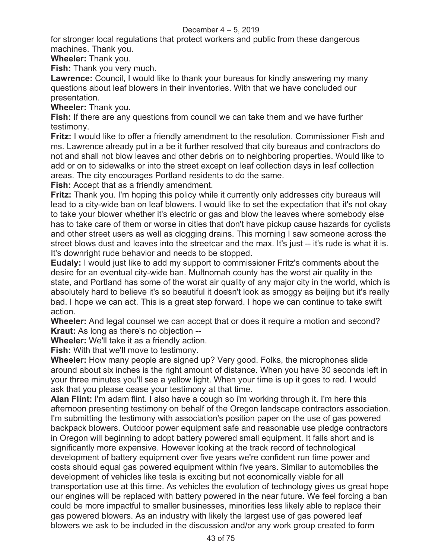for stronger local regulations that protect workers and public from these dangerous machines. Thank you.

**Wheeler:** Thank you.

**Fish:** Thank you very much.

**Lawrence:** Council, I would like to thank your bureaus for kindly answering my many questions about leaf blowers in their inventories. With that we have concluded our presentation.

**Wheeler:** Thank you.

**Fish:** If there are any questions from council we can take them and we have further testimony.

**Fritz:** I would like to offer a friendly amendment to the resolution. Commissioner Fish and ms. Lawrence already put in a be it further resolved that city bureaus and contractors do not and shall not blow leaves and other debris on to neighboring properties. Would like to add or on to sidewalks or into the street except on leaf collection days in leaf collection areas. The city encourages Portland residents to do the same.

**Fish:** Accept that as a friendly amendment.

**Fritz:** Thank you. I'm hoping this policy while it currently only addresses city bureaus will lead to a city-wide ban on leaf blowers. I would like to set the expectation that it's not okay to take your blower whether it's electric or gas and blow the leaves where somebody else has to take care of them or worse in cities that don't have pickup cause hazards for cyclists and other street users as well as clogging drains. This morning I saw someone across the street blows dust and leaves into the streetcar and the max. It's just -- it's rude is what it is. It's downright rude behavior and needs to be stopped.

**Eudaly:** I would just like to add my support to commissioner Fritz's comments about the desire for an eventual city-wide ban. Multnomah county has the worst air quality in the state, and Portland has some of the worst air quality of any major city in the world, which is absolutely hard to believe it's so beautiful it doesn't look as smoggy as beijing but it's really bad. I hope we can act. This is a great step forward. I hope we can continue to take swift action.

**Wheeler:** And legal counsel we can accept that or does it require a motion and second? **Kraut:** As long as there's no objection --

**Wheeler:** We'll take it as a friendly action.

**Fish:** With that we'll move to testimony.

**Wheeler:** How many people are signed up? Very good. Folks, the microphones slide around about six inches is the right amount of distance. When you have 30 seconds left in your three minutes you'll see a yellow light. When your time is up it goes to red. I would ask that you please cease your testimony at that time.

**Alan Flint:** I'm adam flint. I also have a cough so i'm working through it. I'm here this afternoon presenting testimony on behalf of the Oregon landscape contractors association. I'm submitting the testimony with association's position paper on the use of gas powered backpack blowers. Outdoor power equipment safe and reasonable use pledge contractors in Oregon will beginning to adopt battery powered small equipment. It falls short and is significantly more expensive. However looking at the track record of technological development of battery equipment over five years we're confident run time power and costs should equal gas powered equipment within five years. Similar to automobiles the development of vehicles like tesla is exciting but not economically viable for all transportation use at this time. As vehicles the evolution of technology gives us great hope our engines will be replaced with battery powered in the near future. We feel forcing a ban could be more impactful to smaller businesses, minorities less likely able to replace their gas powered blowers. As an industry with likely the largest use of gas powered leaf blowers we ask to be included in the discussion and/or any work group created to form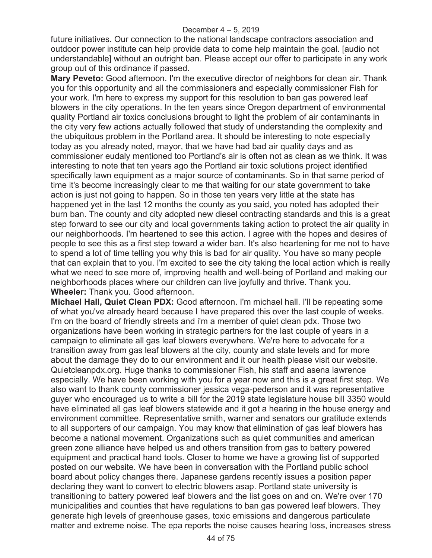future initiatives. Our connection to the national landscape contractors association and outdoor power institute can help provide data to come help maintain the goal. [audio not understandable] without an outright ban. Please accept our offer to participate in any work group out of this ordinance if passed.

**Mary Peveto:** Good afternoon. I'm the executive director of neighbors for clean air. Thank you for this opportunity and all the commissioners and especially commissioner Fish for your work. I'm here to express my support for this resolution to ban gas powered leaf blowers in the city operations. In the ten years since Oregon department of environmental quality Portland air toxics conclusions brought to light the problem of air contaminants in the city very few actions actually followed that study of understanding the complexity and the ubiquitous problem in the Portland area. It should be interesting to note especially today as you already noted, mayor, that we have had bad air quality days and as commissioner eudaly mentioned too Portland's air is often not as clean as we think. It was interesting to note that ten years ago the Portland air toxic solutions project identified specifically lawn equipment as a major source of contaminants. So in that same period of time it's become increasingly clear to me that waiting for our state government to take action is just not going to happen. So in those ten years very little at the state has happened yet in the last 12 months the county as you said, you noted has adopted their burn ban. The county and city adopted new diesel contracting standards and this is a great step forward to see our city and local governments taking action to protect the air quality in our neighborhoods. I'm heartened to see this action. I agree with the hopes and desires of people to see this as a first step toward a wider ban. It's also heartening for me not to have to spend a lot of time telling you why this is bad for air quality. You have so many people that can explain that to you. I'm excited to see the city taking the local action which is really what we need to see more of, improving health and well-being of Portland and making our neighborhoods places where our children can live joyfully and thrive. Thank you. **Wheeler:** Thank you. Good afternoon.

**Michael Hall, Quiet Clean PDX:** Good afternoon. I'm michael hall. I'll be repeating some of what you've already heard because I have prepared this over the last couple of weeks. I'm on the board of friendly streets and i'm a member of quiet clean pdx. Those two organizations have been working in strategic partners for the last couple of years in a campaign to eliminate all gas leaf blowers everywhere. We're here to advocate for a transition away from gas leaf blowers at the city, county and state levels and for more about the damage they do to our environment and it our health please visit our website. Quietcleanpdx.org. Huge thanks to commissioner Fish, his staff and asena lawrence especially. We have been working with you for a year now and this is a great first step. We also want to thank county commissioner jessica vega-pederson and it was representative guyer who encouraged us to write a bill for the 2019 state legislature house bill 3350 would have eliminated all gas leaf blowers statewide and it got a hearing in the house energy and environment committee. Representative smith, warner and senators our gratitude extends to all supporters of our campaign. You may know that elimination of gas leaf blowers has become a national movement. Organizations such as quiet communities and american green zone alliance have helped us and others transition from gas to battery powered equipment and practical hand tools. Closer to home we have a growing list of supported posted on our website. We have been in conversation with the Portland public school board about policy changes there. Japanese gardens recently issues a position paper declaring they want to convert to electric blowers asap. Portland state university is transitioning to battery powered leaf blowers and the list goes on and on. We're over 170 municipalities and counties that have regulations to ban gas powered leaf blowers. They generate high levels of greenhouse gases, toxic emissions and dangerous particulate matter and extreme noise. The epa reports the noise causes hearing loss, increases stress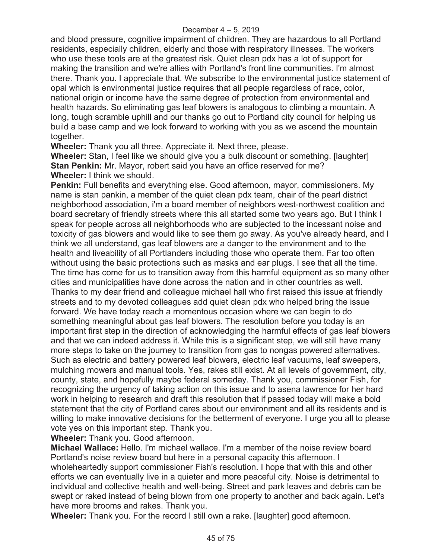and blood pressure, cognitive impairment of children. They are hazardous to all Portland residents, especially children, elderly and those with respiratory illnesses. The workers who use these tools are at the greatest risk. Quiet clean pdx has a lot of support for making the transition and we're allies with Portland's front line communities. I'm almost there. Thank you. I appreciate that. We subscribe to the environmental justice statement of opal which is environmental justice requires that all people regardless of race, color, national origin or income have the same degree of protection from environmental and health hazards. So eliminating gas leaf blowers is analogous to climbing a mountain. A long, tough scramble uphill and our thanks go out to Portland city council for helping us build a base camp and we look forward to working with you as we ascend the mountain together.

**Wheeler:** Thank you all three. Appreciate it. Next three, please.

**Wheeler:** Stan, I feel like we should give you a bulk discount or something. [laughter] **Stan Penkin:** Mr. Mayor, robert said you have an office reserved for me? **Wheeler:** I think we should.

**Penkin:** Full benefits and everything else. Good afternoon, mayor, commissioners. My name is stan pankin, a member of the quiet clean pdx team, chair of the pearl district neighborhood association, i'm a board member of neighbors west-northwest coalition and board secretary of friendly streets where this all started some two years ago. But I think I speak for people across all neighborhoods who are subjected to the incessant noise and toxicity of gas blowers and would like to see them go away. As you've already heard, and I think we all understand, gas leaf blowers are a danger to the environment and to the health and liveability of all Portlanders including those who operate them. Far too often without using the basic protections such as masks and ear plugs. I see that all the time. The time has come for us to transition away from this harmful equipment as so many other cities and municipalities have done across the nation and in other countries as well. Thanks to my dear friend and colleague michael hall who first raised this issue at friendly streets and to my devoted colleagues add quiet clean pdx who helped bring the issue forward. We have today reach a momentous occasion where we can begin to do something meaningful about gas leaf blowers. The resolution before you today is an important first step in the direction of acknowledging the harmful effects of gas leaf blowers and that we can indeed address it. While this is a significant step, we will still have many more steps to take on the journey to transition from gas to nongas powered alternatives. Such as electric and battery powered leaf blowers, electric leaf vacuums, leaf sweepers, mulching mowers and manual tools. Yes, rakes still exist. At all levels of government, city, county, state, and hopefully maybe federal someday. Thank you, commissioner Fish, for recognizing the urgency of taking action on this issue and to asena lawrence for her hard work in helping to research and draft this resolution that if passed today will make a bold statement that the city of Portland cares about our environment and all its residents and is willing to make innovative decisions for the betterment of everyone. I urge you all to please vote yes on this important step. Thank you.

**Wheeler:** Thank you. Good afternoon.

**Michael Wallace:** Hello. I'm michael wallace. I'm a member of the noise review board Portland's noise review board but here in a personal capacity this afternoon. I wholeheartedly support commissioner Fish's resolution. I hope that with this and other efforts we can eventually live in a quieter and more peaceful city. Noise is detrimental to individual and collective health and well-being. Street and park leaves and debris can be swept or raked instead of being blown from one property to another and back again. Let's have more brooms and rakes. Thank you.

**Wheeler:** Thank you. For the record I still own a rake. [laughter] good afternoon.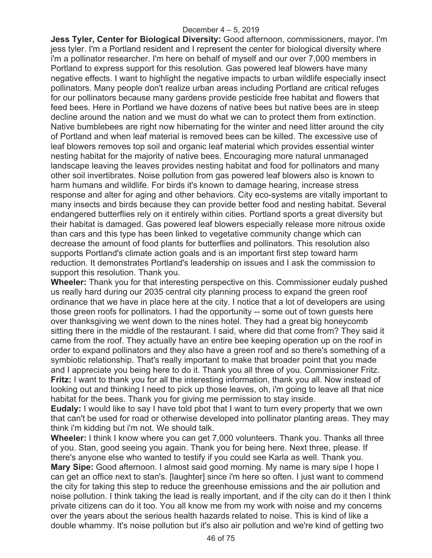**Jess Tyler, Center for Biological Diversity:** Good afternoon, commissioners, mayor. I'm jess tyler. I'm a Portland resident and I represent the center for biological diversity where i'm a pollinator researcher. I'm here on behalf of myself and our over 7,000 members in Portland to express support for this resolution. Gas powered leaf blowers have many negative effects. I want to highlight the negative impacts to urban wildlife especially insect pollinators. Many people don't realize urban areas including Portland are critical refuges for our pollinators because many gardens provide pesticide free habitat and flowers that feed bees. Here in Portland we have dozens of native bees but native bees are in steep decline around the nation and we must do what we can to protect them from extinction. Native bumblebees are right now hibernating for the winter and need litter around the city of Portland and when leaf material is removed bees can be killed. The excessive use of leaf blowers removes top soil and organic leaf material which provides essential winter nesting habitat for the majority of native bees. Encouraging more natural unmanaged landscape leaving the leaves provides nesting habitat and food for pollinators and many other soil invertibrates. Noise pollution from gas powered leaf blowers also is known to harm humans and wildlife. For birds it's known to damage hearing, increase stress response and alter for aging and other behaviors. City eco-systems are vitally important to many insects and birds because they can provide better food and nesting habitat. Several endangered butterflies rely on it entirely within cities. Portland sports a great diversity but their habitat is damaged. Gas powered leaf blowers especially release more nitrous oxide than cars and this type has been linked to vegetative community change which can decrease the amount of food plants for butterflies and pollinators. This resolution also supports Portland's climate action goals and is an important first step toward harm reduction. It demonstrates Portland's leadership on issues and I ask the commission to support this resolution. Thank you.

**Wheeler:** Thank you for that interesting perspective on this. Commissioner eudaly pushed us really hard during our 2035 central city planning process to expand the green roof ordinance that we have in place here at the city. I notice that a lot of developers are using those green roofs for pollinators. I had the opportunity -- some out of town guests here over thanksgiving we went down to the nines hotel. They had a great big honeycomb sitting there in the middle of the restaurant. I said, where did that come from? They said it came from the roof. They actually have an entire bee keeping operation up on the roof in order to expand pollinators and they also have a green roof and so there's something of a symbiotic relationship. That's really important to make that broader point that you made and I appreciate you being here to do it. Thank you all three of you. Commissioner Fritz. **Fritz:** I want to thank you for all the interesting information, thank you all. Now instead of looking out and thinking I need to pick up those leaves, oh, i'm going to leave all that nice habitat for the bees. Thank you for giving me permission to stay inside.

**Eudaly:** I would like to say I have told pbot that I want to turn every property that we own that can't be used for road or otherwise developed into pollinator planting areas. They may think i'm kidding but i'm not. We should talk.

**Wheeler:** I think I know where you can get 7,000 volunteers. Thank you. Thanks all three of you. Stan, good seeing you again. Thank you for being here. Next three, please. If there's anyone else who wanted to testify if you could see Karla as well. Thank you. **Mary Sipe:** Good afternoon. I almost said good morning. My name is mary sipe I hope I can get an office next to stan's. [laughter] since i'm here so often. I just want to commend the city for taking this step to reduce the greenhouse emissions and the air pollution and noise pollution. I think taking the lead is really important, and if the city can do it then I think private citizens can do it too. You all know me from my work with noise and my concerns over the years about the serious health hazards related to noise. This is kind of like a double whammy. It's noise pollution but it's also air pollution and we're kind of getting two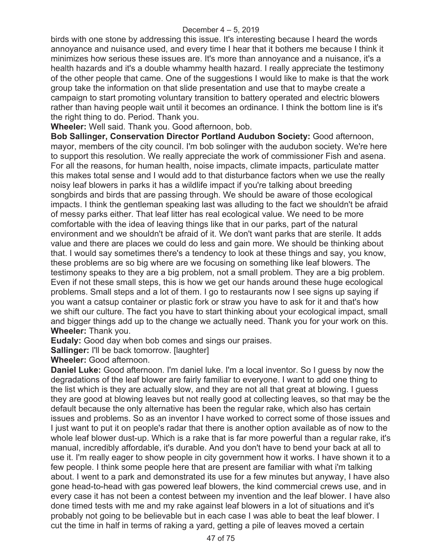birds with one stone by addressing this issue. It's interesting because I heard the words annoyance and nuisance used, and every time I hear that it bothers me because I think it minimizes how serious these issues are. It's more than annoyance and a nuisance, it's a health hazards and it's a double whammy health hazard. I really appreciate the testimony of the other people that came. One of the suggestions I would like to make is that the work group take the information on that slide presentation and use that to maybe create a campaign to start promoting voluntary transition to battery operated and electric blowers rather than having people wait until it becomes an ordinance. I think the bottom line is it's the right thing to do. Period. Thank you.

**Wheeler:** Well said. Thank you. Good afternoon, bob.

**Bob Sallinger, Conservation Director Portland Audubon Society:** Good afternoon, mayor, members of the city council. I'm bob solinger with the audubon society. We're here to support this resolution. We really appreciate the work of commissioner Fish and asena. For all the reasons, for human health, noise impacts, climate impacts, particulate matter this makes total sense and I would add to that disturbance factors when we use the really noisy leaf blowers in parks it has a wildlife impact if you're talking about breeding songbirds and birds that are passing through. We should be aware of those ecological impacts. I think the gentleman speaking last was alluding to the fact we shouldn't be afraid of messy parks either. That leaf litter has real ecological value. We need to be more comfortable with the idea of leaving things like that in our parks, part of the natural environment and we shouldn't be afraid of it. We don't want parks that are sterile. It adds value and there are places we could do less and gain more. We should be thinking about that. I would say sometimes there's a tendency to look at these things and say, you know, these problems are so big where are we focusing on something like leaf blowers. The testimony speaks to they are a big problem, not a small problem. They are a big problem. Even if not these small steps, this is how we get our hands around these huge ecological problems. Small steps and a lot of them. I go to restaurants now I see signs up saying if you want a catsup container or plastic fork or straw you have to ask for it and that's how we shift our culture. The fact you have to start thinking about your ecological impact, small and bigger things add up to the change we actually need. Thank you for your work on this. **Wheeler:** Thank you.

**Eudaly:** Good day when bob comes and sings our praises.

**Sallinger:** I'll be back tomorrow. [laughter]

**Wheeler:** Good afternoon.

**Daniel Luke:** Good afternoon. I'm daniel luke. I'm a local inventor. So I guess by now the degradations of the leaf blower are fairly familiar to everyone. I want to add one thing to the list which is they are actually slow, and they are not all that great at blowing. I guess they are good at blowing leaves but not really good at collecting leaves, so that may be the default because the only alternative has been the regular rake, which also has certain issues and problems. So as an inventor I have worked to correct some of those issues and I just want to put it on people's radar that there is another option available as of now to the whole leaf blower dust-up. Which is a rake that is far more powerful than a regular rake, it's manual, incredibly affordable, it's durable. And you don't have to bend your back at all to use it. I'm really eager to show people in city government how it works. I have shown it to a few people. I think some people here that are present are familiar with what i'm talking about. I went to a park and demonstrated its use for a few minutes but anyway, I have also gone head-to-head with gas powered leaf blowers, the kind commercial crews use, and in every case it has not been a contest between my invention and the leaf blower. I have also done timed tests with me and my rake against leaf blowers in a lot of situations and it's probably not going to be believable but in each case I was able to beat the leaf blower. I cut the time in half in terms of raking a yard, getting a pile of leaves moved a certain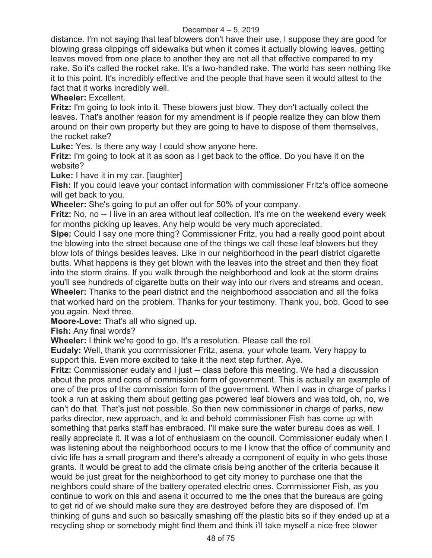distance. I'm not saying that leaf blowers don't have their use, I suppose they are good for blowing grass clippings off sidewalks but when it comes it actually blowing leaves, getting leaves moved from one place to another they are not all that effective compared to my rake. So it's called the rocket rake. It's a two-handled rake. The world has seen nothing like it to this point. It's incredibly effective and the people that have seen it would attest to the fact that it works incredibly well.

**Wheeler:** Excellent.

**Fritz:** I'm going to look into it. These blowers just blow. They don't actually collect the leaves. That's another reason for my amendment is if people realize they can blow them around on their own property but they are going to have to dispose of them themselves, the rocket rake?

**Luke:** Yes. Is there any way I could show anyone here.

**Fritz:** I'm going to look at it as soon as I get back to the office. Do you have it on the website?

**Luke:** I have it in my car. [laughter]

**Fish:** If you could leave your contact information with commissioner Fritz's office someone will get back to you.

**Wheeler:** She's going to put an offer out for 50% of your company.

**Fritz:** No, no -- I live in an area without leaf collection. It's me on the weekend every week for months picking up leaves. Any help would be very much appreciated.

**Sipe:** Could I say one more thing? Commissioner Fritz, you had a really good point about the blowing into the street because one of the things we call these leaf blowers but they blow lots of things besides leaves. Like in our neighborhood in the pearl district cigarette butts. What happens is they get blown with the leaves into the street and then they float into the storm drains. If you walk through the neighborhood and look at the storm drains you'll see hundreds of cigarette butts on their way into our rivers and streams and ocean. **Wheeler:** Thanks to the pearl district and the neighborhood association and all the folks that worked hard on the problem. Thanks for your testimony. Thank you, bob. Good to see you again. Next three.

**Moore-Love:** That's all who signed up.

**Fish:** Any final words?

**Wheeler:** I think we're good to go. It's a resolution. Please call the roll.

**Eudaly:** Well, thank you commissioner Fritz, asena, your whole team. Very happy to support this. Even more excited to take it the next step further. Aye.

**Fritz:** Commissioner eudaly and I just -- class before this meeting. We had a discussion about the pros and cons of commission form of government. This is actually an example of one of the pros of the commission form of the government. When I was in charge of parks I took a run at asking them about getting gas powered leaf blowers and was told, oh, no, we can't do that. That's just not possible. So then new commissioner in charge of parks, new parks director, new approach, and lo and behold commissioner Fish has come up with something that parks staff has embraced. I'll make sure the water bureau does as well. I really appreciate it. It was a lot of enthusiasm on the council. Commissioner eudaly when I was listening about the neighborhood occurs to me I know that the office of community and civic life has a small program and there's already a component of equity in who gets those grants. It would be great to add the climate crisis being another of the criteria because it would be just great for the neighborhood to get city money to purchase one that the neighbors could share of the battery operated electric ones. Commissioner Fish, as you continue to work on this and asena it occurred to me the ones that the bureaus are going to get rid of we should make sure they are destroyed before they are disposed of. I'm thinking of guns and such so basically smashing off the plastic bits so if they ended up at a recycling shop or somebody might find them and think i'll take myself a nice free blower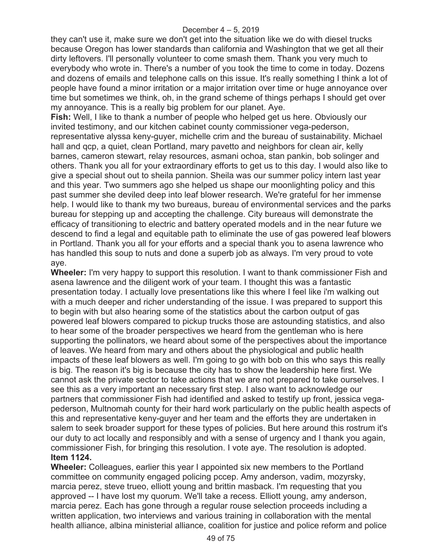they can't use it, make sure we don't get into the situation like we do with diesel trucks because Oregon has lower standards than california and Washington that we get all their dirty leftovers. I'll personally volunteer to come smash them. Thank you very much to everybody who wrote in. There's a number of you took the time to come in today. Dozens and dozens of emails and telephone calls on this issue. It's really something I think a lot of people have found a minor irritation or a major irritation over time or huge annoyance over time but sometimes we think, oh, in the grand scheme of things perhaps I should get over my annoyance. This is a really big problem for our planet. Aye.

**Fish:** Well, I like to thank a number of people who helped get us here. Obviously our invited testimony, and our kitchen cabinet county commissioner vega-pederson, representative alyssa keny-guyer, michelle crim and the bureau of sustainability. Michael hall and qcp, a quiet, clean Portland, mary pavetto and neighbors for clean air, kelly barnes, cameron stewart, relay resources, asmani ochoa, stan pankin, bob solinger and others. Thank you all for your extraordinary efforts to get us to this day. I would also like to give a special shout out to sheila pannion. Sheila was our summer policy intern last year and this year. Two summers ago she helped us shape our moonlighting policy and this past summer she deviled deep into leaf blower research. We're grateful for her immense help. I would like to thank my two bureaus, bureau of environmental services and the parks bureau for stepping up and accepting the challenge. City bureaus will demonstrate the efficacy of transitioning to electric and battery operated models and in the near future we descend to find a legal and equitable path to eliminate the use of gas powered leaf blowers in Portland. Thank you all for your efforts and a special thank you to asena lawrence who has handled this soup to nuts and done a superb job as always. I'm very proud to vote aye.

**Wheeler:** I'm very happy to support this resolution. I want to thank commissioner Fish and asena lawrence and the diligent work of your team. I thought this was a fantastic presentation today. I actually love presentations like this where I feel like i'm walking out with a much deeper and richer understanding of the issue. I was prepared to support this to begin with but also hearing some of the statistics about the carbon output of gas powered leaf blowers compared to pickup trucks those are astounding statistics, and also to hear some of the broader perspectives we heard from the gentleman who is here supporting the pollinators, we heard about some of the perspectives about the importance of leaves. We heard from mary and others about the physiological and public health impacts of these leaf blowers as well. I'm going to go with bob on this who says this really is big. The reason it's big is because the city has to show the leadership here first. We cannot ask the private sector to take actions that we are not prepared to take ourselves. I see this as a very important an necessary first step. I also want to acknowledge our partners that commissioner Fish had identified and asked to testify up front, jessica vegapederson, Multnomah county for their hard work particularly on the public health aspects of this and representative keny-guyer and her team and the efforts they are undertaken in salem to seek broader support for these types of policies. But here around this rostrum it's our duty to act locally and responsibly and with a sense of urgency and I thank you again, commissioner Fish, for bringing this resolution. I vote aye. The resolution is adopted. **Item 1124.**

**Wheeler:** Colleagues, earlier this year I appointed six new members to the Portland committee on community engaged policing pccep. Amy anderson, vadim, mozyrsky, marcia perez, steve trueo, elliott young and brittin masback. I'm requesting that you approved -- I have lost my quorum. We'll take a recess. Elliott young, amy anderson, marcia perez. Each has gone through a regular rouse selection proceeds including a written application, two interviews and various training in collaboration with the mental health alliance, albina ministerial alliance, coalition for justice and police reform and police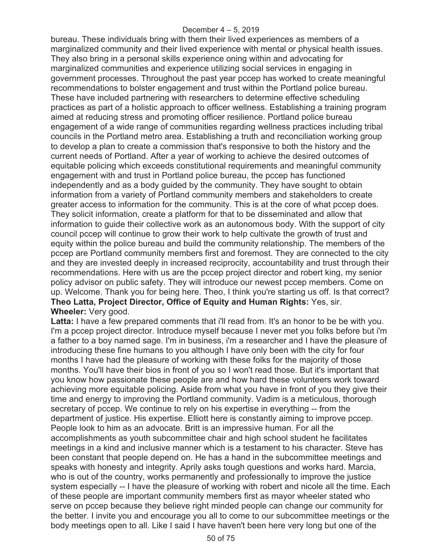bureau. These individuals bring with them their lived experiences as members of a marginalized community and their lived experience with mental or physical health issues. They also bring in a personal skills experience oning within and advocating for marginalized communities and experience utilizing social services in engaging in government processes. Throughout the past year pccep has worked to create meaningful recommendations to bolster engagement and trust within the Portland police bureau. These have included partnering with researchers to determine effective scheduling practices as part of a holistic approach to officer wellness. Establishing a training program aimed at reducing stress and promoting officer resilience. Portland police bureau engagement of a wide range of communities regarding wellness practices including tribal councils in the Portland metro area. Establishing a truth and reconciliation working group to develop a plan to create a commission that's responsive to both the history and the current needs of Portland. After a year of working to achieve the desired outcomes of equitable policing which exceeds constitutional requirements and meaningful community engagement with and trust in Portland police bureau, the pccep has functioned independently and as a body guided by the community. They have sought to obtain information from a variety of Portland community members and stakeholders to create greater access to information for the community. This is at the core of what pccep does. They solicit information, create a platform for that to be disseminated and allow that information to guide their collective work as an autonomous body. With the support of city council pccep will continue to grow their work to help cultivate the growth of trust and equity within the police bureau and build the community relationship. The members of the pccep are Portland community members first and foremost. They are connected to the city and they are invested deeply in increased reciprocity, accountability and trust through their recommendations. Here with us are the pccep project director and robert king, my senior policy advisor on public safety. They will introduce our newest pccep members. Come on up. Welcome. Thank you for being here. Theo, I think you're starting us off. Is that correct? **Theo Latta, Project Director, Office of Equity and Human Rights:** Yes, sir. **Wheeler:** Very good.

Latta: I have a few prepared comments that i'll read from. It's an honor to be be with you. I'm a pccep project director. Introduce myself because I never met you folks before but i'm a father to a boy named sage. I'm in business, i'm a researcher and I have the pleasure of introducing these fine humans to you although I have only been with the city for four months I have had the pleasure of working with these folks for the majority of those months. You'll have their bios in front of you so I won't read those. But it's important that you know how passionate these people are and how hard these volunteers work toward achieving more equitable policing. Aside from what you have in front of you they give their time and energy to improving the Portland community. Vadim is a meticulous, thorough secretary of pccep. We continue to rely on his expertise in everything -- from the department of justice. His expertise. Elliott here is constantly aiming to improve pccep. People look to him as an advocate. Britt is an impressive human. For all the accomplishments as youth subcommittee chair and high school student he facilitates meetings in a kind and inclusive manner which is a testament to his character. Steve has been constant that people depend on. He has a hand in the subcommittee meetings and speaks with honesty and integrity. Aprily asks tough questions and works hard. Marcia, who is out of the country, works permanently and professionally to improve the justice system especially -- I have the pleasure of working with robert and nicole all the time. Each of these people are important community members first as mayor wheeler stated who serve on pccep because they believe right minded people can change our community for the better. I invite you and encourage you all to come to our subcommittee meetings or the body meetings open to all. Like I said I have haven't been here very long but one of the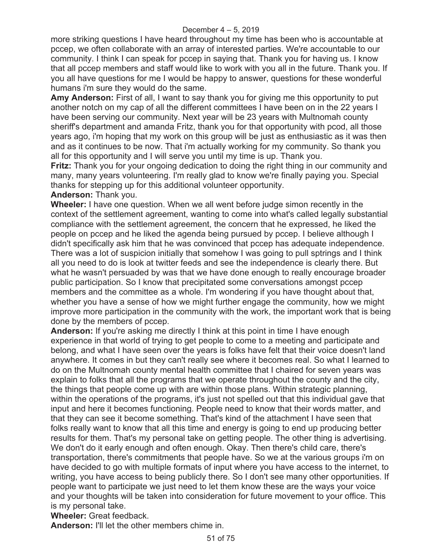more striking questions I have heard throughout my time has been who is accountable at pccep, we often collaborate with an array of interested parties. We're accountable to our community. I think I can speak for pccep in saying that. Thank you for having us. I know that all pccep members and staff would like to work with you all in the future. Thank you. If you all have questions for me I would be happy to answer, questions for these wonderful humans i'm sure they would do the same.

**Amy Anderson:** First of all, I want to say thank you for giving me this opportunity to put another notch on my cap of all the different committees I have been on in the 22 years I have been serving our community. Next year will be 23 years with Multnomah county sheriff's department and amanda Fritz, thank you for that opportunity with pcod, all those years ago, i'm hoping that my work on this group will be just as enthusiastic as it was then and as it continues to be now. That i'm actually working for my community. So thank you all for this opportunity and I will serve you until my time is up. Thank you.

**Fritz:** Thank you for your ongoing dedication to doing the right thing in our community and many, many years volunteering. I'm really glad to know we're finally paying you. Special thanks for stepping up for this additional volunteer opportunity.

### **Anderson:** Thank you.

**Wheeler:** I have one question. When we all went before judge simon recently in the context of the settlement agreement, wanting to come into what's called legally substantial compliance with the settlement agreement, the concern that he expressed, he liked the people on pccep and he liked the agenda being pursued by pccep. I believe although I didn't specifically ask him that he was convinced that pccep has adequate independence. There was a lot of suspicion initially that somehow I was going to pull sptrings and I think all you need to do is look at twitter feeds and see the independence is clearly there. But what he wasn't persuaded by was that we have done enough to really encourage broader public participation. So I know that precipitated some conversations amongst pccep members and the committee as a whole. I'm wondering if you have thought about that, whether you have a sense of how we might further engage the community, how we might improve more participation in the community with the work, the important work that is being done by the members of pccep.

**Anderson:** If you're asking me directly I think at this point in time I have enough experience in that world of trying to get people to come to a meeting and participate and belong, and what I have seen over the years is folks have felt that their voice doesn't land anywhere. It comes in but they can't really see where it becomes real. So what I learned to do on the Multnomah county mental health committee that I chaired for seven years was explain to folks that all the programs that we operate throughout the county and the city, the things that people come up with are within those plans. Within strategic planning, within the operations of the programs, it's just not spelled out that this individual gave that input and here it becomes functioning. People need to know that their words matter, and that they can see it become something. That's kind of the attachment I have seen that folks really want to know that all this time and energy is going to end up producing better results for them. That's my personal take on getting people. The other thing is advertising. We don't do it early enough and often enough. Okay. Then there's child care, there's transportation, there's commitments that people have. So we at the various groups i'm on have decided to go with multiple formats of input where you have access to the internet, to writing, you have access to being publicly there. So I don't see many other opportunities. If people want to participate we just need to let them know these are the ways your voice and your thoughts will be taken into consideration for future movement to your office. This is my personal take.

**Wheeler:** Great feedback.

**Anderson:** I'll let the other members chime in.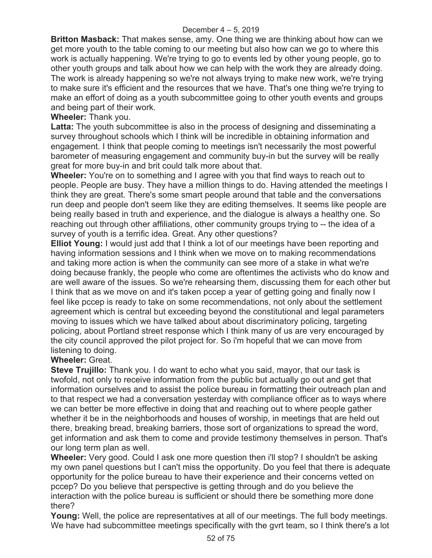**Britton Masback:** That makes sense, amy. One thing we are thinking about how can we get more youth to the table coming to our meeting but also how can we go to where this work is actually happening. We're trying to go to events led by other young people, go to other youth groups and talk about how we can help with the work they are already doing. The work is already happening so we're not always trying to make new work, we're trying to make sure it's efficient and the resources that we have. That's one thing we're trying to make an effort of doing as a youth subcommittee going to other youth events and groups and being part of their work.

# **Wheeler:** Thank you.

**Latta:** The youth subcommittee is also in the process of designing and disseminating a survey throughout schools which I think will be incredible in obtaining information and engagement. I think that people coming to meetings isn't necessarily the most powerful barometer of measuring engagement and community buy-in but the survey will be really great for more buy-in and brit could talk more about that.

**Wheeler:** You're on to something and I agree with you that find ways to reach out to people. People are busy. They have a million things to do. Having attended the meetings I think they are great. There's some smart people around that table and the conversations run deep and people don't seem like they are editing themselves. It seems like people are being really based in truth and experience, and the dialogue is always a healthy one. So reaching out through other affiliations, other community groups trying to -- the idea of a survey of youth is a terrific idea. Great. Any other questions?

**Elliot Young:** I would just add that I think a lot of our meetings have been reporting and having information sessions and I think when we move on to making recommendations and taking more action is when the community can see more of a stake in what we're doing because frankly, the people who come are oftentimes the activists who do know and are well aware of the issues. So we're rehearsing them, discussing them for each other but I think that as we move on and it's taken pccep a year of getting going and finally now I feel like pccep is ready to take on some recommendations, not only about the settlement agreement which is central but exceeding beyond the constitutional and legal parameters moving to issues which we have talked about about discriminatory policing, targeting policing, about Portland street response which I think many of us are very encouraged by the city council approved the pilot project for. So i'm hopeful that we can move from listening to doing.

## **Wheeler:** Great.

**Steve Trujillo:** Thank you. I do want to echo what you said, mayor, that our task is twofold, not only to receive information from the public but actually go out and get that information ourselves and to assist the police bureau in formatting their outreach plan and to that respect we had a conversation yesterday with compliance officer as to ways where we can better be more effective in doing that and reaching out to where people gather whether it be in the neighborhoods and houses of worship, in meetings that are held out there, breaking bread, breaking barriers, those sort of organizations to spread the word, get information and ask them to come and provide testimony themselves in person. That's our long term plan as well.

**Wheeler:** Very good. Could I ask one more question then i'll stop? I shouldn't be asking my own panel questions but I can't miss the opportunity. Do you feel that there is adequate opportunity for the police bureau to have their experience and their concerns vetted on pccep? Do you believe that perspective is getting through and do you believe the interaction with the police bureau is sufficient or should there be something more done there?

**Young:** Well, the police are representatives at all of our meetings. The full body meetings. We have had subcommittee meetings specifically with the gyrt team, so I think there's a lot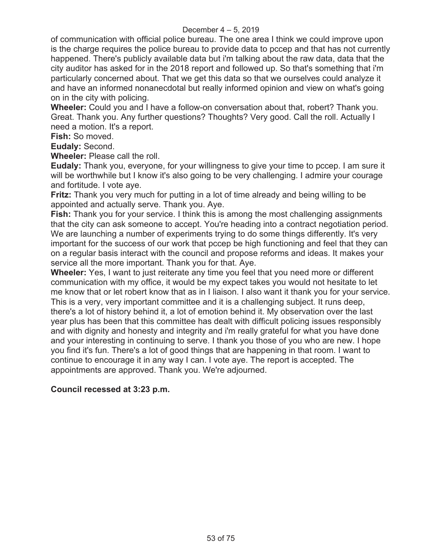of communication with official police bureau. The one area I think we could improve upon is the charge requires the police bureau to provide data to pccep and that has not currently happened. There's publicly available data but i'm talking about the raw data, data that the city auditor has asked for in the 2018 report and followed up. So that's something that i'm particularly concerned about. That we get this data so that we ourselves could analyze it and have an informed nonanecdotal but really informed opinion and view on what's going on in the city with policing.

**Wheeler:** Could you and I have a follow-on conversation about that, robert? Thank you. Great. Thank you. Any further questions? Thoughts? Very good. Call the roll. Actually I need a motion. It's a report.

**Fish:** So moved.

**Eudaly:** Second.

**Wheeler:** Please call the roll.

**Eudaly:** Thank you, everyone, for your willingness to give your time to pccep. I am sure it will be worthwhile but I know it's also going to be very challenging. I admire your courage and fortitude. I vote aye.

**Fritz:** Thank you very much for putting in a lot of time already and being willing to be appointed and actually serve. Thank you. Aye.

**Fish:** Thank you for your service. I think this is among the most challenging assignments that the city can ask someone to accept. You're heading into a contract negotiation period. We are launching a number of experiments trying to do some things differently. It's very important for the success of our work that pccep be high functioning and feel that they can on a regular basis interact with the council and propose reforms and ideas. It makes your service all the more important. Thank you for that. Aye.

**Wheeler:** Yes, I want to just reiterate any time you feel that you need more or different communication with my office, it would be my expect takes you would not hesitate to let me know that or let robert know that as in I liaison. I also want it thank you for your service. This is a very, very important committee and it is a challenging subject. It runs deep, there's a lot of history behind it, a lot of emotion behind it. My observation over the last year plus has been that this committee has dealt with difficult policing issues responsibly and with dignity and honesty and integrity and i'm really grateful for what you have done and your interesting in continuing to serve. I thank you those of you who are new. I hope you find it's fun. There's a lot of good things that are happening in that room. I want to continue to encourage it in any way I can. I vote aye. The report is accepted. The appointments are approved. Thank you. We're adjourned.

## **Council recessed at 3:23 p.m.**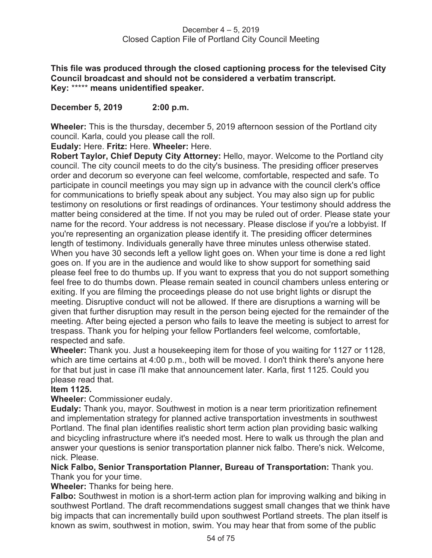**This file was produced through the closed captioning process for the televised City Council broadcast and should not be considered a verbatim transcript. Key:** \*\*\*\*\* **means unidentified speaker.** 

**December 5, 2019 2:00 p.m.** 

**Wheeler:** This is the thursday, december 5, 2019 afternoon session of the Portland city council. Karla, could you please call the roll.

**Eudaly:** Here. **Fritz:** Here. **Wheeler:** Here.

**Robert Taylor, Chief Deputy City Attorney:** Hello, mayor. Welcome to the Portland city council. The city council meets to do the city's business. The presiding officer preserves order and decorum so everyone can feel welcome, comfortable, respected and safe. To participate in council meetings you may sign up in advance with the council clerk's office for communications to briefly speak about any subject. You may also sign up for public testimony on resolutions or first readings of ordinances. Your testimony should address the matter being considered at the time. If not you may be ruled out of order. Please state your name for the record. Your address is not necessary. Please disclose if you're a lobbyist. If you're representing an organization please identify it. The presiding officer determines length of testimony. Individuals generally have three minutes unless otherwise stated. When you have 30 seconds left a yellow light goes on. When your time is done a red light goes on. If you are in the audience and would like to show support for something said please feel free to do thumbs up. If you want to express that you do not support something feel free to do thumbs down. Please remain seated in council chambers unless entering or exiting. If you are filming the proceedings please do not use bright lights or disrupt the meeting. Disruptive conduct will not be allowed. If there are disruptions a warning will be given that further disruption may result in the person being ejected for the remainder of the meeting. After being ejected a person who fails to leave the meeting is subject to arrest for trespass. Thank you for helping your fellow Portlanders feel welcome, comfortable, respected and safe.

**Wheeler:** Thank you. Just a housekeeping item for those of you waiting for 1127 or 1128, which are time certains at 4:00 p.m., both will be moved. I don't think there's anyone here for that but just in case i'll make that announcement later. Karla, first 1125. Could you please read that.

### **Item 1125.**

**Wheeler:** Commissioner eudaly.

**Eudaly:** Thank you, mayor. Southwest in motion is a near term prioritization refinement and implementation strategy for planned active transportation investments in southwest Portland. The final plan identifies realistic short term action plan providing basic walking and bicycling infrastructure where it's needed most. Here to walk us through the plan and answer your questions is senior transportation planner nick falbo. There's nick. Welcome, nick. Please.

**Nick Falbo, Senior Transportation Planner, Bureau of Transportation:** Thank you. Thank you for your time.

**Wheeler:** Thanks for being here.

**Falbo:** Southwest in motion is a short-term action plan for improving walking and biking in southwest Portland. The draft recommendations suggest small changes that we think have big impacts that can incrementally build upon southwest Portland streets. The plan itself is known as swim, southwest in motion, swim. You may hear that from some of the public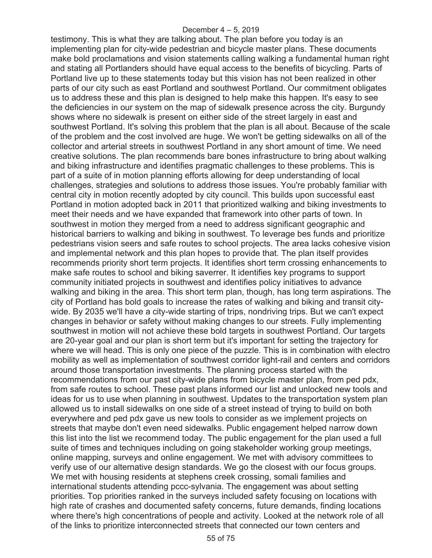testimony. This is what they are talking about. The plan before you today is an implementing plan for city-wide pedestrian and bicycle master plans. These documents make bold proclamations and vision statements calling walking a fundamental human right and stating all Portlanders should have equal access to the benefits of bicycling. Parts of Portland live up to these statements today but this vision has not been realized in other parts of our city such as east Portland and southwest Portland. Our commitment obligates us to address these and this plan is designed to help make this happen. It's easy to see the deficiencies in our system on the map of sidewalk presence across the city. Burgundy shows where no sidewalk is present on either side of the street largely in east and southwest Portland. It's solving this problem that the plan is all about. Because of the scale of the problem and the cost involved are huge. We won't be getting sidewalks on all of the collector and arterial streets in southwest Portland in any short amount of time. We need creative solutions. The plan recommends bare bones infrastructure to bring about walking and biking infrastructure and identifies pragmatic challenges to these problems. This is part of a suite of in motion planning efforts allowing for deep understanding of local challenges, strategies and solutions to address those issues. You're probably familiar with central city in motion recently adopted by city council. This builds upon successful east Portland in motion adopted back in 2011 that prioritized walking and biking investments to meet their needs and we have expanded that framework into other parts of town. In southwest in motion they merged from a need to address significant geographic and historical barriers to walking and biking in southwest. To leverage bes funds and prioritize pedestrians vision seers and safe routes to school projects. The area lacks cohesive vision and implemental network and this plan hopes to provide that. The plan itself provides recommends priority short term projects. It identifies short term crossing enhancements to make safe routes to school and biking saverrer. It identifies key programs to support community initiated projects in southwest and identifies policy initiatives to advance walking and biking in the area. This short term plan, though, has long term aspirations. The city of Portland has bold goals to increase the rates of walking and biking and transit citywide. By 2035 we'll have a city-wide starting of trips, nondriving trips. But we can't expect changes in behavior or safety without making changes to our streets. Fully implementing southwest in motion will not achieve these bold targets in southwest Portland. Our targets are 20-year goal and our plan is short term but it's important for setting the trajectory for where we will head. This is only one piece of the puzzle. This is in combination with electro mobility as well as implementation of southwest corridor light-rail and centers and corridors around those transportation investments. The planning process started with the recommendations from our past city-wide plans from bicycle master plan, from ped pdx, from safe routes to school. These past plans informed our list and unlocked new tools and ideas for us to use when planning in southwest. Updates to the transportation system plan allowed us to install sidewalks on one side of a street instead of trying to build on both everywhere and ped pdx gave us new tools to consider as we implement projects on streets that maybe don't even need sidewalks. Public engagement helped narrow down this list into the list we recommend today. The public engagement for the plan used a full suite of times and techniques including on going stakeholder working group meetings, online mapping, surveys and online engagement. We met with advisory committees to verify use of our alternative design standards. We go the closest with our focus groups. We met with housing residents at stephens creek crossing, somali families and international students attending pccc-sylvania. The engagement was about setting priorities. Top priorities ranked in the surveys included safety focusing on locations with high rate of crashes and documented safety concerns, future demands, finding locations where there's high concentrations of people and activity. Looked at the network role of all of the links to prioritize interconnected streets that connected our town centers and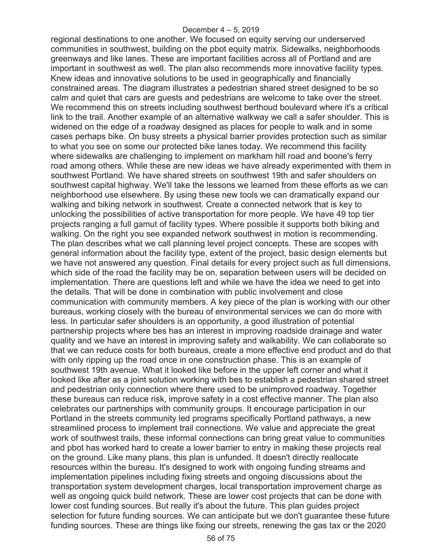regional destinations to one another. We focused on equity serving our underserved communities in southwest, building on the pbot equity matrix. Sidewalks, neighborhoods greenways and like lanes. These are important facilities across all of Portland and are important in southwest as well. The plan also recommends more innovative facility types. Knew ideas and innovative solutions to be used in geographically and financially constrained areas. The diagram illustrates a pedestrian shared street designed to be so calm and quiet that cars are guests and pedestrians are welcome to take over the street. We recommend this on streets including southwest berthoud boulevard where it's a critical link to the trail. Another example of an alternative walkway we call a safer shoulder. This is widened on the edge of a roadway designed as places for people to walk and in some cases perhaps bike. On busy streets a physical barrier provides protection such as similar to what you see on some our protected bike lanes today. We recommend this facility where sidewalks are challenging to implement on markham hill road and boone's ferry road among others. While these are new ideas we have already experimented with them in southwest Portland. We have shared streets on southwest 19th and safer shoulders on southwest capital highway. We'll take the lessons we learned from these efforts as we can neighborhood use elsewhere. By using these new tools we can dramatically expand our walking and biking network in southwest. Create a connected network that is key to unlocking the possibilities of active transportation for more people. We have 49 top tier projects ranging a full gamut of facility types. Where possible it supports both biking and walking. On the right you see expanded network southwest in motion is recommending. The plan describes what we call planning level project concepts. These are scopes with general information about the facility type, extent of the project, basic design elements but we have not answered any question. Final details for every project such as full dimensions, which side of the road the facility may be on, separation between users will be decided on implementation. There are questions left and while we have the idea we need to get into the details. That will be done in combination with public involvement and close communication with community members. A key piece of the plan is working with our other bureaus, working closely with the bureau of environmental services we can do more with less. In particular safer shoulders is an opportunity, a good illustration of potential partnership projects where bes has an interest in improving roadside drainage and water quality and we have an interest in improving safety and walkability. We can collaborate so that we can reduce costs for both bureaus, create a more effective end product and do that with only ripping up the road once in one construction phase. This is an example of southwest 19th avenue. What it looked like before in the upper left corner and what it looked like after as a joint solution working with bes to establish a pedestrian shared street and pedestrian only connection where there used to be unimproved roadway. Together these bureaus can reduce risk, improve safety in a cost effective manner. The plan also celebrates our partnerships with community groups. It encourage participation in our Portland in the streets community led programs specifically Portland pathways, a new streamlined process to implement trail connections. We value and appreciate the great work of southwest trails, these informal connections can bring great value to communities and pbot has worked hard to create a lower barrier to entry in making these projects real on the ground. Like many plans, this plan is unfunded. It doesn't directly reallocate resources within the bureau. It's designed to work with ongoing funding streams and implementation pipelines including fixing streets and ongoing discussions about the transportation system development charges, local transportation improvement charge as well as ongoing quick build network. These are lower cost projects that can be done with lower cost funding sources. But really it's about the future. This plan guides project selection for future funding sources. We can anticipate but we don't guarantee these future funding sources. These are things like fixing our streets, renewing the gas tax or the 2020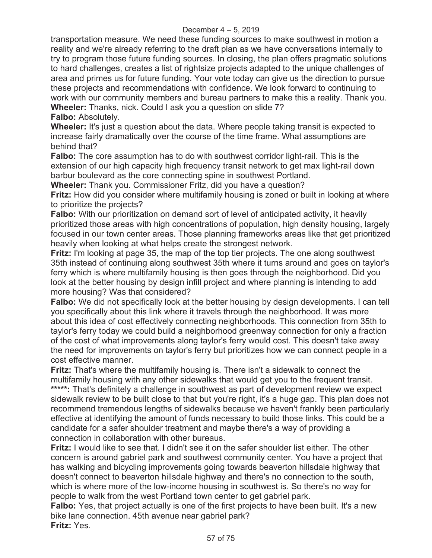transportation measure. We need these funding sources to make southwest in motion a reality and we're already referring to the draft plan as we have conversations internally to try to program those future funding sources. In closing, the plan offers pragmatic solutions to hard challenges, creates a list of rightsize projects adapted to the unique challenges of area and primes us for future funding. Your vote today can give us the direction to pursue these projects and recommendations with confidence. We look forward to continuing to work with our community members and bureau partners to make this a reality. Thank you. **Wheeler:** Thanks, nick. Could I ask you a question on slide 7?

**Falbo:** Absolutely.

**Wheeler:** It's just a question about the data. Where people taking transit is expected to increase fairly dramatically over the course of the time frame. What assumptions are behind that?

**Falbo:** The core assumption has to do with southwest corridor light-rail. This is the extension of our high capacity high frequency transit network to get max light-rail down barbur boulevard as the core connecting spine in southwest Portland.

**Wheeler:** Thank you. Commissioner Fritz, did you have a question?

**Fritz:** How did you consider where multifamily housing is zoned or built in looking at where to prioritize the projects?

**Falbo:** With our prioritization on demand sort of level of anticipated activity, it heavily prioritized those areas with high concentrations of population, high density housing, largely focused in our town center areas. Those planning frameworks areas like that get prioritized heavily when looking at what helps create the strongest network.

**Fritz:** I'm looking at page 35, the map of the top tier projects. The one along southwest 35th instead of continuing along southwest 35th where it turns around and goes on taylor's ferry which is where multifamily housing is then goes through the neighborhood. Did you look at the better housing by design infill project and where planning is intending to add more housing? Was that considered?

**Falbo:** We did not specifically look at the better housing by design developments. I can tell you specifically about this link where it travels through the neighborhood. It was more about this idea of cost effectively connecting neighborhoods. This connection from 35th to taylor's ferry today we could build a neighborhood greenway connection for only a fraction of the cost of what improvements along taylor's ferry would cost. This doesn't take away the need for improvements on taylor's ferry but prioritizes how we can connect people in a cost effective manner.

**Fritz:** That's where the multifamily housing is. There isn't a sidewalk to connect the multifamily housing with any other sidewalks that would get you to the frequent transit. \*\*\*\*\*: That's definitely a challenge in southwest as part of development review we expect sidewalk review to be built close to that but you're right, it's a huge gap. This plan does not recommend tremendous lengths of sidewalks because we haven't frankly been particularly effective at identifying the amount of funds necessary to build those links. This could be a candidate for a safer shoulder treatment and maybe there's a way of providing a connection in collaboration with other bureaus.

**Fritz:** I would like to see that. I didn't see it on the safer shoulder list either. The other concern is around gabriel park and southwest community center. You have a project that has walking and bicycling improvements going towards beaverton hillsdale highway that doesn't connect to beaverton hillsdale highway and there's no connection to the south, which is where more of the low-income housing in southwest is. So there's no way for people to walk from the west Portland town center to get gabriel park.

**Falbo:** Yes, that project actually is one of the first projects to have been built. It's a new bike lane connection. 45th avenue near gabriel park? **Fritz:** Yes.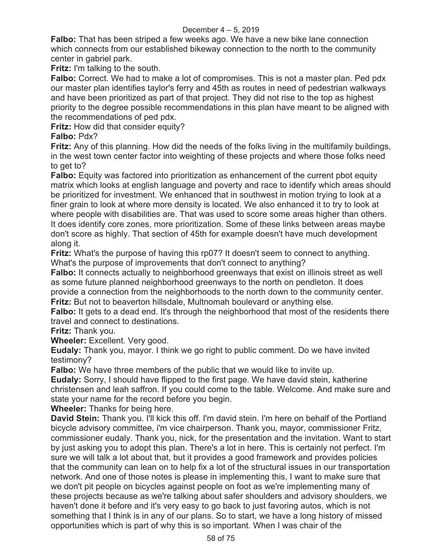**Falbo:** That has been striped a few weeks ago. We have a new bike lane connection which connects from our established bikeway connection to the north to the community center in gabriel park.

**Fritz:** I'm talking to the south.

**Falbo:** Correct. We had to make a lot of compromises. This is not a master plan. Ped pdx our master plan identifies taylor's ferry and 45th as routes in need of pedestrian walkways and have been prioritized as part of that project. They did not rise to the top as highest priority to the degree possible recommendations in this plan have meant to be aligned with the recommendations of ped pdx.

**Fritz:** How did that consider equity?

# **Falbo:** Pdx?

**Fritz:** Any of this planning. How did the needs of the folks living in the multifamily buildings, in the west town center factor into weighting of these projects and where those folks need to get to?

**Falbo:** Equity was factored into prioritization as enhancement of the current pbot equity matrix which looks at english language and poverty and race to identify which areas should be prioritized for investment. We enhanced that in southwest in motion trying to look at a finer grain to look at where more density is located. We also enhanced it to try to look at where people with disabilities are. That was used to score some areas higher than others. It does identify core zones, more prioritization. Some of these links between areas maybe don't score as highly. That section of 45th for example doesn't have much development along it.

**Fritz:** What's the purpose of having this rp07? It doesn't seem to connect to anything. What's the purpose of improvements that don't connect to anything?

**Falbo:** It connects actually to neighborhood greenways that exist on illinois street as well as some future planned neighborhood greenways to the north on pendleton. It does provide a connection from the neighborhoods to the north down to the community center. **Fritz:** But not to beaverton hillsdale, Multnomah boulevard or anything else.

**Falbo:** It gets to a dead end. It's through the neighborhood that most of the residents there travel and connect to destinations.

**Fritz:** Thank you.

**Wheeler:** Excellent. Very good.

**Eudaly:** Thank you, mayor. I think we go right to public comment. Do we have invited testimony?

**Falbo:** We have three members of the public that we would like to invite up.

**Eudaly:** Sorry, I should have flipped to the first page. We have david stein, katherine christensen and leah saffron. If you could come to the table. Welcome. And make sure and state your name for the record before you begin.

**Wheeler:** Thanks for being here.

**David Stein:** Thank you. I'll kick this off. I'm david stein. I'm here on behalf of the Portland bicycle advisory committee, i'm vice chairperson. Thank you, mayor, commissioner Fritz, commissioner eudaly. Thank you, nick, for the presentation and the invitation. Want to start by just asking you to adopt this plan. There's a lot in here. This is certainly not perfect. I'm sure we will talk a lot about that, but it provides a good framework and provides policies that the community can lean on to help fix a lot of the structural issues in our transportation network. And one of those notes is please in implementing this, I want to make sure that we don't pit people on bicycles against people on foot as we're implementing many of these projects because as we're talking about safer shoulders and advisory shoulders, we haven't done it before and it's very easy to go back to just favoring autos, which is not something that I think is in any of our plans. So to start, we have a long history of missed opportunities which is part of why this is so important. When I was chair of the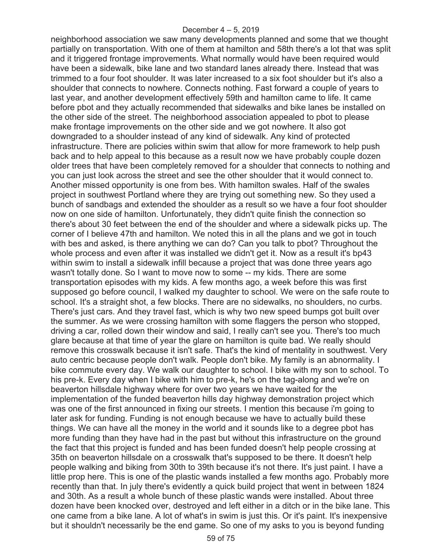neighborhood association we saw many developments planned and some that we thought partially on transportation. With one of them at hamilton and 58th there's a lot that was split and it triggered frontage improvements. What normally would have been required would have been a sidewalk, bike lane and two standard lanes already there. Instead that was trimmed to a four foot shoulder. It was later increased to a six foot shoulder but it's also a shoulder that connects to nowhere. Connects nothing. Fast forward a couple of years to last year, and another development effectively 59th and hamilton came to life. It came before pbot and they actually recommended that sidewalks and bike lanes be installed on the other side of the street. The neighborhood association appealed to pbot to please make frontage improvements on the other side and we got nowhere. It also got downgraded to a shoulder instead of any kind of sidewalk. Any kind of protected infrastructure. There are policies within swim that allow for more framework to help push back and to help appeal to this because as a result now we have probably couple dozen older trees that have been completely removed for a shoulder that connects to nothing and you can just look across the street and see the other shoulder that it would connect to. Another missed opportunity is one from bes. With hamilton swales. Half of the swales project in southwest Portland where they are trying out something new. So they used a bunch of sandbags and extended the shoulder as a result so we have a four foot shoulder now on one side of hamilton. Unfortunately, they didn't quite finish the connection so there's about 30 feet between the end of the shoulder and where a sidewalk picks up. The corner of I believe 47th and hamilton. We noted this in all the plans and we got in touch with bes and asked, is there anything we can do? Can you talk to pbot? Throughout the whole process and even after it was installed we didn't get it. Now as a result it's bp43 within swim to install a sidewalk infill because a project that was done three years ago wasn't totally done. So I want to move now to some -- my kids. There are some transportation episodes with my kids. A few months ago, a week before this was first supposed go before council, I walked my daughter to school. We were on the safe route to school. It's a straight shot, a few blocks. There are no sidewalks, no shoulders, no curbs. There's just cars. And they travel fast, which is why two new speed bumps got built over the summer. As we were crossing hamilton with some flaggers the person who stopped, driving a car, rolled down their window and said, I really can't see you. There's too much glare because at that time of year the glare on hamilton is quite bad. We really should remove this crosswalk because it isn't safe. That's the kind of mentality in southwest. Very auto centric because people don't walk. People don't bike. My family is an abnormality. I bike commute every day. We walk our daughter to school. I bike with my son to school. To his pre-k. Every day when I bike with him to pre-k, he's on the tag-along and we're on beaverton hillsdale highway where for over two years we have waited for the implementation of the funded beaverton hills day highway demonstration project which was one of the first announced in fixing our streets. I mention this because i'm going to later ask for funding. Funding is not enough because we have to actually build these things. We can have all the money in the world and it sounds like to a degree pbot has more funding than they have had in the past but without this infrastructure on the ground the fact that this project is funded and has been funded doesn't help people crossing at 35th on beaverton hillsdale on a crosswalk that's supposed to be there. It doesn't help people walking and biking from 30th to 39th because it's not there. It's just paint. I have a little prop here. This is one of the plastic wands installed a few months ago. Probably more recently than that. In july there's evidently a quick build project that went in between 1824 and 30th. As a result a whole bunch of these plastic wands were installed. About three dozen have been knocked over, destroyed and left either in a ditch or in the bike lane. This one came from a bike lane. A lot of what's in swim is just this. Or it's paint. It's inexpensive but it shouldn't necessarily be the end game. So one of my asks to you is beyond funding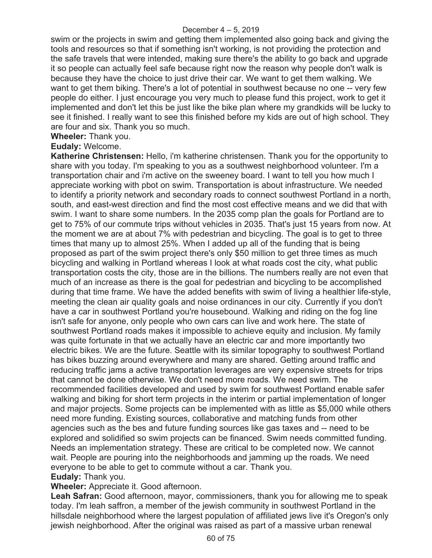swim or the projects in swim and getting them implemented also going back and giving the tools and resources so that if something isn't working, is not providing the protection and the safe travels that were intended, making sure there's the ability to go back and upgrade it so people can actually feel safe because right now the reason why people don't walk is because they have the choice to just drive their car. We want to get them walking. We want to get them biking. There's a lot of potential in southwest because no one -- very few people do either. I just encourage you very much to please fund this project, work to get it implemented and don't let this be just like the bike plan where my grandkids will be lucky to see it finished. I really want to see this finished before my kids are out of high school. They are four and six. Thank you so much.

**Wheeler:** Thank you.

### **Eudaly:** Welcome.

**Katherine Christensen:** Hello, i'm katherine christensen. Thank you for the opportunity to share with you today. I'm speaking to you as a southwest neighborhood volunteer. I'm a transportation chair and i'm active on the sweeney board. I want to tell you how much I appreciate working with pbot on swim. Transportation is about infrastructure. We needed to identify a priority network and secondary roads to connect southwest Portland in a north, south, and east-west direction and find the most cost effective means and we did that with swim. I want to share some numbers. In the 2035 comp plan the goals for Portland are to get to 75% of our commute trips without vehicles in 2035. That's just 15 years from now. At the moment we are at about 7% with pedestrian and bicycling. The goal is to get to three times that many up to almost 25%. When I added up all of the funding that is being proposed as part of the swim project there's only \$50 million to get three times as much bicycling and walking in Portland whereas I look at what roads cost the city, what public transportation costs the city, those are in the billions. The numbers really are not even that much of an increase as there is the goal for pedestrian and bicycling to be accomplished during that time frame. We have the added benefits with swim of living a healthier life-style, meeting the clean air quality goals and noise ordinances in our city. Currently if you don't have a car in southwest Portland you're housebound. Walking and riding on the fog line isn't safe for anyone, only people who own cars can live and work here. The state of southwest Portland roads makes it impossible to achieve equity and inclusion. My family was quite fortunate in that we actually have an electric car and more importantly two electric bikes. We are the future. Seattle with its similar topography to southwest Portland has bikes buzzing around everywhere and many are shared. Getting around traffic and reducing traffic jams a active transportation leverages are very expensive streets for trips that cannot be done otherwise. We don't need more roads. We need swim. The recommended facilities developed and used by swim for southwest Portland enable safer walking and biking for short term projects in the interim or partial implementation of longer and major projects. Some projects can be implemented with as little as \$5,000 while others need more funding. Existing sources, collaborative and matching funds from other agencies such as the bes and future funding sources like gas taxes and -- need to be explored and solidified so swim projects can be financed. Swim needs committed funding. Needs an implementation strategy. These are critical to be completed now. We cannot wait. People are pouring into the neighborhoods and jamming up the roads. We need everyone to be able to get to commute without a car. Thank you. **Eudaly:** Thank you.

## **Wheeler:** Appreciate it. Good afternoon.

**Leah Safran:** Good afternoon, mayor, commissioners, thank you for allowing me to speak today. I'm leah saffron, a member of the jewish community in southwest Portland in the hillsdale neighborhood where the largest population of affiliated jews live it's Oregon's only jewish neighborhood. After the original was raised as part of a massive urban renewal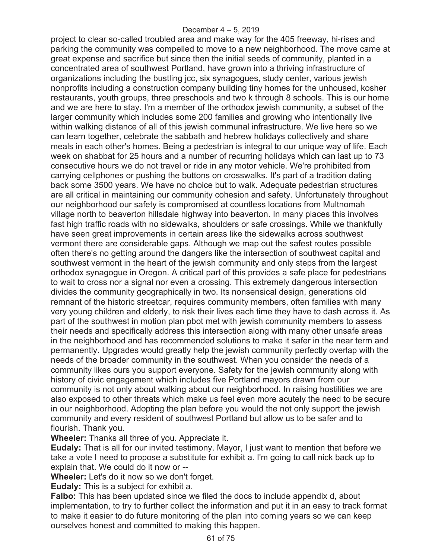project to clear so-called troubled area and make way for the 405 freeway, hi-rises and parking the community was compelled to move to a new neighborhood. The move came at great expense and sacrifice but since then the initial seeds of community, planted in a concentrated area of southwest Portland, have grown into a thriving infrastructure of organizations including the bustling jcc, six synagogues, study center, various jewish nonprofits including a construction company building tiny homes for the unhoused, kosher restaurants, youth groups, three preschools and two k through 8 schools. This is our home and we are here to stay. I'm a member of the orthodox jewish community, a subset of the larger community which includes some 200 families and growing who intentionally live within walking distance of all of this jewish communal infrastructure. We live here so we can learn together, celebrate the sabbath and hebrew holidays collectively and share meals in each other's homes. Being a pedestrian is integral to our unique way of life. Each week on shabbat for 25 hours and a number of recurring holidays which can last up to 73 consecutive hours we do not travel or ride in any motor vehicle. We're prohibited from carrying cellphones or pushing the buttons on crosswalks. It's part of a tradition dating back some 3500 years. We have no choice but to walk. Adequate pedestrian structures are all critical in maintaining our community cohesion and safety. Unfortunately throughout our neighborhood our safety is compromised at countless locations from Multnomah village north to beaverton hillsdale highway into beaverton. In many places this involves fast high traffic roads with no sidewalks, shoulders or safe crossings. While we thankfully have seen great improvements in certain areas like the sidewalks across southwest vermont there are considerable gaps. Although we map out the safest routes possible often there's no getting around the dangers like the intersection of southwest capital and southwest vermont in the heart of the jewish community and only steps from the largest orthodox synagogue in Oregon. A critical part of this provides a safe place for pedestrians to wait to cross nor a signal nor even a crossing. This extremely dangerous intersection divides the community geographically in two. Its nonsensical design, generations old remnant of the historic streetcar, requires community members, often families with many very young children and elderly, to risk their lives each time they have to dash across it. As part of the southwest in motion plan pbot met with jewish community members to assess their needs and specifically address this intersection along with many other unsafe areas in the neighborhood and has recommended solutions to make it safer in the near term and permanently. Upgrades would greatly help the jewish community perfectly overlap with the needs of the broader community in the southwest. When you consider the needs of a community likes ours you support everyone. Safety for the jewish community along with history of civic engagement which includes five Portland mayors drawn from our community is not only about walking about our neighborhood. In raising hostilities we are also exposed to other threats which make us feel even more acutely the need to be secure in our neighborhood. Adopting the plan before you would the not only support the jewish community and every resident of southwest Portland but allow us to be safer and to flourish. Thank you.

**Wheeler:** Thanks all three of you. Appreciate it.

**Eudaly:** That is all for our invited testimony. Mayor, I just want to mention that before we take a vote I need to propose a substitute for exhibit a. I'm going to call nick back up to explain that. We could do it now or --

**Wheeler:** Let's do it now so we don't forget.

**Eudaly:** This is a subject for exhibit a.

**Falbo:** This has been updated since we filed the docs to include appendix d, about implementation, to try to further collect the information and put it in an easy to track format to make it easier to do future monitoring of the plan into coming years so we can keep ourselves honest and committed to making this happen.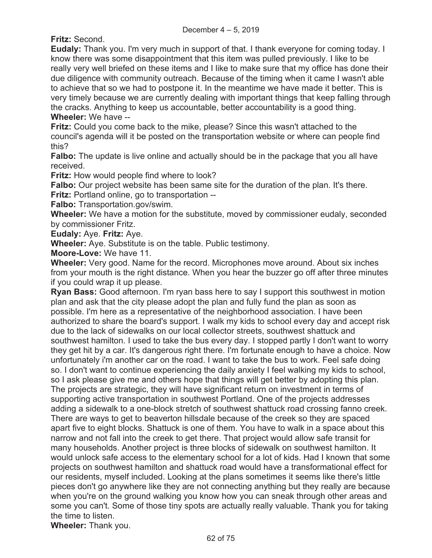**Fritz:** Second.

**Eudaly:** Thank you. I'm very much in support of that. I thank everyone for coming today. I know there was some disappointment that this item was pulled previously. I like to be really very well briefed on these items and I like to make sure that my office has done their due diligence with community outreach. Because of the timing when it came I wasn't able to achieve that so we had to postpone it. In the meantime we have made it better. This is very timely because we are currently dealing with important things that keep falling through the cracks. Anything to keep us accountable, better accountability is a good thing. **Wheeler:** We have --

**Fritz:** Could you come back to the mike, please? Since this wasn't attached to the council's agenda will it be posted on the transportation website or where can people find this?

**Falbo:** The update is live online and actually should be in the package that you all have received.

**Fritz:** How would people find where to look?

**Falbo:** Our project website has been same site for the duration of the plan. It's there. **Fritz:** Portland online, go to transportation --

**Falbo:** Transportation.gov/swim.

**Wheeler:** We have a motion for the substitute, moved by commissioner eudaly, seconded by commissioner Fritz.

**Eudaly:** Aye. **Fritz:** Aye.

**Wheeler:** Aye. Substitute is on the table. Public testimony.

**Moore-Love:** We have 11.

**Wheeler:** Very good. Name for the record. Microphones move around. About six inches from your mouth is the right distance. When you hear the buzzer go off after three minutes if you could wrap it up please.

**Ryan Bass:** Good afternoon. I'm ryan bass here to say I support this southwest in motion plan and ask that the city please adopt the plan and fully fund the plan as soon as possible. I'm here as a representative of the neighborhood association. I have been authorized to share the board's support. I walk my kids to school every day and accept risk due to the lack of sidewalks on our local collector streets, southwest shattuck and southwest hamilton. I used to take the bus every day. I stopped partly I don't want to worry they get hit by a car. It's dangerous right there. I'm fortunate enough to have a choice. Now unfortunately i'm another car on the road. I want to take the bus to work. Feel safe doing so. I don't want to continue experiencing the daily anxiety I feel walking my kids to school, so I ask please give me and others hope that things will get better by adopting this plan. The projects are strategic, they will have significant return on investment in terms of supporting active transportation in southwest Portland. One of the projects addresses adding a sidewalk to a one-block stretch of southwest shattuck road crossing fanno creek. There are ways to get to beaverton hillsdale because of the creek so they are spaced apart five to eight blocks. Shattuck is one of them. You have to walk in a space about this narrow and not fall into the creek to get there. That project would allow safe transit for many households. Another project is three blocks of sidewalk on southwest hamilton. It would unlock safe access to the elementary school for a lot of kids. Had I known that some projects on southwest hamilton and shattuck road would have a transformational effect for our residents, myself included. Looking at the plans sometimes it seems like there's little pieces don't go anywhere like they are not connecting anything but they really are because when you're on the ground walking you know how you can sneak through other areas and some you can't. Some of those tiny spots are actually really valuable. Thank you for taking the time to listen.

**Wheeler:** Thank you.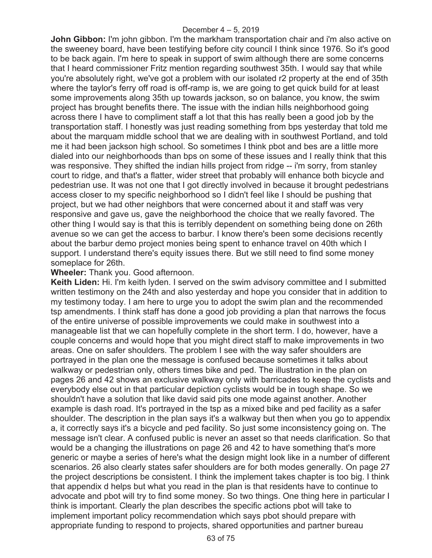**John Gibbon:** I'm john gibbon. I'm the markham transportation chair and i'm also active on the sweeney board, have been testifying before city council I think since 1976. So it's good to be back again. I'm here to speak in support of swim although there are some concerns that I heard commissioner Fritz mention regarding southwest 35th. I would say that while you're absolutely right, we've got a problem with our isolated r2 property at the end of 35th where the taylor's ferry off road is off-ramp is, we are going to get quick build for at least some improvements along 35th up towards jackson, so on balance, you know, the swim project has brought benefits there. The issue with the indian hills neighborhood going across there I have to compliment staff a lot that this has really been a good job by the transportation staff. I honestly was just reading something from bps yesterday that told me about the marquam middle school that we are dealing with in southwest Portland, and told me it had been jackson high school. So sometimes I think pbot and bes are a little more dialed into our neighborhoods than bps on some of these issues and I really think that this was responsive. They shifted the indian hills project from ridge -- i'm sorry, from stanley court to ridge, and that's a flatter, wider street that probably will enhance both bicycle and pedestrian use. It was not one that I got directly involved in because it brought pedestrians access closer to my specific neighborhood so I didn't feel like I should be pushing that project, but we had other neighbors that were concerned about it and staff was very responsive and gave us, gave the neighborhood the choice that we really favored. The other thing I would say is that this is terribly dependent on something being done on 26th avenue so we can get the access to barbur. I know there's been some decisions recently about the barbur demo project monies being spent to enhance travel on 40th which I support. I understand there's equity issues there. But we still need to find some money someplace for 26th.

## **Wheeler:** Thank you. Good afternoon.

**Keith Liden:** Hi. I'm keith lyden. I served on the swim advisory committee and I submitted written testimony on the 24th and also yesterday and hope you consider that in addition to my testimony today. I am here to urge you to adopt the swim plan and the recommended tsp amendments. I think staff has done a good job providing a plan that narrows the focus of the entire universe of possible improvements we could make in southwest into a manageable list that we can hopefully complete in the short term. I do, however, have a couple concerns and would hope that you might direct staff to make improvements in two areas. One on safer shoulders. The problem I see with the way safer shoulders are portrayed in the plan one the message is confused because sometimes it talks about walkway or pedestrian only, others times bike and ped. The illustration in the plan on pages 26 and 42 shows an exclusive walkway only with barricades to keep the cyclists and everybody else out in that particular depiction cyclists would be in tough shape. So we shouldn't have a solution that like david said pits one mode against another. Another example is dash road. It's portrayed in the tsp as a mixed bike and ped facility as a safer shoulder. The description in the plan says it's a walkway but then when you go to appendix a, it correctly says it's a bicycle and ped facility. So just some inconsistency going on. The message isn't clear. A confused public is never an asset so that needs clarification. So that would be a changing the illustrations on page 26 and 42 to have something that's more generic or maybe a series of here's what the design might look like in a number of different scenarios. 26 also clearly states safer shoulders are for both modes generally. On page 27 the project descriptions be consistent. I think the implement takes chapter is too big. I think that appendix d helps but what you read in the plan is that residents have to continue to advocate and pbot will try to find some money. So two things. One thing here in particular I think is important. Clearly the plan describes the specific actions pbot will take to implement important policy recommendation which says pbot should prepare with appropriate funding to respond to projects, shared opportunities and partner bureau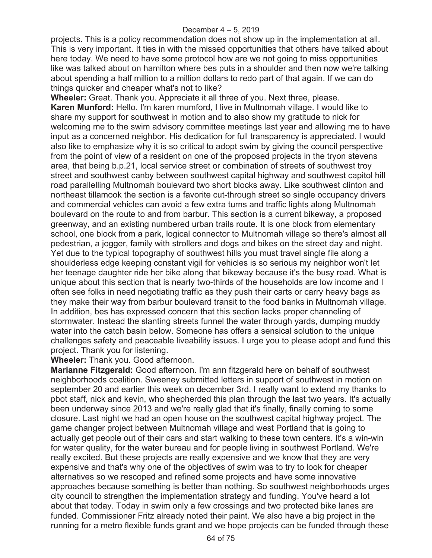projects. This is a policy recommendation does not show up in the implementation at all. This is very important. It ties in with the missed opportunities that others have talked about here today. We need to have some protocol how are we not going to miss opportunities like was talked about on hamilton where bes puts in a shoulder and then now we're talking about spending a half million to a million dollars to redo part of that again. If we can do things quicker and cheaper what's not to like?

**Wheeler:** Great. Thank you. Appreciate it all three of you. Next three, please. **Karen Munford:** Hello. I'm karen mumford, I live in Multnomah village. I would like to share my support for southwest in motion and to also show my gratitude to nick for welcoming me to the swim advisory committee meetings last year and allowing me to have input as a concerned neighbor. His dedication for full transparency is appreciated. I would also like to emphasize why it is so critical to adopt swim by giving the council perspective from the point of view of a resident on one of the proposed projects in the tryon stevens area, that being b.p.21, local service street or combination of streets of southwest troy street and southwest canby between southwest capital highway and southwest capitol hill road parallelling Multnomah boulevard two short blocks away. Like southwest clinton and northeast tillamook the section is a favorite cut-through street so single occupancy drivers and commercial vehicles can avoid a few extra turns and traffic lights along Multnomah boulevard on the route to and from barbur. This section is a current bikeway, a proposed greenway, and an existing numbered urban trails route. It is one block from elementary school, one block from a park, logical connector to Multnomah village so there's almost all pedestrian, a jogger, family with strollers and dogs and bikes on the street day and night. Yet due to the typical topography of southwest hills you must travel single file along a shoulderless edge keeping constant vigil for vehicles is so serious my neighbor won't let her teenage daughter ride her bike along that bikeway because it's the busy road. What is unique about this section that is nearly two-thirds of the households are low income and I often see folks in need negotiating traffic as they push their carts or carry heavy bags as they make their way from barbur boulevard transit to the food banks in Multnomah village. In addition, bes has expressed concern that this section lacks proper channeling of stormwater. Instead the slanting streets funnel the water through yards, dumping muddy water into the catch basin below. Someone has offers a sensical solution to the unique challenges safety and peaceable liveability issues. I urge you to please adopt and fund this project. Thank you for listening.

### **Wheeler:** Thank you. Good afternoon.

**Marianne Fitzgerald:** Good afternoon. I'm ann fitzgerald here on behalf of southwest neighborhoods coalition. Sweeney submitted letters in support of southwest in motion on september 20 and earlier this week on december 3rd. I really want to extend my thanks to pbot staff, nick and kevin, who shepherded this plan through the last two years. It's actually been underway since 2013 and we're really glad that it's finally, finally coming to some closure. Last night we had an open house on the southwest capital highway project. The game changer project between Multnomah village and west Portland that is going to actually get people out of their cars and start walking to these town centers. It's a win-win for water quality, for the water bureau and for people living in southwest Portland. We're really excited. But these projects are really expensive and we know that they are very expensive and that's why one of the objectives of swim was to try to look for cheaper alternatives so we rescoped and refined some projects and have some innovative approaches because something is better than nothing. So southwest neighborhoods urges city council to strengthen the implementation strategy and funding. You've heard a lot about that today. Today in swim only a few crossings and two protected bike lanes are funded. Commissioner Fritz already noted their paint. We also have a big project in the running for a metro flexible funds grant and we hope projects can be funded through these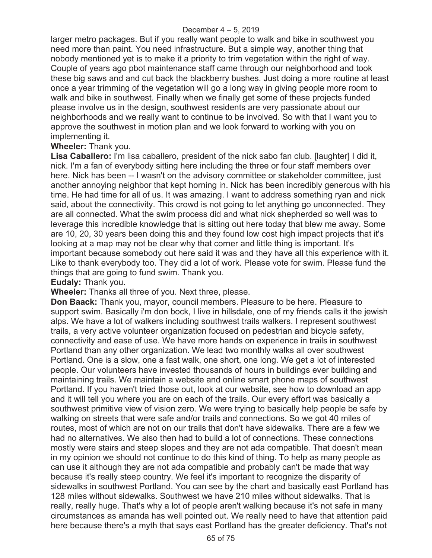larger metro packages. But if you really want people to walk and bike in southwest you need more than paint. You need infrastructure. But a simple way, another thing that nobody mentioned yet is to make it a priority to trim vegetation within the right of way. Couple of years ago pbot maintenance staff came through our neighborhood and took these big saws and and cut back the blackberry bushes. Just doing a more routine at least once a year trimming of the vegetation will go a long way in giving people more room to walk and bike in southwest. Finally when we finally get some of these projects funded please involve us in the design, southwest residents are very passionate about our neighborhoods and we really want to continue to be involved. So with that I want you to approve the southwest in motion plan and we look forward to working with you on implementing it.

**Wheeler:** Thank you.

**Lisa Caballero:** I'm lisa caballero, president of the nick sabo fan club. [laughter] I did it, nick. I'm a fan of everybody sitting here including the three or four staff members over here. Nick has been -- I wasn't on the advisory committee or stakeholder committee, just another annoying neighbor that kept horning in. Nick has been incredibly generous with his time. He had time for all of us. It was amazing. I want to address something ryan and nick said, about the connectivity. This crowd is not going to let anything go unconnected. They are all connected. What the swim process did and what nick shepherded so well was to leverage this incredible knowledge that is sitting out here today that blew me away. Some are 10, 20, 30 years been doing this and they found low cost high impact projects that it's looking at a map may not be clear why that corner and little thing is important. It's important because somebody out here said it was and they have all this experience with it. Like to thank everybody too. They did a lot of work. Please vote for swim. Please fund the things that are going to fund swim. Thank you.

**Eudaly:** Thank you.

**Wheeler:** Thanks all three of you. Next three, please.

**Don Baack:** Thank you, mayor, council members. Pleasure to be here. Pleasure to support swim. Basically i'm don bock, I live in hillsdale, one of my friends calls it the jewish alps. We have a lot of walkers including southwest trails walkers. I represent southwest trails, a very active volunteer organization focused on pedestrian and bicycle safety, connectivity and ease of use. We have more hands on experience in trails in southwest Portland than any other organization. We lead two monthly walks all over southwest Portland. One is a slow, one a fast walk, one short, one long. We get a lot of interested people. Our volunteers have invested thousands of hours in buildings ever building and maintaining trails. We maintain a website and online smart phone maps of southwest Portland. If you haven't tried those out, look at our website, see how to download an app and it will tell you where you are on each of the trails. Our every effort was basically a southwest primitive view of vision zero. We were trying to basically help people be safe by walking on streets that were safe and/or trails and connections. So we got 40 miles of routes, most of which are not on our trails that don't have sidewalks. There are a few we had no alternatives. We also then had to build a lot of connections. These connections mostly were stairs and steep slopes and they are not ada compatible. That doesn't mean in my opinion we should not continue to do this kind of thing. To help as many people as can use it although they are not ada compatible and probably can't be made that way because it's really steep country. We feel it's important to recognize the disparity of sidewalks in southwest Portland. You can see by the chart and basically east Portland has 128 miles without sidewalks. Southwest we have 210 miles without sidewalks. That is really, really huge. That's why a lot of people aren't walking because it's not safe in many circumstances as amanda has well pointed out. We really need to have that attention paid here because there's a myth that says east Portland has the greater deficiency. That's not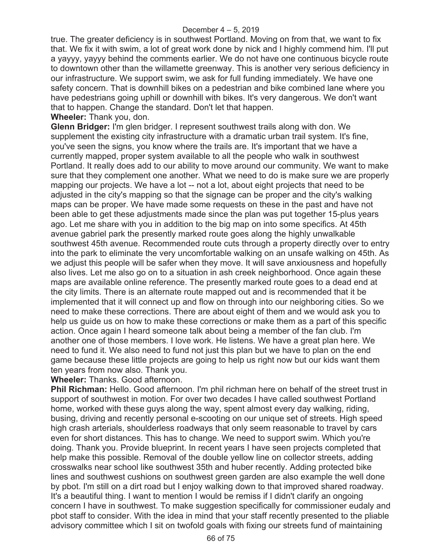true. The greater deficiency is in southwest Portland. Moving on from that, we want to fix that. We fix it with swim, a lot of great work done by nick and I highly commend him. I'll put a yayyy, yayyy behind the comments earlier. We do not have one continuous bicycle route to downtown other than the willamette greenway. This is another very serious deficiency in our infrastructure. We support swim, we ask for full funding immediately. We have one safety concern. That is downhill bikes on a pedestrian and bike combined lane where you have pedestrians going uphill or downhill with bikes. It's very dangerous. We don't want that to happen. Change the standard. Don't let that happen.

**Wheeler:** Thank you, don.

**Glenn Bridger:** I'm glen bridger. I represent southwest trails along with don. We supplement the existing city infrastructure with a dramatic urban trail system. It's fine, you've seen the signs, you know where the trails are. It's important that we have a currently mapped, proper system available to all the people who walk in southwest Portland. It really does add to our ability to move around our community. We want to make sure that they complement one another. What we need to do is make sure we are properly mapping our projects. We have a lot -- not a lot, about eight projects that need to be adjusted in the city's mapping so that the signage can be proper and the city's walking maps can be proper. We have made some requests on these in the past and have not been able to get these adjustments made since the plan was put together 15-plus years ago. Let me share with you in addition to the big map on into some specifics. At 45th avenue gabriel park the presently marked route goes along the highly unwalkable southwest 45th avenue. Recommended route cuts through a property directly over to entry into the park to eliminate the very uncomfortable walking on an unsafe walking on 45th. As we adjust this people will be safer when they move. It will save anxiousness and hopefully also lives. Let me also go on to a situation in ash creek neighborhood. Once again these maps are available online reference. The presently marked route goes to a dead end at the city limits. There is an alternate route mapped out and is recommended that it be implemented that it will connect up and flow on through into our neighboring cities. So we need to make these corrections. There are about eight of them and we would ask you to help us guide us on how to make these corrections or make them as a part of this specific action. Once again I heard someone talk about being a member of the fan club. I'm another one of those members. I love work. He listens. We have a great plan here. We need to fund it. We also need to fund not just this plan but we have to plan on the end game because these little projects are going to help us right now but our kids want them ten years from now also. Thank you.

**Wheeler:** Thanks. Good afternoon.

**Phil Richman:** Hello. Good afternoon. I'm phil richman here on behalf of the street trust in support of southwest in motion. For over two decades I have called southwest Portland home, worked with these guys along the way, spent almost every day walking, riding, busing, driving and recently personal e-scooting on our unique set of streets. High speed high crash arterials, shoulderless roadways that only seem reasonable to travel by cars even for short distances. This has to change. We need to support swim. Which you're doing. Thank you. Provide blueprint. In recent years I have seen projects completed that help make this possible. Removal of the double yellow line on collector streets, adding crosswalks near school like southwest 35th and huber recently. Adding protected bike lines and southwest cushions on southwest green garden are also example the well done by pbot. I'm still on a dirt road but I enjoy walking down to that improved shared roadway. It's a beautiful thing. I want to mention I would be remiss if I didn't clarify an ongoing concern I have in southwest. To make suggestion specifically for commissioner eudaly and pbot staff to consider. With the idea in mind that your staff recently presented to the pliable advisory committee which I sit on twofold goals with fixing our streets fund of maintaining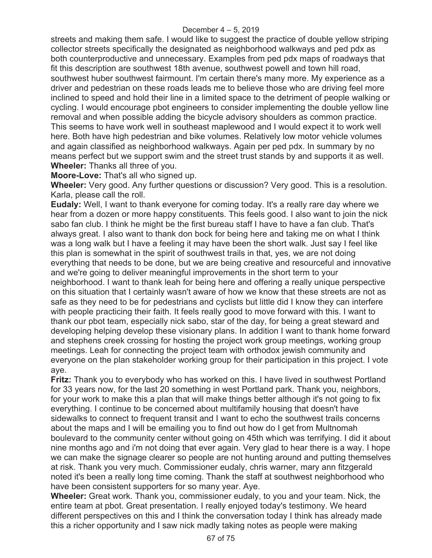streets and making them safe. I would like to suggest the practice of double yellow striping collector streets specifically the designated as neighborhood walkways and ped pdx as both counterproductive and unnecessary. Examples from ped pdx maps of roadways that fit this description are southwest 18th avenue, southwest powell and town hill road, southwest huber southwest fairmount. I'm certain there's many more. My experience as a driver and pedestrian on these roads leads me to believe those who are driving feel more inclined to speed and hold their line in a limited space to the detriment of people walking or cycling. I would encourage pbot engineers to consider implementing the double yellow line removal and when possible adding the bicycle advisory shoulders as common practice. This seems to have work well in southeast maplewood and I would expect it to work well here. Both have high pedestrian and bike volumes. Relatively low motor vehicle volumes and again classified as neighborhood walkways. Again per ped pdx. In summary by no means perfect but we support swim and the street trust stands by and supports it as well. **Wheeler:** Thanks all three of you.

**Moore-Love:** That's all who signed up.

**Wheeler:** Very good. Any further questions or discussion? Very good. This is a resolution. Karla, please call the roll.

**Eudaly:** Well, I want to thank everyone for coming today. It's a really rare day where we hear from a dozen or more happy constituents. This feels good. I also want to join the nick sabo fan club. I think he might be the first bureau staff I have to have a fan club. That's always great. I also want to thank don bock for being here and taking me on what I think was a long walk but I have a feeling it may have been the short walk. Just say I feel like this plan is somewhat in the spirit of southwest trails in that, yes, we are not doing everything that needs to be done, but we are being creative and resourceful and innovative and we're going to deliver meaningful improvements in the short term to your neighborhood. I want to thank leah for being here and offering a really unique perspective on this situation that I certainly wasn't aware of how we know that these streets are not as safe as they need to be for pedestrians and cyclists but little did I know they can interfere with people practicing their faith. It feels really good to move forward with this. I want to thank our pbot team, especially nick sabo, star of the day, for being a great steward and developing helping develop these visionary plans. In addition I want to thank home forward and stephens creek crossing for hosting the project work group meetings, working group meetings. Leah for connecting the project team with orthodox jewish community and everyone on the plan stakeholder working group for their participation in this project. I vote aye.

**Fritz:** Thank you to everybody who has worked on this. I have lived in southwest Portland for 33 years now, for the last 20 something in west Portland park. Thank you, neighbors, for your work to make this a plan that will make things better although it's not going to fix everything. I continue to be concerned about multifamily housing that doesn't have sidewalks to connect to frequent transit and I want to echo the southwest trails concerns about the maps and I will be emailing you to find out how do I get from Multnomah boulevard to the community center without going on 45th which was terrifying. I did it about nine months ago and i'm not doing that ever again. Very glad to hear there is a way. I hope we can make the signage clearer so people are not hunting around and putting themselves at risk. Thank you very much. Commissioner eudaly, chris warner, mary ann fitzgerald noted it's been a really long time coming. Thank the staff at southwest neighborhood who have been consistent supporters for so many year. Aye.

**Wheeler:** Great work. Thank you, commissioner eudaly, to you and your team. Nick, the entire team at pbot. Great presentation. I really enjoyed today's testimony. We heard different perspectives on this and I think the conversation today I think has already made this a richer opportunity and I saw nick madly taking notes as people were making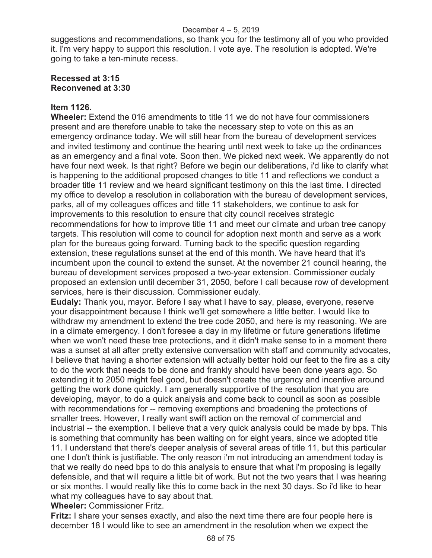suggestions and recommendations, so thank you for the testimony all of you who provided it. I'm very happy to support this resolution. I vote aye. The resolution is adopted. We're going to take a ten-minute recess.

# **Recessed at 3:15 Reconvened at 3:30**

# **Item 1126.**

**Wheeler:** Extend the 016 amendments to title 11 we do not have four commissioners present and are therefore unable to take the necessary step to vote on this as an emergency ordinance today. We will still hear from the bureau of development services and invited testimony and continue the hearing until next week to take up the ordinances as an emergency and a final vote. Soon then. We picked next week. We apparently do not have four next week. Is that right? Before we begin our deliberations, i'd like to clarify what is happening to the additional proposed changes to title 11 and reflections we conduct a broader title 11 review and we heard significant testimony on this the last time. I directed my office to develop a resolution in collaboration with the bureau of development services, parks, all of my colleagues offices and title 11 stakeholders, we continue to ask for improvements to this resolution to ensure that city council receives strategic recommendations for how to improve title 11 and meet our climate and urban tree canopy targets. This resolution will come to council for adoption next month and serve as a work plan for the bureaus going forward. Turning back to the specific question regarding extension, these regulations sunset at the end of this month. We have heard that it's incumbent upon the council to extend the sunset. At the november 21 council hearing, the bureau of development services proposed a two-year extension. Commissioner eudaly proposed an extension until december 31, 2050, before I call because row of development services, here is their discussion. Commissioner eudaly.

**Eudaly:** Thank you, mayor. Before I say what I have to say, please, everyone, reserve your disappointment because I think we'll get somewhere a little better. I would like to withdraw my amendment to extend the tree code 2050, and here is my reasoning. We are in a climate emergency. I don't foresee a day in my lifetime or future generations lifetime when we won't need these tree protections, and it didn't make sense to in a moment there was a sunset at all after pretty extensive conversation with staff and community advocates, I believe that having a shorter extension will actually better hold our feet to the fire as a city to do the work that needs to be done and frankly should have been done years ago. So extending it to 2050 might feel good, but doesn't create the urgency and incentive around getting the work done quickly. I am generally supportive of the resolution that you are developing, mayor, to do a quick analysis and come back to council as soon as possible with recommendations for -- removing exemptions and broadening the protections of smaller trees. However, I really want swift action on the removal of commercial and industrial -- the exemption. I believe that a very quick analysis could be made by bps. This is something that community has been waiting on for eight years, since we adopted title 11. I understand that there's deeper analysis of several areas of title 11, but this particular one I don't think is justifiable. The only reason i'm not introducing an amendment today is that we really do need bps to do this analysis to ensure that what i'm proposing is legally defensible, and that will require a little bit of work. But not the two years that I was hearing or six months. I would really like this to come back in the next 30 days. So i'd like to hear what my colleagues have to say about that.

**Wheeler:** Commissioner Fritz.

**Fritz:** I share your senses exactly, and also the next time there are four people here is december 18 I would like to see an amendment in the resolution when we expect the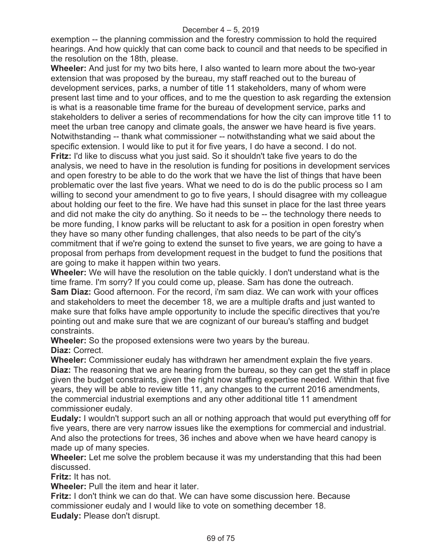exemption -- the planning commission and the forestry commission to hold the required hearings. And how quickly that can come back to council and that needs to be specified in the resolution on the 18th, please.

**Wheeler:** And just for my two bits here, I also wanted to learn more about the two-year extension that was proposed by the bureau, my staff reached out to the bureau of development services, parks, a number of title 11 stakeholders, many of whom were present last time and to your offices, and to me the question to ask regarding the extension is what is a reasonable time frame for the bureau of development service, parks and stakeholders to deliver a series of recommendations for how the city can improve title 11 to meet the urban tree canopy and climate goals, the answer we have heard is five years. Notwithstanding -- thank what commissioner -- notwithstanding what we said about the specific extension. I would like to put it for five years, I do have a second. I do not. **Fritz:** I'd like to discuss what you just said. So it shouldn't take five years to do the analysis, we need to have in the resolution is funding for positions in development services and open forestry to be able to do the work that we have the list of things that have been problematic over the last five years. What we need to do is do the public process so I am willing to second your amendment to go to five years, I should disagree with my colleague about holding our feet to the fire. We have had this sunset in place for the last three years and did not make the city do anything. So it needs to be -- the technology there needs to be more funding, I know parks will be reluctant to ask for a position in open forestry when they have so many other funding challenges, that also needs to be part of the city's commitment that if we're going to extend the sunset to five years, we are going to have a proposal from perhaps from development request in the budget to fund the positions that are going to make it happen within two years.

**Wheeler:** We will have the resolution on the table quickly. I don't understand what is the time frame. I'm sorry? If you could come up, please. Sam has done the outreach. **Sam Diaz:** Good afternoon. For the record, i'm sam diaz. We can work with your offices and stakeholders to meet the december 18, we are a multiple drafts and just wanted to make sure that folks have ample opportunity to include the specific directives that you're pointing out and make sure that we are cognizant of our bureau's staffing and budget constraints.

**Wheeler:** So the proposed extensions were two years by the bureau. **Diaz:** Correct.

**Wheeler:** Commissioner eudaly has withdrawn her amendment explain the five years. **Diaz:** The reasoning that we are hearing from the bureau, so they can get the staff in place given the budget constraints, given the right now staffing expertise needed. Within that five years, they will be able to review title 11, any changes to the current 2016 amendments, the commercial industrial exemptions and any other additional title 11 amendment commissioner eudaly.

**Eudaly:** I wouldn't support such an all or nothing approach that would put everything off for five years, there are very narrow issues like the exemptions for commercial and industrial. And also the protections for trees, 36 inches and above when we have heard canopy is made up of many species.

**Wheeler:** Let me solve the problem because it was my understanding that this had been discussed.

**Fritz:** It has not.

**Wheeler:** Pull the item and hear it later.

**Fritz:** I don't think we can do that. We can have some discussion here. Because commissioner eudaly and I would like to vote on something december 18. **Eudaly:** Please don't disrupt.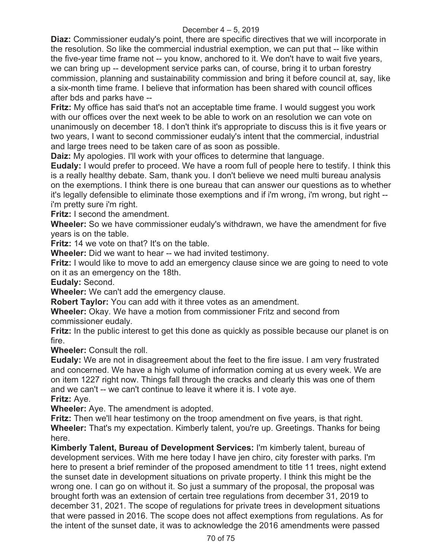**Diaz:** Commissioner eudaly's point, there are specific directives that we will incorporate in the resolution. So like the commercial industrial exemption, we can put that -- like within the five-year time frame not -- you know, anchored to it. We don't have to wait five years, we can bring up -- development service parks can, of course, bring it to urban forestry commission, planning and sustainability commission and bring it before council at, say, like a six-month time frame. I believe that information has been shared with council offices after bds and parks have --

**Fritz:** My office has said that's not an acceptable time frame. I would suggest you work with our offices over the next week to be able to work on an resolution we can vote on unanimously on december 18. I don't think it's appropriate to discuss this is it five years or two years, I want to second commissioner eudaly's intent that the commercial, industrial and large trees need to be taken care of as soon as possible.

**Daiz:** My apologies. I'll work with your offices to determine that language.

**Eudaly:** I would prefer to proceed. We have a room full of people here to testify. I think this is a really healthy debate. Sam, thank you. I don't believe we need multi bureau analysis on the exemptions. I think there is one bureau that can answer our questions as to whether it's legally defensible to eliminate those exemptions and if i'm wrong, i'm wrong, but right - i'm pretty sure i'm right.

**Fritz:** I second the amendment.

**Wheeler:** So we have commissioner eudaly's withdrawn, we have the amendment for five years is on the table.

**Fritz:** 14 we vote on that? It's on the table.

**Wheeler:** Did we want to hear -- we had invited testimony.

**Fritz:** I would like to move to add an emergency clause since we are going to need to vote on it as an emergency on the 18th.

**Eudaly:** Second.

**Wheeler:** We can't add the emergency clause.

**Robert Taylor:** You can add with it three votes as an amendment.

**Wheeler:** Okay. We have a motion from commissioner Fritz and second from commissioner eudaly.

**Fritz:** In the public interest to get this done as quickly as possible because our planet is on fire.

**Wheeler:** Consult the roll.

**Eudaly:** We are not in disagreement about the feet to the fire issue. I am very frustrated and concerned. We have a high volume of information coming at us every week. We are on item 1227 right now. Things fall through the cracks and clearly this was one of them and we can't -- we can't continue to leave it where it is. I vote aye.

**Fritz:** Aye.

**Wheeler:** Aye. The amendment is adopted.

**Fritz:** Then we'll hear testimony on the troop amendment on five years, is that right. **Wheeler:** That's my expectation. Kimberly talent, you're up. Greetings. Thanks for being here.

**Kimberly Talent, Bureau of Development Services:** I'm kimberly talent, bureau of development services. With me here today I have jen chiro, city forester with parks. I'm here to present a brief reminder of the proposed amendment to title 11 trees, night extend the sunset date in development situations on private property. I think this might be the wrong one. I can go on without it. So just a summary of the proposal, the proposal was brought forth was an extension of certain tree regulations from december 31, 2019 to december 31, 2021. The scope of regulations for private trees in development situations that were passed in 2016. The scope does not affect exemptions from regulations. As for the intent of the sunset date, it was to acknowledge the 2016 amendments were passed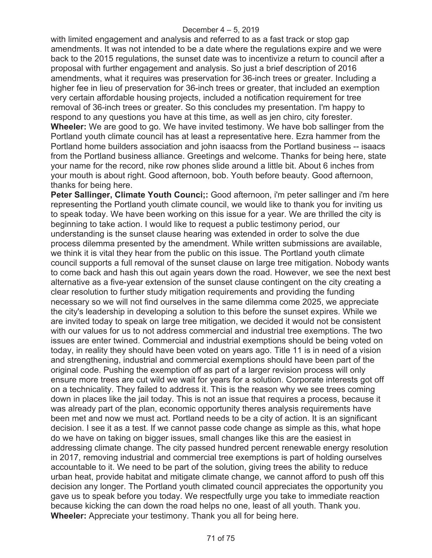with limited engagement and analysis and referred to as a fast track or stop gap amendments. It was not intended to be a date where the regulations expire and we were back to the 2015 regulations, the sunset date was to incentivize a return to council after a proposal with further engagement and analysis. So just a brief description of 2016 amendments, what it requires was preservation for 36-inch trees or greater. Including a higher fee in lieu of preservation for 36-inch trees or greater, that included an exemption very certain affordable housing projects, included a notification requirement for tree removal of 36-inch trees or greater. So this concludes my presentation. I'm happy to respond to any questions you have at this time, as well as jen chiro, city forester. **Wheeler:** We are good to go. We have invited testimony. We have bob sallinger from the Portland youth climate council has at least a representative here. Ezra hammer from the Portland home builders association and john isaacss from the Portland business -- isaacs from the Portland business alliance. Greetings and welcome. Thanks for being here, state your name for the record, nike row phones slide around a little bit. About 6 inches from your mouth is about right. Good afternoon, bob. Youth before beauty. Good afternoon, thanks for being here.

**Peter Sallinger, Climate Youth Counci;:** Good afternoon, i'm peter sallinger and i'm here representing the Portland youth climate council, we would like to thank you for inviting us to speak today. We have been working on this issue for a year. We are thrilled the city is beginning to take action. I would like to request a public testimony period, our understanding is the sunset clause hearing was extended in order to solve the due process dilemma presented by the amendment. While written submissions are available, we think it is vital they hear from the public on this issue. The Portland youth climate council supports a full removal of the sunset clause on large tree mitigation. Nobody wants to come back and hash this out again years down the road. However, we see the next best alternative as a five-year extension of the sunset clause contingent on the city creating a clear resolution to further study mitigation requirements and providing the funding necessary so we will not find ourselves in the same dilemma come 2025, we appreciate the city's leadership in developing a solution to this before the sunset expires. While we are invited today to speak on large tree mitigation, we decided it would not be consistent with our values for us to not address commercial and industrial tree exemptions. The two issues are enter twined. Commercial and industrial exemptions should be being voted on today, in reality they should have been voted on years ago. Title 11 is in need of a vision and strengthening, industrial and commercial exemptions should have been part of the original code. Pushing the exemption off as part of a larger revision process will only ensure more trees are cut wild we wait for years for a solution. Corporate interests got off on a technicality. They failed to address it. This is the reason why we see trees coming down in places like the jail today. This is not an issue that requires a process, because it was already part of the plan, economic opportunity theres analysis requirements have been met and now we must act. Portland needs to be a city of action. It is an significant decision. I see it as a test. If we cannot passe code change as simple as this, what hope do we have on taking on bigger issues, small changes like this are the easiest in addressing climate change. The city passed hundred percent renewable energy resolution in 2017, removing industrial and commercial tree exemptions is part of holding ourselves accountable to it. We need to be part of the solution, giving trees the ability to reduce urban heat, provide habitat and mitigate climate change, we cannot afford to push off this decision any longer. The Portland youth climated council appreciates the opportunity you gave us to speak before you today. We respectfully urge you take to immediate reaction because kicking the can down the road helps no one, least of all youth. Thank you. **Wheeler:** Appreciate your testimony. Thank you all for being here.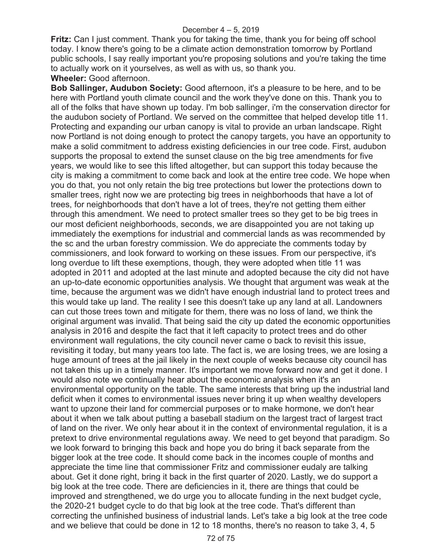**Fritz:** Can I just comment. Thank you for taking the time, thank you for being off school today. I know there's going to be a climate action demonstration tomorrow by Portland public schools, I say really important you're proposing solutions and you're taking the time to actually work on it yourselves, as well as with us, so thank you.

### **Wheeler:** Good afternoon.

**Bob Sallinger, Audubon Society:** Good afternoon, it's a pleasure to be here, and to be here with Portland youth climate council and the work they've done on this. Thank you to all of the folks that have shown up today. I'm bob sallinger, i'm the conservation director for the audubon society of Portland. We served on the committee that helped develop title 11. Protecting and expanding our urban canopy is vital to provide an urban landscape. Right now Portland is not doing enough to protect the canopy targets, you have an opportunity to make a solid commitment to address existing deficiencies in our tree code. First, audubon supports the proposal to extend the sunset clause on the big tree amendments for five years, we would like to see this lifted altogether, but can support this today because the city is making a commitment to come back and look at the entire tree code. We hope when you do that, you not only retain the big tree protections but lower the protections down to smaller trees, right now we are protecting big trees in neighborhoods that have a lot of trees, for neighborhoods that don't have a lot of trees, they're not getting them either through this amendment. We need to protect smaller trees so they get to be big trees in our most deficient neighborhoods, seconds, we are disappointed you are not taking up immediately the exemptions for industrial and commercial lands as was recommended by the sc and the urban forestry commission. We do appreciate the comments today by commissioners, and look forward to working on these issues. From our perspective, it's long overdue to lift these exemptions, though, they were adopted when title 11 was adopted in 2011 and adopted at the last minute and adopted because the city did not have an up-to-date economic opportunities analysis. We thought that argument was weak at the time, because the argument was we didn't have enough industrial land to protect trees and this would take up land. The reality I see this doesn't take up any land at all. Landowners can cut those trees town and mitigate for them, there was no loss of land, we think the original argument was invalid. That being said the city up dated the economic opportunities analysis in 2016 and despite the fact that it left capacity to protect trees and do other environment wall regulations, the city council never came o back to revisit this issue, revisiting it today, but many years too late. The fact is, we are losing trees, we are losing a huge amount of trees at the jail likely in the next couple of weeks because city council has not taken this up in a timely manner. It's important we move forward now and get it done. I would also note we continually hear about the economic analysis when it's an environmental opportunity on the table. The same interests that bring up the industrial land deficit when it comes to environmental issues never bring it up when wealthy developers want to upzone their land for commercial purposes or to make hormone, we don't hear about it when we talk about putting a baseball stadium on the largest tract of largest tract of land on the river. We only hear about it in the context of environmental regulation, it is a pretext to drive environmental regulations away. We need to get beyond that paradigm. So we look forward to bringing this back and hope you do bring it back separate from the bigger look at the tree code. It should come back in the incomes couple of months and appreciate the time line that commissioner Fritz and commissioner eudaly are talking about. Get it done right, bring it back in the first quarter of 2020. Lastly, we do support a big look at the tree code. There are deficiencies in it, there are things that could be improved and strengthened, we do urge you to allocate funding in the next budget cycle, the 2020-21 budget cycle to do that big look at the tree code. That's different than correcting the unfinished business of industrial lands. Let's take a big look at the tree code and we believe that could be done in 12 to 18 months, there's no reason to take 3, 4, 5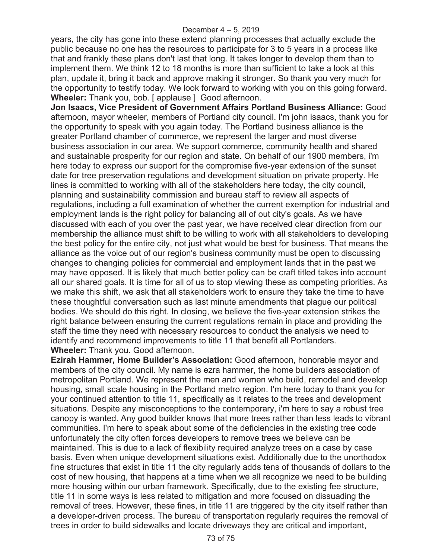years, the city has gone into these extend planning processes that actually exclude the public because no one has the resources to participate for 3 to 5 years in a process like that and frankly these plans don't last that long. It takes longer to develop them than to implement them. We think 12 to 18 months is more than sufficient to take a look at this plan, update it, bring it back and approve making it stronger. So thank you very much for the opportunity to testify today. We look forward to working with you on this going forward. **Wheeler:** Thank you, bob. [ applause ] Good afternoon.

**Jon Isaacs, Vice President of Government Affairs Portland Business Alliance:** Good afternoon, mayor wheeler, members of Portland city council. I'm john isaacs, thank you for the opportunity to speak with you again today. The Portland business alliance is the greater Portland chamber of commerce, we represent the larger and most diverse business association in our area. We support commerce, community health and shared and sustainable prosperity for our region and state. On behalf of our 1900 members, i'm here today to express our support for the compromise five-year extension of the sunset date for tree preservation regulations and development situation on private property. He lines is committed to working with all of the stakeholders here today, the city council, planning and sustainability commission and bureau staff to review all aspects of regulations, including a full examination of whether the current exemption for industrial and employment lands is the right policy for balancing all of out city's goals. As we have discussed with each of you over the past year, we have received clear direction from our membership the alliance must shift to be willing to work with all stakeholders to developing the best policy for the entire city, not just what would be best for business. That means the alliance as the voice out of our region's business community must be open to discussing changes to changing policies for commercial and employment lands that in the past we may have opposed. It is likely that much better policy can be craft titled takes into account all our shared goals. It is time for all of us to stop viewing these as competing priorities. As we make this shift, we ask that all stakeholders work to ensure they take the time to have these thoughtful conversation such as last minute amendments that plague our political bodies. We should do this right. In closing, we believe the five-year extension strikes the right balance between ensuring the current regulations remain in place and providing the staff the time they need with necessary resources to conduct the analysis we need to identify and recommend improvements to title 11 that benefit all Portlanders. **Wheeler:** Thank you. Good afternoon.

**Ezirah Hammer, Home Builder's Association:** Good afternoon, honorable mayor and members of the city council. My name is ezra hammer, the home builders association of metropolitan Portland. We represent the men and women who build, remodel and develop housing, small scale housing in the Portland metro region. I'm here today to thank you for your continued attention to title 11, specifically as it relates to the trees and development situations. Despite any misconceptions to the contemporary, i'm here to say a robust tree canopy is wanted. Any good builder knows that more trees rather than less leads to vibrant communities. I'm here to speak about some of the deficiencies in the existing tree code unfortunately the city often forces developers to remove trees we believe can be maintained. This is due to a lack of flexibility required analyze trees on a case by case basis. Even when unique development situations exist. Additionally due to the unorthodox fine structures that exist in title 11 the city regularly adds tens of thousands of dollars to the cost of new housing, that happens at a time when we all recognize we need to be building more housing within our urban framework. Specifically, due to the existing fee structure, title 11 in some ways is less related to mitigation and more focused on dissuading the removal of trees. However, these fines, in title 11 are triggered by the city itself rather than a developer-driven process. The bureau of transportation regularly requires the removal of trees in order to build sidewalks and locate driveways they are critical and important,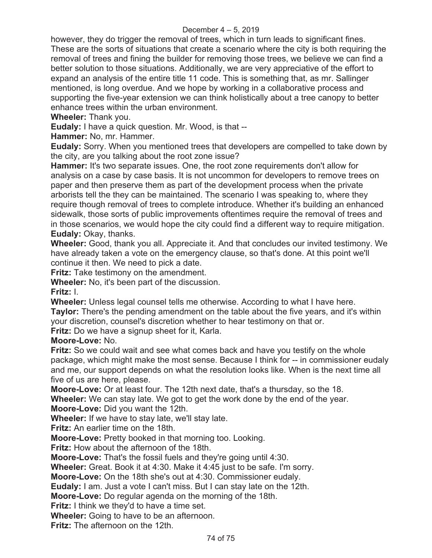## December 4 – 5, 2019

however, they do trigger the removal of trees, which in turn leads to significant fines. These are the sorts of situations that create a scenario where the city is both requiring the removal of trees and fining the builder for removing those trees, we believe we can find a better solution to those situations. Additionally, we are very appreciative of the effort to expand an analysis of the entire title 11 code. This is something that, as mr. Sallinger mentioned, is long overdue. And we hope by working in a collaborative process and supporting the five-year extension we can think holistically about a tree canopy to better enhance trees within the urban environment.

**Wheeler:** Thank you.

**Eudaly:** I have a quick question. Mr. Wood, is that --

**Hammer:** No, mr. Hammer.

**Eudaly:** Sorry. When you mentioned trees that developers are compelled to take down by the city, are you talking about the root zone issue?

**Hammer:** It's two separate issues. One, the root zone requirements don't allow for analysis on a case by case basis. It is not uncommon for developers to remove trees on paper and then preserve them as part of the development process when the private arborists tell the they can be maintained. The scenario I was speaking to, where they require though removal of trees to complete introduce. Whether it's building an enhanced sidewalk, those sorts of public improvements oftentimes require the removal of trees and in those scenarios, we would hope the city could find a different way to require mitigation. **Eudaly:** Okay, thanks.

**Wheeler:** Good, thank you all. Appreciate it. And that concludes our invited testimony. We have already taken a vote on the emergency clause, so that's done. At this point we'll continue it then. We need to pick a date.

**Fritz:** Take testimony on the amendment.

**Wheeler:** No, it's been part of the discussion.

**Fritz:** I.

**Wheeler:** Unless legal counsel tells me otherwise. According to what I have here. **Taylor:** There's the pending amendment on the table about the five years, and it's within your discretion, counsel's discretion whether to hear testimony on that or.

**Fritz:** Do we have a signup sheet for it, Karla.

**Moore-Love:** No.

**Fritz:** So we could wait and see what comes back and have you testify on the whole package, which might make the most sense. Because I think for -- in commissioner eudaly and me, our support depends on what the resolution looks like. When is the next time all five of us are here, please.

**Moore-Love:** Or at least four. The 12th next date, that's a thursday, so the 18. **Wheeler:** We can stay late. We got to get the work done by the end of the year. **Moore-Love:** Did you want the 12th.

**Wheeler:** If we have to stay late, we'll stay late.

**Fritz:** An earlier time on the 18th.

**Moore-Love:** Pretty booked in that morning too. Looking.

**Fritz:** How about the afternoon of the 18th.

**Moore-Love:** That's the fossil fuels and they're going until 4:30.

**Wheeler:** Great. Book it at 4:30. Make it 4:45 just to be safe. I'm sorry.

**Moore-Love:** On the 18th she's out at 4:30. Commissioner eudaly.

**Eudaly:** I am. Just a vote I can't miss. But I can stay late on the 12th.

**Moore-Love:** Do regular agenda on the morning of the 18th.

**Fritz:** I think we they'd to have a time set.

**Wheeler:** Going to have to be an afternoon.

**Fritz:** The afternoon on the 12th.